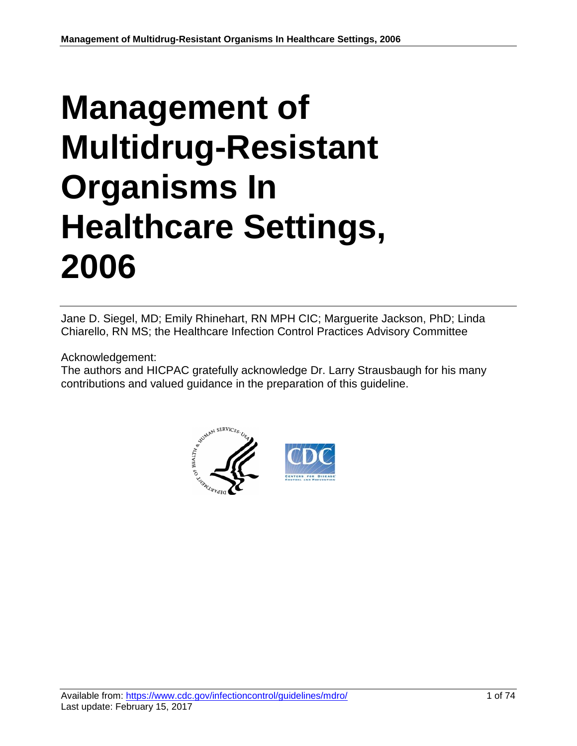# **Management of Multidrug-Resistant Organisms In Healthcare Settings, 2006**

Jane D. Siegel, MD; Emily Rhinehart, RN MPH CIC; Marguerite Jackson, PhD; Linda Chiarello, RN MS; the Healthcare Infection Control Practices Advisory Committee

### Acknowledgement:

The authors and HICPAC gratefully acknowledge Dr. Larry Strausbaugh for his many contributions and valued guidance in the preparation of this guideline.

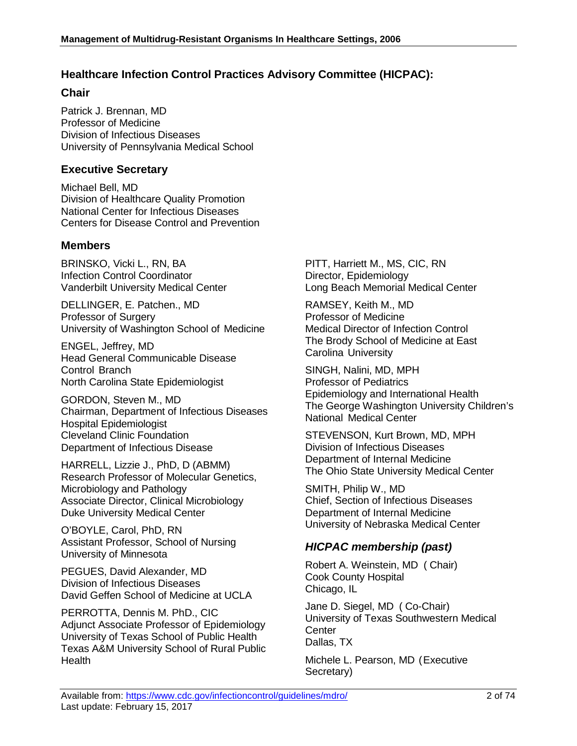### **Healthcare Infection Control Practices Advisory Committee (HICPAC):**

#### **Chair**

Patrick J. Brennan, MD Professor of Medicine Division of Infectious Diseases University of Pennsylvania Medical School

#### **Executive Secretary**

Michael Bell, MD Division of Healthcare Quality Promotion National Center for Infectious Diseases Centers for Disease Control and Prevention

### **Members**

BRINSKO, Vicki L., RN, BA Infection Control Coordinator Vanderbilt University Medical Center

DELLINGER, E. Patchen., MD Professor of Surgery University of Washington School of Medicine

ENGEL, Jeffrey, MD Head General Communicable Disease Control Branch North Carolina State Epidemiologist

GORDON, Steven M., MD Chairman, Department of Infectious Diseases Hospital Epidemiologist Cleveland Clinic Foundation Department of Infectious Disease

HARRELL, Lizzie J., PhD, D (ABMM) Research Professor of Molecular Genetics, Microbiology and Pathology Associate Director, Clinical Microbiology Duke University Medical Center

O'BOYLE, Carol, PhD, RN Assistant Professor, School of Nursing University of Minnesota

PEGUES, David Alexander, MD Division of Infectious Diseases David Geffen School of Medicine at UCLA

PERROTTA, Dennis M. PhD., CIC Adjunct Associate Professor of Epidemiology University of Texas School of Public Health Texas A&M University School of Rural Public **Health** 

PITT, Harriett M., MS, CIC, RN Director, Epidemiology Long Beach Memorial Medical Center

RAMSEY, Keith M., MD Professor of Medicine Medical Director of Infection Control The Brody School of Medicine at East Carolina University

SINGH, Nalini, MD, MPH Professor of Pediatrics Epidemiology and International Health The George Washington University Children's National Medical Center

STEVENSON, Kurt Brown, MD, MPH Division of Infectious Diseases Department of Internal Medicine The Ohio State University Medical Center

SMITH, Philip W., MD Chief, Section of Infectious Diseases Department of Internal Medicine University of Nebraska Medical Center

#### *HICPAC membership (past)*

Robert A. Weinstein, MD ( Chair) Cook County Hospital Chicago, IL

Jane D. Siegel, MD ( Co-Chair) University of Texas Southwestern Medical **Center** Dallas, TX

Michele L. Pearson, MD (Executive Secretary)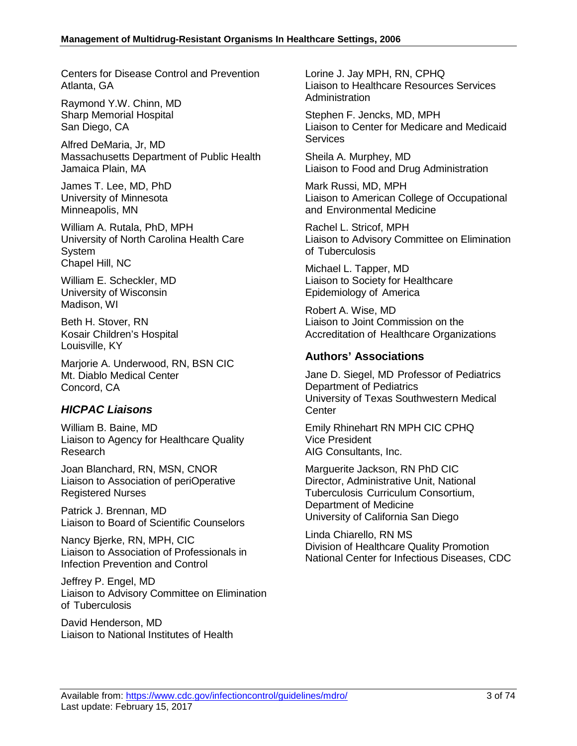Centers for Disease Control and Prevention Atlanta, GA

Raymond Y.W. Chinn, MD Sharp Memorial Hospital San Diego, CA

Alfred DeMaria, Jr, MD Massachusetts Department of Public Health Jamaica Plain, MA

James T. Lee, MD, PhD University of Minnesota Minneapolis, MN

William A. Rutala, PhD, MPH University of North Carolina Health Care **System** Chapel Hill, NC

William E. Scheckler, MD University of Wisconsin Madison, WI

Beth H. Stover, RN Kosair Children's Hospital Louisville, KY

Marjorie A. Underwood, RN, BSN CIC Mt. Diablo Medical Center Concord, CA

## *HICPAC Liaisons*

William B. Baine, MD Liaison to Agency for Healthcare Quality Research

Joan Blanchard, RN, MSN, CNOR Liaison to Association of periOperative Registered Nurses

Patrick J. Brennan, MD Liaison to Board of Scientific Counselors

Nancy Bjerke, RN, MPH, CIC Liaison to Association of Professionals in Infection Prevention and Control

Jeffrey P. Engel, MD Liaison to Advisory Committee on Elimination of Tuberculosis

David Henderson, MD Liaison to National Institutes of Health Lorine J. Jay MPH, RN, CPHQ Liaison to Healthcare Resources Services Administration

Stephen F. Jencks, MD, MPH Liaison to Center for Medicare and Medicaid **Services** 

Sheila A. Murphey, MD Liaison to Food and Drug Administration

Mark Russi, MD, MPH Liaison to American College of Occupational and Environmental Medicine

Rachel L. Stricof, MPH Liaison to Advisory Committee on Elimination of Tuberculosis

Michael L. Tapper, MD Liaison to Society for Healthcare Epidemiology of America

Robert A. Wise, MD Liaison to Joint Commission on the Accreditation of Healthcare Organizations

### **Authors' Associations**

Jane D. Siegel, MD Professor of Pediatrics Department of Pediatrics University of Texas Southwestern Medical **Center** 

Emily Rhinehart RN MPH CIC CPHQ Vice President AIG Consultants, Inc.

Marguerite Jackson, RN PhD CIC Director, Administrative Unit, National Tuberculosis Curriculum Consortium, Department of Medicine University of California San Diego

Linda Chiarello, RN MS Division of Healthcare Quality Promotion National Center for Infectious Diseases, CDC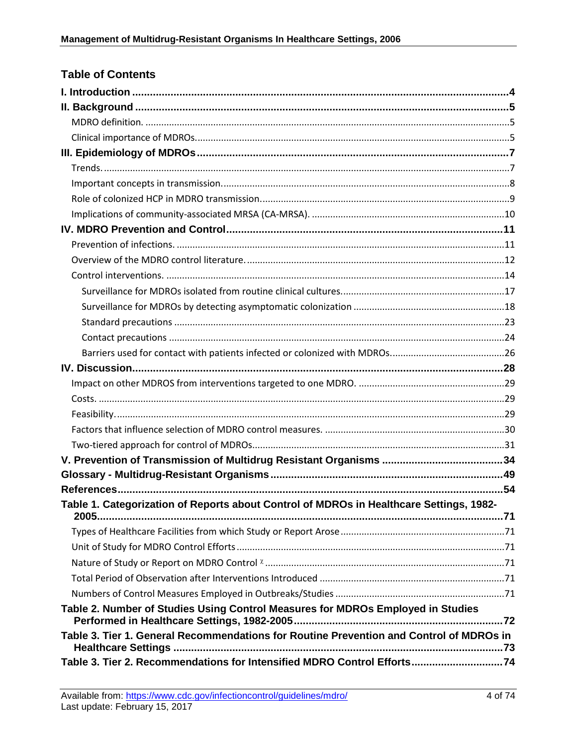| <b>Table of Contents</b>                                                                |  |
|-----------------------------------------------------------------------------------------|--|
|                                                                                         |  |
|                                                                                         |  |
|                                                                                         |  |
|                                                                                         |  |
|                                                                                         |  |
|                                                                                         |  |
|                                                                                         |  |
|                                                                                         |  |
|                                                                                         |  |
|                                                                                         |  |
|                                                                                         |  |
|                                                                                         |  |
|                                                                                         |  |
|                                                                                         |  |
|                                                                                         |  |
|                                                                                         |  |
|                                                                                         |  |
|                                                                                         |  |
|                                                                                         |  |
|                                                                                         |  |
|                                                                                         |  |
|                                                                                         |  |
|                                                                                         |  |
|                                                                                         |  |
|                                                                                         |  |
|                                                                                         |  |
|                                                                                         |  |
| Table 1. Categorization of Reports about Control of MDROs in Healthcare Settings, 1982- |  |
|                                                                                         |  |
|                                                                                         |  |
|                                                                                         |  |
|                                                                                         |  |
|                                                                                         |  |
|                                                                                         |  |
| Table 2. Number of Studies Using Control Measures for MDROs Employed in Studies         |  |
| Table 3. Tier 1. General Recommendations for Routine Prevention and Control of MDROs in |  |
| Table 3. Tier 2. Recommendations for Intensified MDRO Control Efforts74                 |  |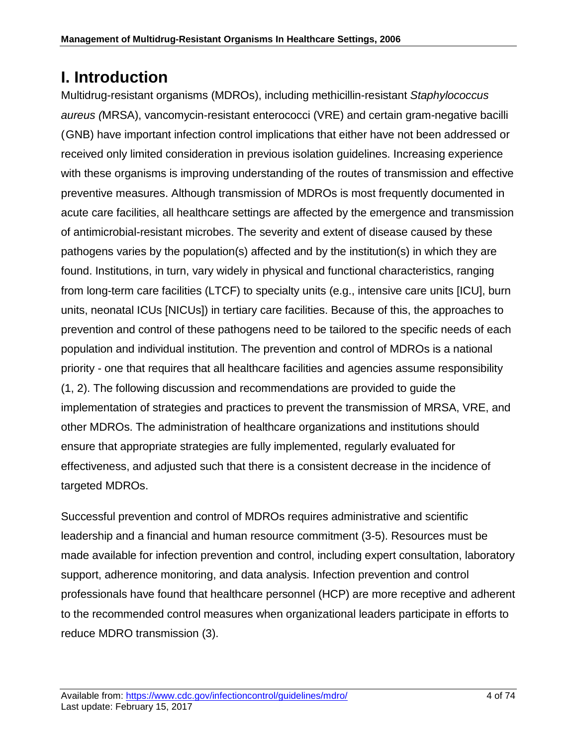# <span id="page-4-0"></span>**I. Introduction**

Multidrug-resistant organisms (MDROs), including methicillin-resistant *Staphylococcus aureus (*MRSA), vancomycin-resistant enterococci (VRE) and certain gram-negative bacilli (GNB) have important infection control implications that either have not been addressed or received only limited consideration in previous isolation guidelines. Increasing experience with these organisms is improving understanding of the routes of transmission and effective preventive measures. Although transmission of MDROs is most frequently documented in acute care facilities, all healthcare settings are affected by the emergence and transmission of antimicrobial-resistant microbes. The severity and extent of disease caused by these pathogens varies by the population(s) affected and by the institution(s) in which they are found. Institutions, in turn, vary widely in physical and functional characteristics, ranging from long-term care facilities (LTCF) to specialty units (e.g., intensive care units [ICU], burn units, neonatal ICUs [NICUs]) in tertiary care facilities. Because of this, the approaches to prevention and control of these pathogens need to be tailored to the specific needs of each population and individual institution. The prevention and control of MDROs is a national priority - one that requires that all healthcare facilities and agencies assume responsibility (1, 2). The following discussion and recommendations are provided to guide the implementation of strategies and practices to prevent the transmission of MRSA, VRE, and other MDROs. The administration of healthcare organizations and institutions should ensure that appropriate strategies are fully implemented, regularly evaluated for effectiveness, and adjusted such that there is a consistent decrease in the incidence of targeted MDROs.

Successful prevention and control of MDROs requires administrative and scientific leadership and a financial and human resource commitment (3-5). Resources must be made available for infection prevention and control, including expert consultation, laboratory support, adherence monitoring, and data analysis. Infection prevention and control professionals have found that healthcare personnel (HCP) are more receptive and adherent to the recommended control measures when organizational leaders participate in efforts to reduce MDRO transmission (3).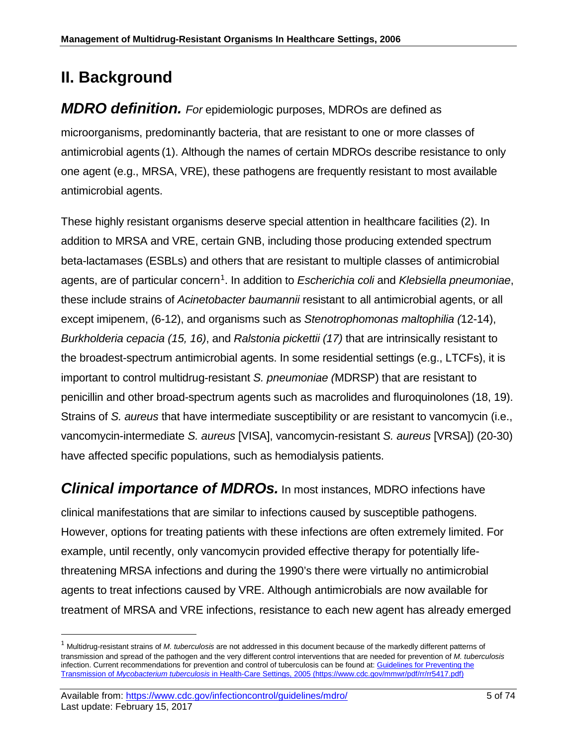# <span id="page-5-0"></span>**II. Background**

<span id="page-5-1"></span>*MDRO definition. For epidemiologic purposes, MDROs are defined as* microorganisms, predominantly bacteria, that are resistant to one or more classes of antimicrobial agents (1). Although the names of certain MDROs describe resistance to only one agent (e.g., MRSA, VRE), these pathogens are frequently resistant to most available antimicrobial agents.

These highly resistant organisms deserve special attention in healthcare facilities (2). In addition to MRSA and VRE, certain GNB, including those producing extended spectrum beta-lactamases (ESBLs) and others that are resistant to multiple classes of antimicrobial agents, are of particular concern<sup>1</sup>. In addition to *Escherichia coli* and *Klebsiella pneumoniae*, these include strains of *Acinetobacter baumannii* resistant to all antimicrobial agents, or all except imipenem, (6-12), and organisms such as *Stenotrophomonas maltophilia (*12-14), *Burkholderia cepacia (15, 16)*, and *Ralstonia pickettii (17)* that are intrinsically resistant to the broadest-spectrum antimicrobial agents. In some residential settings (e.g., LTCFs), it is important to control multidrug-resistant *S. pneumoniae (*MDRSP) that are resistant to penicillin and other broad-spectrum agents such as macrolides and fluroquinolones (18, 19). Strains of *S. aureus* that have intermediate susceptibility or are resistant to vancomycin (i.e., vancomycin-intermediate *S. aureus* [VISA], vancomycin-resistant *S. aureus* [VRSA]) (20-30) have affected specific populations, such as hemodialysis patients.

<span id="page-5-2"></span>*Clinical importance of MDROs.* In most instances, MDRO infections have clinical manifestations that are similar to infections caused by susceptible pathogens. However, options for treating patients with these infections are often extremely limited. For example, until recently, only vancomycin provided effective therapy for potentially lifethreatening MRSA infections and during the 1990's there were virtually no antimicrobial agents to treat infections caused by VRE. Although antimicrobials are now available for treatment of MRSA and VRE infections, resistance to each new agent has already emerged

 $\overline{a}$ 

<span id="page-5-3"></span><sup>1</sup> Multidrug-resistant strains of *M. tuberculosis* are not addressed in this document because of the markedly different patterns of transmission and spread of the pathogen and the very different control interventions that are needed for prevention of *M. tuberculosis*  infection. Current recommendations for prevention and control of tuberculosis can be found at: Guidelines for Preventing the Transmission of *Mycobacterium tuberculosis* [in Health-Care Settings, 2005](http://www.cdc.gov/mmwr/pdf/rr/rr5417.pdf) [\(https://www.cdc.gov/mmwr/pdf/rr/rr5417.pdf\)](https://www.cdc.gov/mmwr/pdf/rr/rr5417.pdf)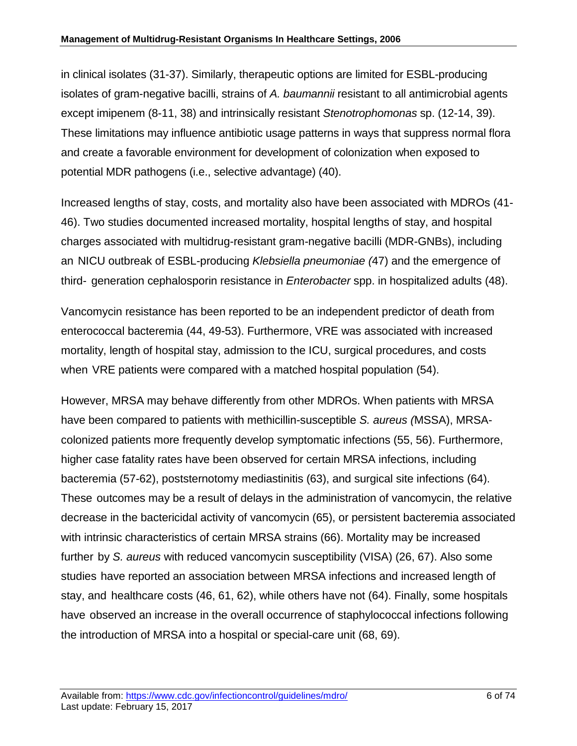in clinical isolates (31-37). Similarly, therapeutic options are limited for ESBL-producing isolates of gram-negative bacilli, strains of *A. baumannii* resistant to all antimicrobial agents except imipenem (8-11, 38) and intrinsically resistant *Stenotrophomonas* sp. (12-14, 39). These limitations may influence antibiotic usage patterns in ways that suppress normal flora and create a favorable environment for development of colonization when exposed to potential MDR pathogens (i.e., selective advantage) (40).

Increased lengths of stay, costs, and mortality also have been associated with MDROs (41- 46). Two studies documented increased mortality, hospital lengths of stay, and hospital charges associated with multidrug-resistant gram-negative bacilli (MDR-GNBs), including an NICU outbreak of ESBL-producing *Klebsiella pneumoniae (*47) and the emergence of third- generation cephalosporin resistance in *Enterobacter* spp. in hospitalized adults (48).

Vancomycin resistance has been reported to be an independent predictor of death from enterococcal bacteremia (44, 49-53). Furthermore, VRE was associated with increased mortality, length of hospital stay, admission to the ICU, surgical procedures, and costs when VRE patients were compared with a matched hospital population (54).

However, MRSA may behave differently from other MDROs. When patients with MRSA have been compared to patients with methicillin-susceptible *S. aureus (*MSSA), MRSAcolonized patients more frequently develop symptomatic infections (55, 56). Furthermore, higher case fatality rates have been observed for certain MRSA infections, including bacteremia (57-62), poststernotomy mediastinitis (63), and surgical site infections (64). These outcomes may be a result of delays in the administration of vancomycin, the relative decrease in the bactericidal activity of vancomycin (65), or persistent bacteremia associated with intrinsic characteristics of certain MRSA strains (66). Mortality may be increased further by *S. aureus* with reduced vancomycin susceptibility (VISA) (26, 67). Also some studies have reported an association between MRSA infections and increased length of stay, and healthcare costs (46, 61, 62), while others have not (64). Finally, some hospitals have observed an increase in the overall occurrence of staphylococcal infections following the introduction of MRSA into a hospital or special-care unit (68, 69).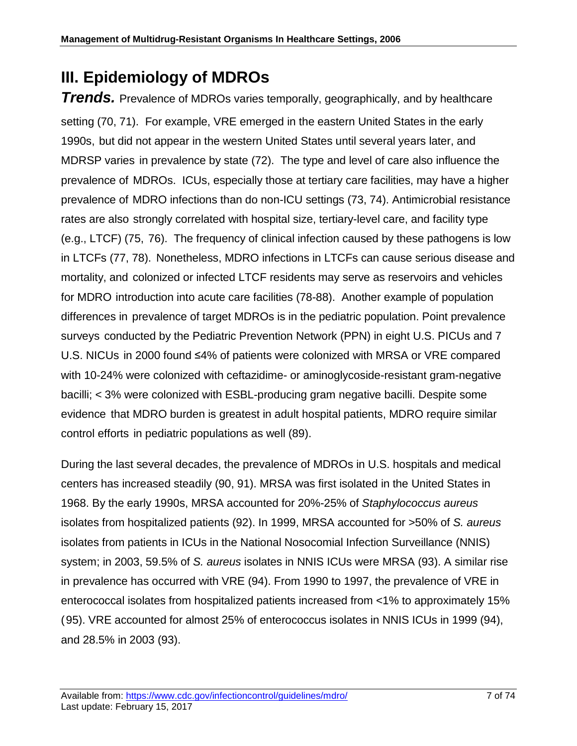# <span id="page-7-0"></span>**III. Epidemiology of MDROs**

<span id="page-7-1"></span>*Trends.* Prevalence of MDROs varies temporally, geographically, and by healthcare setting (70, 71). For example, VRE emerged in the eastern United States in the early 1990s, but did not appear in the western United States until several years later, and MDRSP varies in prevalence by state (72). The type and level of care also influence the prevalence of MDROs. ICUs, especially those at tertiary care facilities, may have a higher prevalence of MDRO infections than do non-ICU settings (73, 74). Antimicrobial resistance rates are also strongly correlated with hospital size, tertiary-level care, and facility type (e.g., LTCF) (75, 76). The frequency of clinical infection caused by these pathogens is low in LTCFs (77, 78). Nonetheless, MDRO infections in LTCFs can cause serious disease and mortality, and colonized or infected LTCF residents may serve as reservoirs and vehicles for MDRO introduction into acute care facilities (78-88). Another example of population differences in prevalence of target MDROs is in the pediatric population. Point prevalence surveys conducted by the Pediatric Prevention Network (PPN) in eight U.S. PICUs and 7 U.S. NICUs in 2000 found ≤4% of patients were colonized with MRSA or VRE compared with 10-24% were colonized with ceftazidime- or aminoglycoside-resistant gram-negative bacilli; < 3% were colonized with ESBL-producing gram negative bacilli. Despite some evidence that MDRO burden is greatest in adult hospital patients, MDRO require similar control efforts in pediatric populations as well (89).

During the last several decades, the prevalence of MDROs in U.S. hospitals and medical centers has increased steadily (90, 91). MRSA was first isolated in the United States in 1968. By the early 1990s, MRSA accounted for 20%-25% of *Staphylococcus aureus* isolates from hospitalized patients (92). In 1999, MRSA accounted for >50% of *S. aureus* isolates from patients in ICUs in the National Nosocomial Infection Surveillance (NNIS) system; in 2003, 59.5% of *S. aureus* isolates in NNIS ICUs were MRSA (93). A similar rise in prevalence has occurred with VRE (94). From 1990 to 1997, the prevalence of VRE in enterococcal isolates from hospitalized patients increased from <1% to approximately 15% (95). VRE accounted for almost 25% of enterococcus isolates in NNIS ICUs in 1999 (94), and 28.5% in 2003 (93).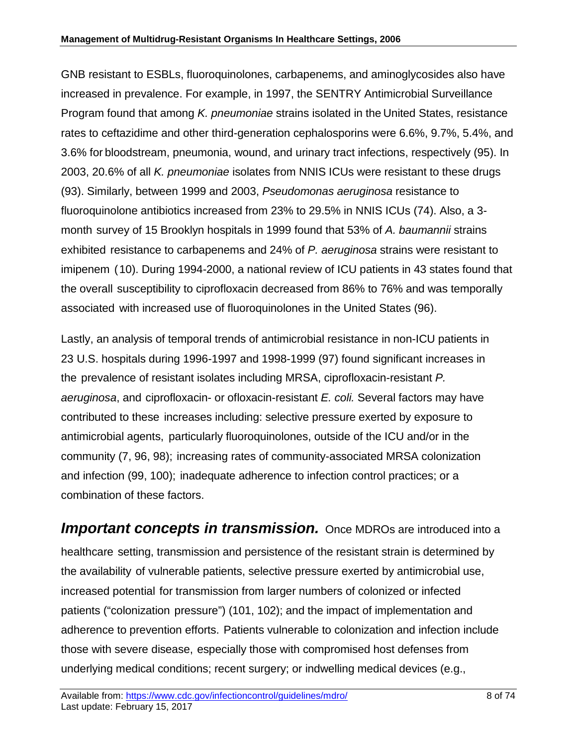GNB resistant to ESBLs, fluoroquinolones, carbapenems, and aminoglycosides also have increased in prevalence. For example, in 1997, the SENTRY Antimicrobial Surveillance Program found that among *K. pneumoniae* strains isolated in the United States, resistance rates to ceftazidime and other third-generation cephalosporins were 6.6%, 9.7%, 5.4%, and 3.6% for bloodstream, pneumonia, wound, and urinary tract infections, respectively (95). In 2003, 20.6% of all *K. pneumoniae* isolates from NNIS ICUs were resistant to these drugs (93). Similarly, between 1999 and 2003, *Pseudomonas aeruginosa* resistance to fluoroquinolone antibiotics increased from 23% to 29.5% in NNIS ICUs (74). Also, a 3 month survey of 15 Brooklyn hospitals in 1999 found that 53% of *A. baumannii* strains exhibited resistance to carbapenems and 24% of *P. aeruginosa* strains were resistant to imipenem (10). During 1994-2000, a national review of ICU patients in 43 states found that the overall susceptibility to ciprofloxacin decreased from 86% to 76% and was temporally associated with increased use of fluoroquinolones in the United States (96).

Lastly, an analysis of temporal trends of antimicrobial resistance in non-ICU patients in 23 U.S. hospitals during 1996-1997 and 1998-1999 (97) found significant increases in the prevalence of resistant isolates including MRSA, ciprofloxacin-resistant *P. aeruginosa*, and ciprofloxacin- or ofloxacin-resistant *E. coli.* Several factors may have contributed to these increases including: selective pressure exerted by exposure to antimicrobial agents, particularly fluoroquinolones, outside of the ICU and/or in the community (7, 96, 98); increasing rates of community-associated MRSA colonization and infection (99, 100); inadequate adherence to infection control practices; or a combination of these factors.

<span id="page-8-0"></span>**Important concepts in transmission.** Once MDROs are introduced into a healthcare setting, transmission and persistence of the resistant strain is determined by the availability of vulnerable patients, selective pressure exerted by antimicrobial use, increased potential for transmission from larger numbers of colonized or infected patients ("colonization pressure") (101, 102); and the impact of implementation and adherence to prevention efforts. Patients vulnerable to colonization and infection include those with severe disease, especially those with compromised host defenses from underlying medical conditions; recent surgery; or indwelling medical devices (e.g.,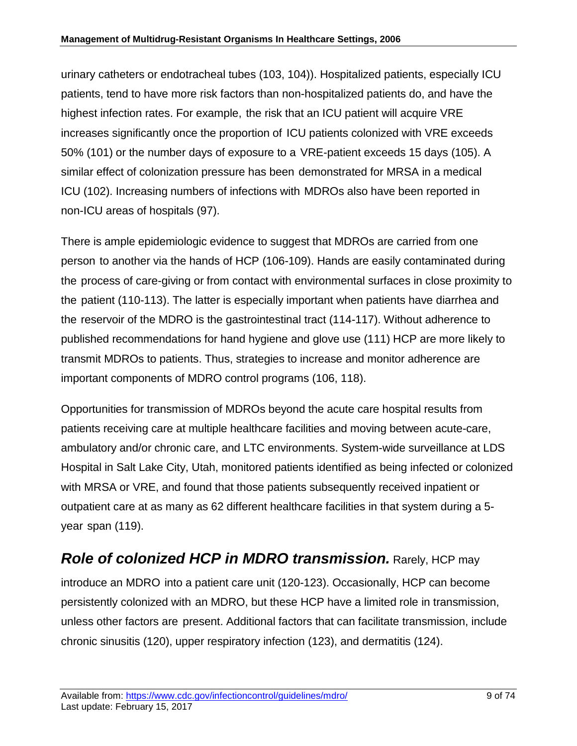urinary catheters or endotracheal tubes (103, 104)). Hospitalized patients, especially ICU patients, tend to have more risk factors than non-hospitalized patients do, and have the highest infection rates. For example, the risk that an ICU patient will acquire VRE increases significantly once the proportion of ICU patients colonized with VRE exceeds 50% (101) or the number days of exposure to a VRE-patient exceeds 15 days (105). A similar effect of colonization pressure has been demonstrated for MRSA in a medical ICU (102). Increasing numbers of infections with MDROs also have been reported in non-ICU areas of hospitals (97).

There is ample epidemiologic evidence to suggest that MDROs are carried from one person to another via the hands of HCP (106-109). Hands are easily contaminated during the process of care-giving or from contact with environmental surfaces in close proximity to the patient (110-113). The latter is especially important when patients have diarrhea and the reservoir of the MDRO is the gastrointestinal tract (114-117). Without adherence to published recommendations for hand hygiene and glove use (111) HCP are more likely to transmit MDROs to patients. Thus, strategies to increase and monitor adherence are important components of MDRO control programs (106, 118).

Opportunities for transmission of MDROs beyond the acute care hospital results from patients receiving care at multiple healthcare facilities and moving between acute-care, ambulatory and/or chronic care, and LTC environments. System-wide surveillance at LDS Hospital in Salt Lake City, Utah, monitored patients identified as being infected or colonized with MRSA or VRE, and found that those patients subsequently received inpatient or outpatient care at as many as 62 different healthcare facilities in that system during a 5 year span (119).

## <span id="page-9-0"></span>*Role of colonized HCP in MDRO transmission.* Rarely, HCP may

introduce an MDRO into a patient care unit (120-123). Occasionally, HCP can become persistently colonized with an MDRO, but these HCP have a limited role in transmission, unless other factors are present. Additional factors that can facilitate transmission, include chronic sinusitis (120), upper respiratory infection (123), and dermatitis (124).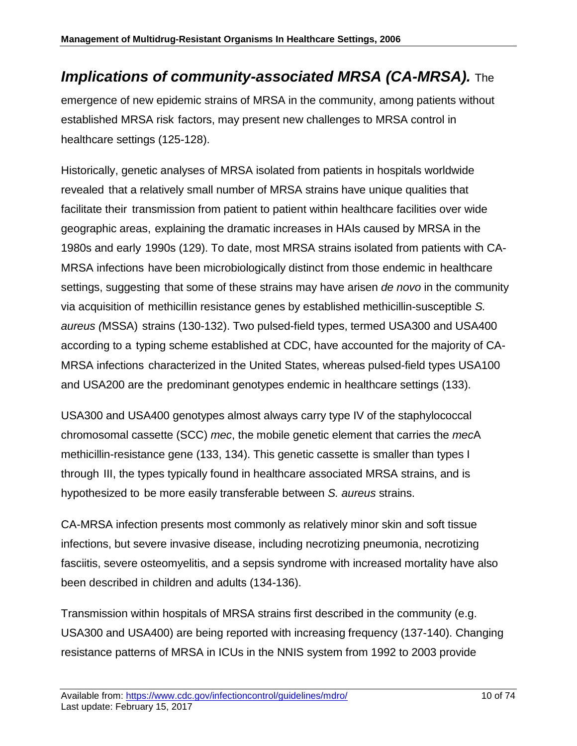## <span id="page-10-0"></span>*Implications of community-associated MRSA (CA-MRSA).* **The**

emergence of new epidemic strains of MRSA in the community, among patients without established MRSA risk factors, may present new challenges to MRSA control in healthcare settings (125-128).

Historically, genetic analyses of MRSA isolated from patients in hospitals worldwide revealed that a relatively small number of MRSA strains have unique qualities that facilitate their transmission from patient to patient within healthcare facilities over wide geographic areas, explaining the dramatic increases in HAIs caused by MRSA in the 1980s and early 1990s (129). To date, most MRSA strains isolated from patients with CA-MRSA infections have been microbiologically distinct from those endemic in healthcare settings, suggesting that some of these strains may have arisen *de novo* in the community via acquisition of methicillin resistance genes by established methicillin-susceptible *S. aureus (*MSSA) strains (130-132). Two pulsed-field types, termed USA300 and USA400 according to a typing scheme established at CDC, have accounted for the majority of CA-MRSA infections characterized in the United States, whereas pulsed-field types USA100 and USA200 are the predominant genotypes endemic in healthcare settings (133).

USA300 and USA400 genotypes almost always carry type IV of the staphylococcal chromosomal cassette (SCC) *mec*, the mobile genetic element that carries the *mec*A methicillin-resistance gene (133, 134). This genetic cassette is smaller than types I through III, the types typically found in healthcare associated MRSA strains, and is hypothesized to be more easily transferable between *S. aureus* strains.

CA-MRSA infection presents most commonly as relatively minor skin and soft tissue infections, but severe invasive disease, including necrotizing pneumonia, necrotizing fasciitis, severe osteomyelitis, and a sepsis syndrome with increased mortality have also been described in children and adults (134-136).

Transmission within hospitals of MRSA strains first described in the community (e.g. USA300 and USA400) are being reported with increasing frequency (137-140). Changing resistance patterns of MRSA in ICUs in the NNIS system from 1992 to 2003 provide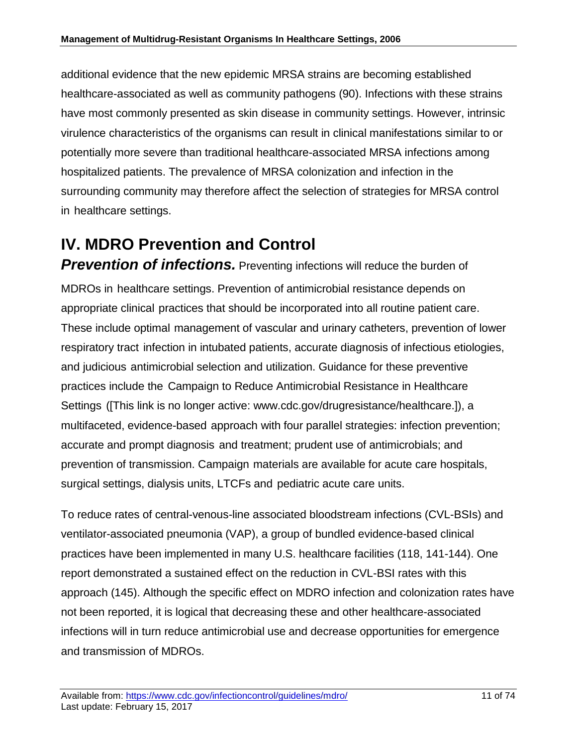additional evidence that the new epidemic MRSA strains are becoming established healthcare-associated as well as community pathogens (90). Infections with these strains have most commonly presented as skin disease in community settings. However, intrinsic virulence characteristics of the organisms can result in clinical manifestations similar to or potentially more severe than traditional healthcare-associated MRSA infections among hospitalized patients. The prevalence of MRSA colonization and infection in the surrounding community may therefore affect the selection of strategies for MRSA control in healthcare settings.

# <span id="page-11-0"></span>**IV. MDRO Prevention and Control**

<span id="page-11-1"></span>**Prevention of infections.** Preventing infections will reduce the burden of MDROs in healthcare settings. Prevention of antimicrobial resistance depends on appropriate clinical practices that should be incorporated into all routine patient care. These include optimal management of vascular and urinary catheters, prevention of lower respiratory tract infection in intubated patients, accurate diagnosis of infectious etiologies, and judicious antimicrobial selection and utilization. Guidance for these preventive practices include the Campaign to Reduce Antimicrobial Resistance in Healthcare Settings ([This link is no longer active: www.cdc.gov/drugresistance/healthcare.]), a multifaceted, evidence-based approach with four parallel strategies: infection prevention; accurate and prompt diagnosis and treatment; prudent use of antimicrobials; and prevention of transmission. Campaign materials are available for acute care hospitals, surgical settings, dialysis units, LTCFs and pediatric acute care units.

To reduce rates of central-venous-line associated bloodstream infections (CVL-BSIs) and ventilator-associated pneumonia (VAP), a group of bundled evidence-based clinical practices have been implemented in many U.S. healthcare facilities (118, 141-144). One report demonstrated a sustained effect on the reduction in CVL-BSI rates with this approach (145). Although the specific effect on MDRO infection and colonization rates have not been reported, it is logical that decreasing these and other healthcare-associated infections will in turn reduce antimicrobial use and decrease opportunities for emergence and transmission of MDROs.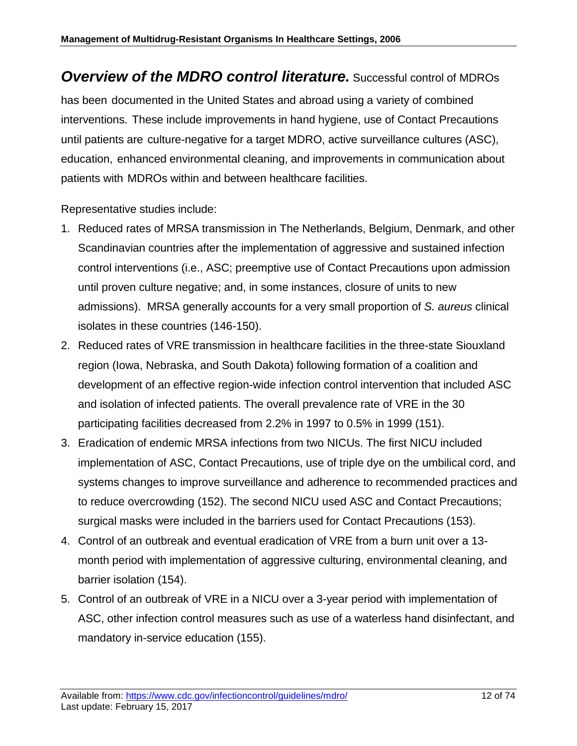## <span id="page-12-0"></span>**Overview of the MDRO control literature.** Successful control of MDROs

has been documented in the United States and abroad using a variety of combined interventions. These include improvements in hand hygiene, use of Contact Precautions until patients are culture-negative for a target MDRO, active surveillance cultures (ASC), education, enhanced environmental cleaning, and improvements in communication about patients with MDROs within and between healthcare facilities.

Representative studies include:

- 1. Reduced rates of MRSA transmission in The Netherlands, Belgium, Denmark, and other Scandinavian countries after the implementation of aggressive and sustained infection control interventions (i.e., ASC; preemptive use of Contact Precautions upon admission until proven culture negative; and, in some instances, closure of units to new admissions). MRSA generally accounts for a very small proportion of *S. aureus* clinical isolates in these countries (146-150).
- 2. Reduced rates of VRE transmission in healthcare facilities in the three-state Siouxland region (Iowa, Nebraska, and South Dakota) following formation of a coalition and development of an effective region-wide infection control intervention that included ASC and isolation of infected patients. The overall prevalence rate of VRE in the 30 participating facilities decreased from 2.2% in 1997 to 0.5% in 1999 (151).
- 3. Eradication of endemic MRSA infections from two NICUs. The first NICU included implementation of ASC, Contact Precautions, use of triple dye on the umbilical cord, and systems changes to improve surveillance and adherence to recommended practices and to reduce overcrowding (152). The second NICU used ASC and Contact Precautions; surgical masks were included in the barriers used for Contact Precautions (153).
- 4. Control of an outbreak and eventual eradication of VRE from a burn unit over a 13 month period with implementation of aggressive culturing, environmental cleaning, and barrier isolation (154).
- 5. Control of an outbreak of VRE in a NICU over a 3-year period with implementation of ASC, other infection control measures such as use of a waterless hand disinfectant, and mandatory in-service education (155).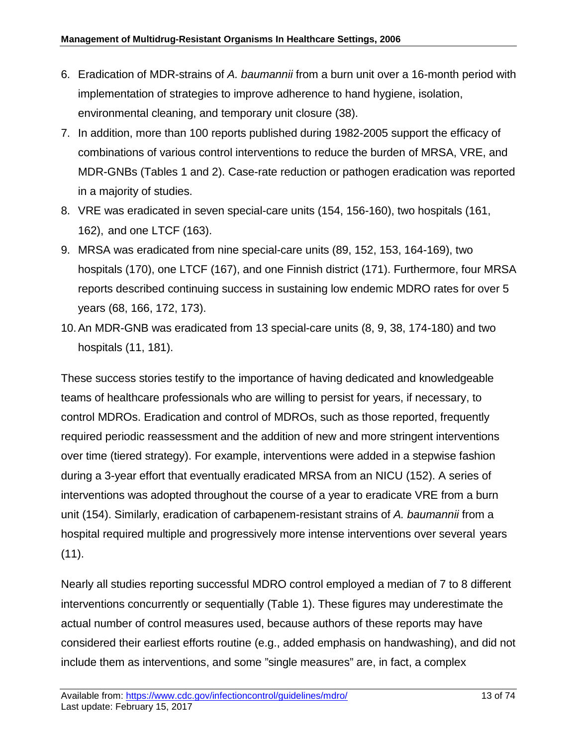- 6. Eradication of MDR-strains of *A. baumannii* from a burn unit over a 16-month period with implementation of strategies to improve adherence to hand hygiene, isolation, environmental cleaning, and temporary unit closure (38).
- 7. In addition, more than 100 reports published during 1982-2005 support the efficacy of combinations of various control interventions to reduce the burden of MRSA, VRE, and MDR-GNBs (Tables 1 and 2). Case-rate reduction or pathogen eradication was reported in a majority of studies.
- 8. VRE was eradicated in seven special-care units (154, 156-160), two hospitals (161, 162), and one LTCF (163).
- 9. MRSA was eradicated from nine special-care units (89, 152, 153, 164-169), two hospitals (170), one LTCF (167), and one Finnish district (171). Furthermore, four MRSA reports described continuing success in sustaining low endemic MDRO rates for over 5 years (68, 166, 172, 173).
- 10.An MDR-GNB was eradicated from 13 special-care units (8, 9, 38, 174-180) and two hospitals (11, 181).

These success stories testify to the importance of having dedicated and knowledgeable teams of healthcare professionals who are willing to persist for years, if necessary, to control MDROs. Eradication and control of MDROs, such as those reported, frequently required periodic reassessment and the addition of new and more stringent interventions over time (tiered strategy). For example, interventions were added in a stepwise fashion during a 3-year effort that eventually eradicated MRSA from an NICU (152). A series of interventions was adopted throughout the course of a year to eradicate VRE from a burn unit (154). Similarly, eradication of carbapenem-resistant strains of *A. baumannii* from a hospital required multiple and progressively more intense interventions over several years (11).

Nearly all studies reporting successful MDRO control employed a median of 7 to 8 different interventions concurrently or sequentially (Table 1). These figures may underestimate the actual number of control measures used, because authors of these reports may have considered their earliest efforts routine (e.g., added emphasis on handwashing), and did not include them as interventions, and some "single measures" are, in fact, a complex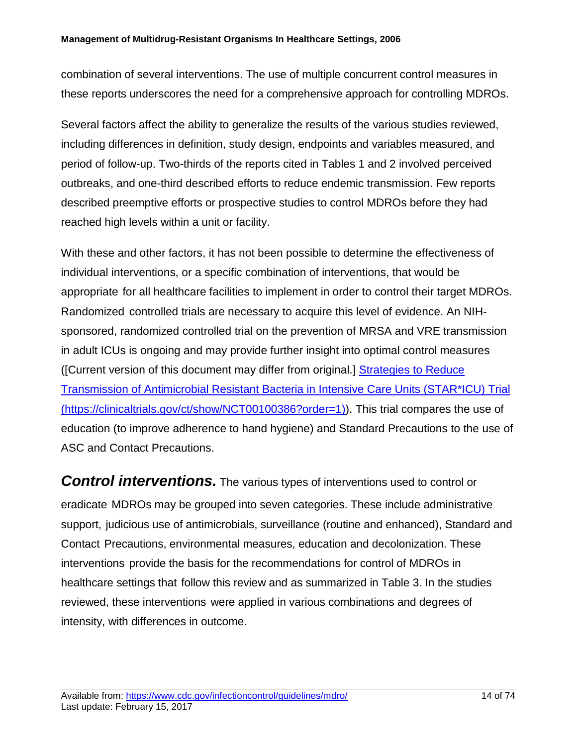combination of several interventions. The use of multiple concurrent control measures in these reports underscores the need for a comprehensive approach for controlling MDROs.

Several factors affect the ability to generalize the results of the various studies reviewed, including differences in definition, study design, endpoints and variables measured, and period of follow-up. Two-thirds of the reports cited in Tables 1 and 2 involved perceived outbreaks, and one-third described efforts to reduce endemic transmission. Few reports described preemptive efforts or prospective studies to control MDROs before they had reached high levels within a unit or facility.

With these and other factors, it has not been possible to determine the effectiveness of individual interventions, or a specific combination of interventions, that would be appropriate for all healthcare facilities to implement in order to control their target MDROs. Randomized controlled trials are necessary to acquire this level of evidence. An NIHsponsored, randomized controlled trial on the prevention of MRSA and VRE transmission in adult ICUs is ongoing and may provide further insight into optimal control measures ([Current version of this document may differ from original.] [Strategies to Reduce](https://clinicaltrials.gov/ct/show/NCT00100386?order=1)  [Transmission of Antimicrobial Resistant Bacteria in Intensive Care Units \(STAR\\*ICU\) Trial](https://clinicaltrials.gov/ct/show/NCT00100386?order=1) (https://clinicaltrials.gov/ct/show/NCT00100386?order=1)). This trial compares the use of education (to improve adherence to hand hygiene) and Standard Precautions to the use of ASC and Contact Precautions.

<span id="page-14-0"></span>*Control interventions.* The various types of interventions used to control or eradicate MDROs may be grouped into seven categories. These include administrative support, judicious use of antimicrobials, surveillance (routine and enhanced), Standard and Contact Precautions, environmental measures, education and decolonization. These interventions provide the basis for the recommendations for control of MDROs in healthcare settings that follow this review and as summarized in Table 3. In the studies reviewed, these interventions were applied in various combinations and degrees of intensity, with differences in outcome.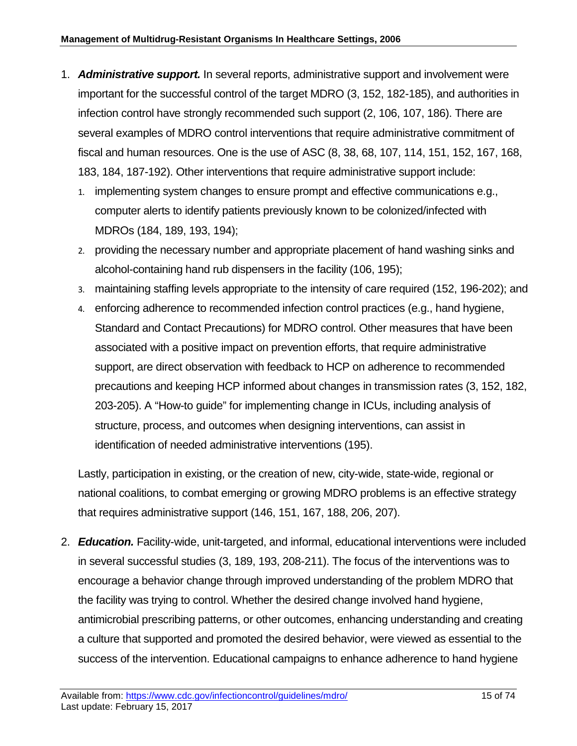- 1. *Administrative support.* In several reports, administrative support and involvement were important for the successful control of the target MDRO (3, 152, 182-185), and authorities in infection control have strongly recommended such support (2, 106, 107, 186). There are several examples of MDRO control interventions that require administrative commitment of fiscal and human resources. One is the use of ASC (8, 38, 68, 107, 114, 151, 152, 167, 168, 183, 184, 187-192). Other interventions that require administrative support include:
	- 1. implementing system changes to ensure prompt and effective communications e.g., computer alerts to identify patients previously known to be colonized/infected with MDROs (184, 189, 193, 194);
	- 2. providing the necessary number and appropriate placement of hand washing sinks and alcohol-containing hand rub dispensers in the facility (106, 195);
	- 3. maintaining staffing levels appropriate to the intensity of care required (152, 196-202); and
	- 4. enforcing adherence to recommended infection control practices (e.g., hand hygiene, Standard and Contact Precautions) for MDRO control. Other measures that have been associated with a positive impact on prevention efforts, that require administrative support, are direct observation with feedback to HCP on adherence to recommended precautions and keeping HCP informed about changes in transmission rates (3, 152, 182, 203-205). A "How-to guide" for implementing change in ICUs, including analysis of structure, process, and outcomes when designing interventions, can assist in identification of needed administrative interventions (195).

Lastly, participation in existing, or the creation of new, city-wide, state-wide, regional or national coalitions, to combat emerging or growing MDRO problems is an effective strategy that requires administrative support (146, 151, 167, 188, 206, 207).

2. *Education.* Facility-wide, unit-targeted, and informal, educational interventions were included in several successful studies (3, 189, 193, 208-211). The focus of the interventions was to encourage a behavior change through improved understanding of the problem MDRO that the facility was trying to control. Whether the desired change involved hand hygiene, antimicrobial prescribing patterns, or other outcomes, enhancing understanding and creating a culture that supported and promoted the desired behavior, were viewed as essential to the success of the intervention. Educational campaigns to enhance adherence to hand hygiene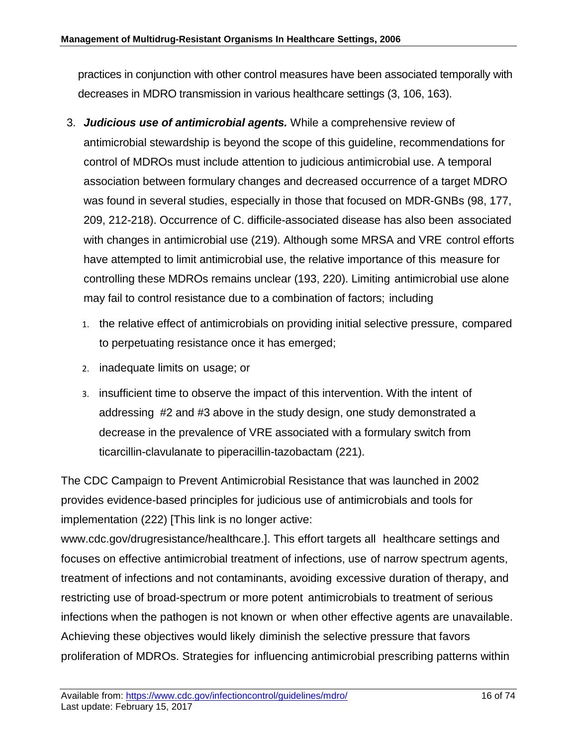practices in conjunction with other control measures have been associated temporally with decreases in MDRO transmission in various healthcare settings (3, 106, 163).

- 3. *Judicious use of antimicrobial agents.* While a comprehensive review of antimicrobial stewardship is beyond the scope of this guideline, recommendations for control of MDROs must include attention to judicious antimicrobial use. A temporal association between formulary changes and decreased occurrence of a target MDRO was found in several studies, especially in those that focused on MDR-GNBs (98, 177, 209, 212-218). Occurrence of C. difficile-associated disease has also been associated with changes in antimicrobial use (219). Although some MRSA and VRE control efforts have attempted to limit antimicrobial use, the relative importance of this measure for controlling these MDROs remains unclear (193, 220). Limiting antimicrobial use alone may fail to control resistance due to a combination of factors; including
	- 1. the relative effect of antimicrobials on providing initial selective pressure, compared to perpetuating resistance once it has emerged;
	- 2. inadequate limits on usage; or
	- 3. insufficient time to observe the impact of this intervention. With the intent of addressing #2 and #3 above in the study design, one study demonstrated a decrease in the prevalence of VRE associated with a formulary switch from ticarcillin-clavulanate to piperacillin-tazobactam (221).

The CDC Campaign to Prevent Antimicrobial Resistance that was launched in 2002 provides evidence-based principles for judicious use of antimicrobials and tools for implementation (222) [This link is no longer active:

www.cdc.gov/drugresistance/healthcare.]. This effort targets all healthcare settings and focuses on effective antimicrobial treatment of infections, use of narrow spectrum agents, treatment of infections and not contaminants, avoiding excessive duration of therapy, and restricting use of broad-spectrum or more potent antimicrobials to treatment of serious infections when the pathogen is not known or when other effective agents are unavailable. Achieving these objectives would likely diminish the selective pressure that favors proliferation of MDROs. Strategies for influencing antimicrobial prescribing patterns within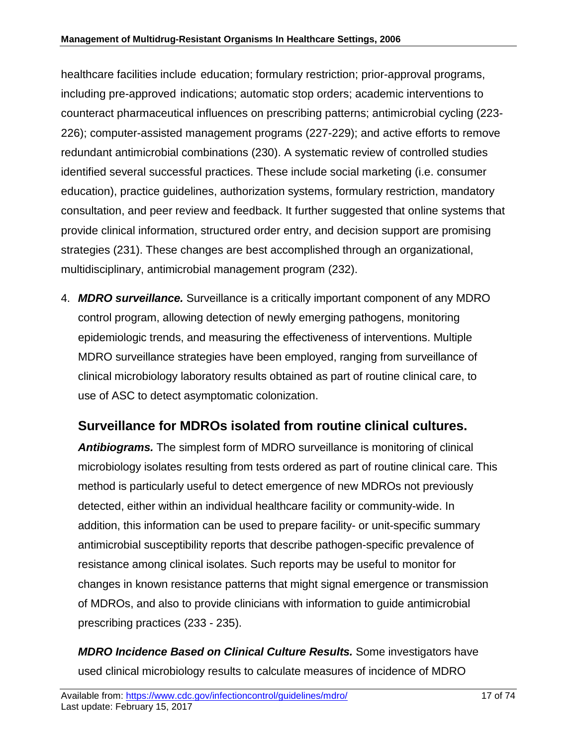healthcare facilities include education; formulary restriction; prior-approval programs, including pre-approved indications; automatic stop orders; academic interventions to counteract pharmaceutical influences on prescribing patterns; antimicrobial cycling (223- 226); computer-assisted management programs (227-229); and active efforts to remove redundant antimicrobial combinations (230). A systematic review of controlled studies identified several successful practices. These include social marketing (i.e. consumer education), practice guidelines, authorization systems, formulary restriction, mandatory consultation, and peer review and feedback. It further suggested that online systems that provide clinical information, structured order entry, and decision support are promising strategies (231). These changes are best accomplished through an organizational, multidisciplinary, antimicrobial management program (232).

4. *MDRO surveillance.* Surveillance is a critically important component of any MDRO control program, allowing detection of newly emerging pathogens, monitoring epidemiologic trends, and measuring the effectiveness of interventions. Multiple MDRO surveillance strategies have been employed, ranging from surveillance of clinical microbiology laboratory results obtained as part of routine clinical care, to use of ASC to detect asymptomatic colonization.

## <span id="page-17-0"></span>**Surveillance for MDROs isolated from routine clinical cultures.**

*Antibiograms.* The simplest form of MDRO surveillance is monitoring of clinical microbiology isolates resulting from tests ordered as part of routine clinical care. This method is particularly useful to detect emergence of new MDROs not previously detected, either within an individual healthcare facility or community-wide. In addition, this information can be used to prepare facility- or unit-specific summary antimicrobial susceptibility reports that describe pathogen-specific prevalence of resistance among clinical isolates. Such reports may be useful to monitor for changes in known resistance patterns that might signal emergence or transmission of MDROs, and also to provide clinicians with information to guide antimicrobial prescribing practices (233 - 235).

*MDRO Incidence Based on Clinical Culture Results.* Some investigators have used clinical microbiology results to calculate measures of incidence of MDRO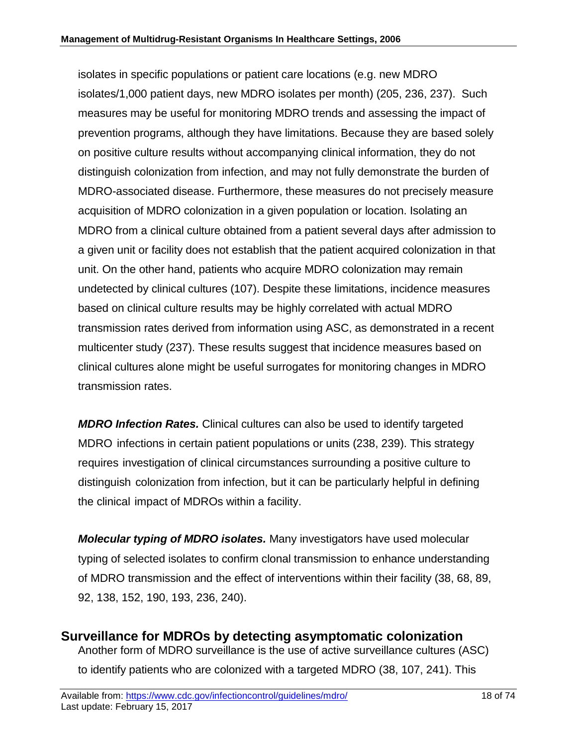isolates in specific populations or patient care locations (e.g. new MDRO isolates/1,000 patient days, new MDRO isolates per month) (205, 236, 237). Such measures may be useful for monitoring MDRO trends and assessing the impact of prevention programs, although they have limitations. Because they are based solely on positive culture results without accompanying clinical information, they do not distinguish colonization from infection, and may not fully demonstrate the burden of MDRO-associated disease. Furthermore, these measures do not precisely measure acquisition of MDRO colonization in a given population or location. Isolating an MDRO from a clinical culture obtained from a patient several days after admission to a given unit or facility does not establish that the patient acquired colonization in that unit. On the other hand, patients who acquire MDRO colonization may remain undetected by clinical cultures (107). Despite these limitations, incidence measures based on clinical culture results may be highly correlated with actual MDRO transmission rates derived from information using ASC, as demonstrated in a recent multicenter study (237). These results suggest that incidence measures based on clinical cultures alone might be useful surrogates for monitoring changes in MDRO transmission rates.

*MDRO Infection Rates.* Clinical cultures can also be used to identify targeted MDRO infections in certain patient populations or units (238, 239). This strategy requires investigation of clinical circumstances surrounding a positive culture to distinguish colonization from infection, but it can be particularly helpful in defining the clinical impact of MDROs within a facility.

*Molecular typing of MDRO isolates.* Many investigators have used molecular typing of selected isolates to confirm clonal transmission to enhance understanding of MDRO transmission and the effect of interventions within their facility (38, 68, 89, 92, 138, 152, 190, 193, 236, 240).

<span id="page-18-0"></span>**Surveillance for MDROs by detecting asymptomatic colonization** Another form of MDRO surveillance is the use of active surveillance cultures (ASC) to identify patients who are colonized with a targeted MDRO (38, 107, 241). This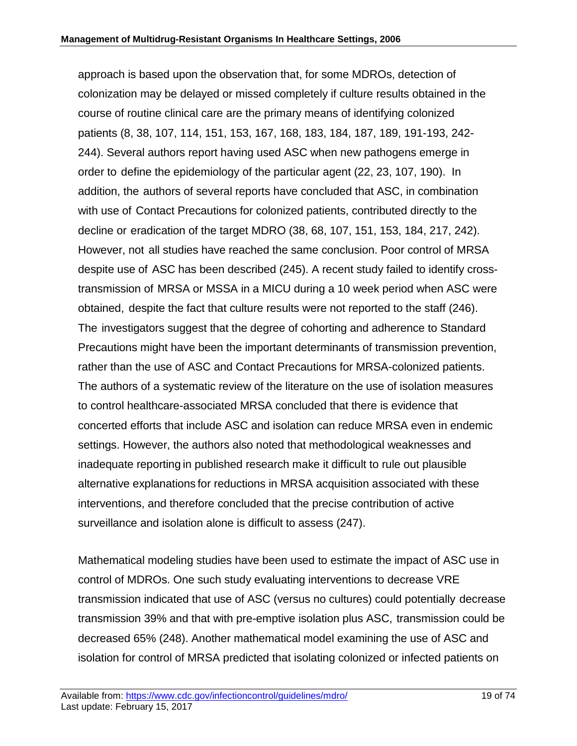approach is based upon the observation that, for some MDROs, detection of colonization may be delayed or missed completely if culture results obtained in the course of routine clinical care are the primary means of identifying colonized patients (8, 38, 107, 114, 151, 153, 167, 168, 183, 184, 187, 189, 191-193, 242- 244). Several authors report having used ASC when new pathogens emerge in order to define the epidemiology of the particular agent (22, 23, 107, 190). In addition, the authors of several reports have concluded that ASC, in combination with use of Contact Precautions for colonized patients, contributed directly to the decline or eradication of the target MDRO (38, 68, 107, 151, 153, 184, 217, 242). However, not all studies have reached the same conclusion. Poor control of MRSA despite use of ASC has been described (245). A recent study failed to identify crosstransmission of MRSA or MSSA in a MICU during a 10 week period when ASC were obtained, despite the fact that culture results were not reported to the staff (246). The investigators suggest that the degree of cohorting and adherence to Standard Precautions might have been the important determinants of transmission prevention, rather than the use of ASC and Contact Precautions for MRSA-colonized patients. The authors of a systematic review of the literature on the use of isolation measures to control healthcare-associated MRSA concluded that there is evidence that concerted efforts that include ASC and isolation can reduce MRSA even in endemic settings. However, the authors also noted that methodological weaknesses and inadequate reporting in published research make it difficult to rule out plausible alternative explanations for reductions in MRSA acquisition associated with these interventions, and therefore concluded that the precise contribution of active surveillance and isolation alone is difficult to assess (247).

Mathematical modeling studies have been used to estimate the impact of ASC use in control of MDROs. One such study evaluating interventions to decrease VRE transmission indicated that use of ASC (versus no cultures) could potentially decrease transmission 39% and that with pre-emptive isolation plus ASC, transmission could be decreased 65% (248). Another mathematical model examining the use of ASC and isolation for control of MRSA predicted that isolating colonized or infected patients on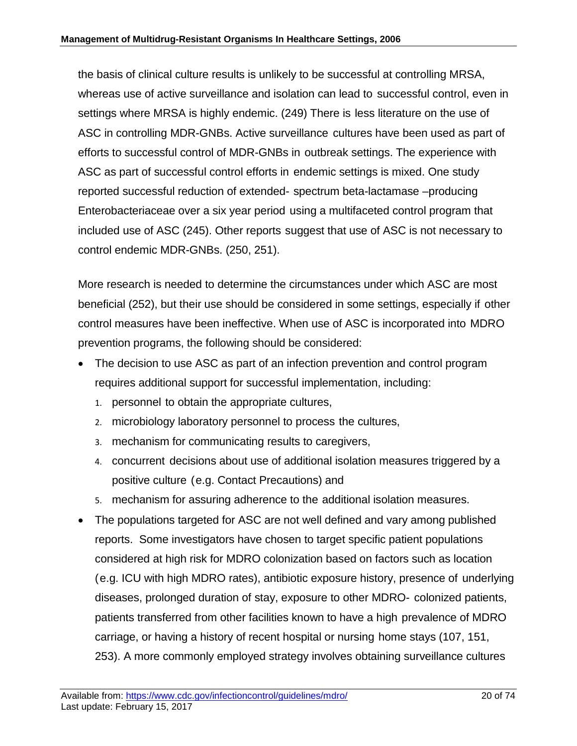the basis of clinical culture results is unlikely to be successful at controlling MRSA, whereas use of active surveillance and isolation can lead to successful control, even in settings where MRSA is highly endemic. (249) There is less literature on the use of ASC in controlling MDR-GNBs. Active surveillance cultures have been used as part of efforts to successful control of MDR-GNBs in outbreak settings. The experience with ASC as part of successful control efforts in endemic settings is mixed. One study reported successful reduction of extended- spectrum beta-lactamase –producing Enterobacteriaceae over a six year period using a multifaceted control program that included use of ASC (245). Other reports suggest that use of ASC is not necessary to control endemic MDR-GNBs. (250, 251).

More research is needed to determine the circumstances under which ASC are most beneficial (252), but their use should be considered in some settings, especially if other control measures have been ineffective. When use of ASC is incorporated into MDRO prevention programs, the following should be considered:

- The decision to use ASC as part of an infection prevention and control program requires additional support for successful implementation, including:
	- 1. personnel to obtain the appropriate cultures,
	- 2. microbiology laboratory personnel to process the cultures,
	- 3. mechanism for communicating results to caregivers,
	- 4. concurrent decisions about use of additional isolation measures triggered by a positive culture (e.g. Contact Precautions) and
	- 5. mechanism for assuring adherence to the additional isolation measures.
- The populations targeted for ASC are not well defined and vary among published reports. Some investigators have chosen to target specific patient populations considered at high risk for MDRO colonization based on factors such as location (e.g. ICU with high MDRO rates), antibiotic exposure history, presence of underlying diseases, prolonged duration of stay, exposure to other MDRO- colonized patients, patients transferred from other facilities known to have a high prevalence of MDRO carriage, or having a history of recent hospital or nursing home stays (107, 151, 253). A more commonly employed strategy involves obtaining surveillance cultures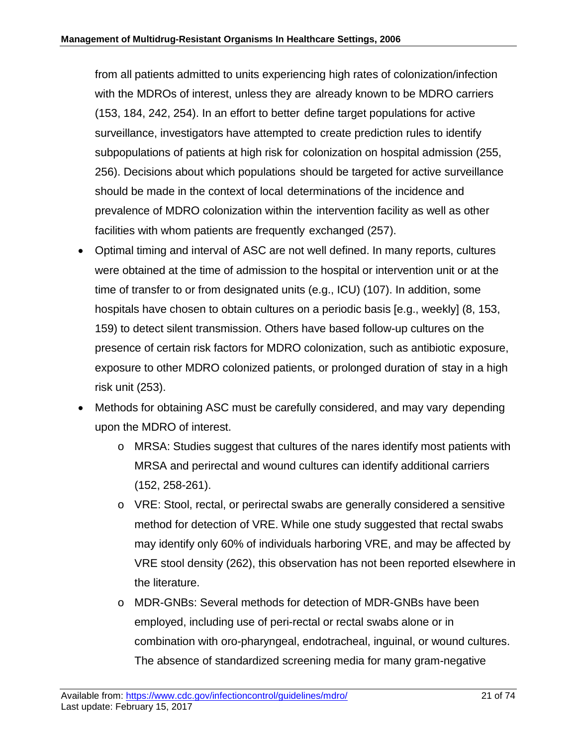from all patients admitted to units experiencing high rates of colonization/infection with the MDROs of interest, unless they are already known to be MDRO carriers (153, 184, 242, 254). In an effort to better define target populations for active surveillance, investigators have attempted to create prediction rules to identify subpopulations of patients at high risk for colonization on hospital admission (255, 256). Decisions about which populations should be targeted for active surveillance should be made in the context of local determinations of the incidence and prevalence of MDRO colonization within the intervention facility as well as other facilities with whom patients are frequently exchanged (257).

- Optimal timing and interval of ASC are not well defined. In many reports, cultures were obtained at the time of admission to the hospital or intervention unit or at the time of transfer to or from designated units (e.g., ICU) (107). In addition, some hospitals have chosen to obtain cultures on a periodic basis [e.g., weekly] (8, 153, 159) to detect silent transmission. Others have based follow-up cultures on the presence of certain risk factors for MDRO colonization, such as antibiotic exposure, exposure to other MDRO colonized patients, or prolonged duration of stay in a high risk unit (253).
- Methods for obtaining ASC must be carefully considered, and may vary depending upon the MDRO of interest.
	- o MRSA: Studies suggest that cultures of the nares identify most patients with MRSA and perirectal and wound cultures can identify additional carriers (152, 258-261).
	- o VRE: Stool, rectal, or perirectal swabs are generally considered a sensitive method for detection of VRE. While one study suggested that rectal swabs may identify only 60% of individuals harboring VRE, and may be affected by VRE stool density (262), this observation has not been reported elsewhere in the literature.
	- o MDR-GNBs: Several methods for detection of MDR-GNBs have been employed, including use of peri-rectal or rectal swabs alone or in combination with oro-pharyngeal, endotracheal, inguinal, or wound cultures. The absence of standardized screening media for many gram-negative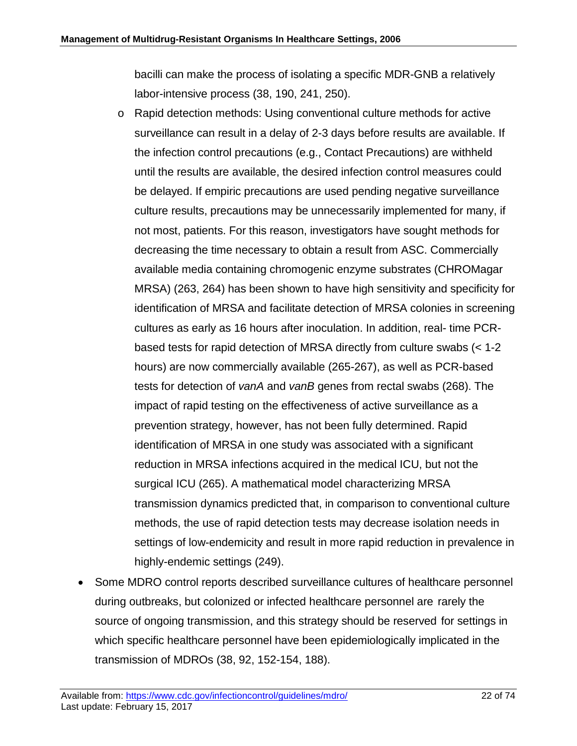bacilli can make the process of isolating a specific MDR-GNB a relatively labor-intensive process (38, 190, 241, 250).

- o Rapid detection methods: Using conventional culture methods for active surveillance can result in a delay of 2-3 days before results are available. If the infection control precautions (e.g., Contact Precautions) are withheld until the results are available, the desired infection control measures could be delayed. If empiric precautions are used pending negative surveillance culture results, precautions may be unnecessarily implemented for many, if not most, patients. For this reason, investigators have sought methods for decreasing the time necessary to obtain a result from ASC. Commercially available media containing chromogenic enzyme substrates (CHROMagar MRSA) (263, 264) has been shown to have high sensitivity and specificity for identification of MRSA and facilitate detection of MRSA colonies in screening cultures as early as 16 hours after inoculation. In addition, real- time PCRbased tests for rapid detection of MRSA directly from culture swabs (< 1-2 hours) are now commercially available (265-267), as well as PCR-based tests for detection of *vanA* and *vanB* genes from rectal swabs (268). The impact of rapid testing on the effectiveness of active surveillance as a prevention strategy, however, has not been fully determined. Rapid identification of MRSA in one study was associated with a significant reduction in MRSA infections acquired in the medical ICU, but not the surgical ICU (265). A mathematical model characterizing MRSA transmission dynamics predicted that, in comparison to conventional culture methods, the use of rapid detection tests may decrease isolation needs in settings of low-endemicity and result in more rapid reduction in prevalence in highly-endemic settings (249).
- Some MDRO control reports described surveillance cultures of healthcare personnel during outbreaks, but colonized or infected healthcare personnel are rarely the source of ongoing transmission, and this strategy should be reserved for settings in which specific healthcare personnel have been epidemiologically implicated in the transmission of MDROs (38, 92, 152-154, 188).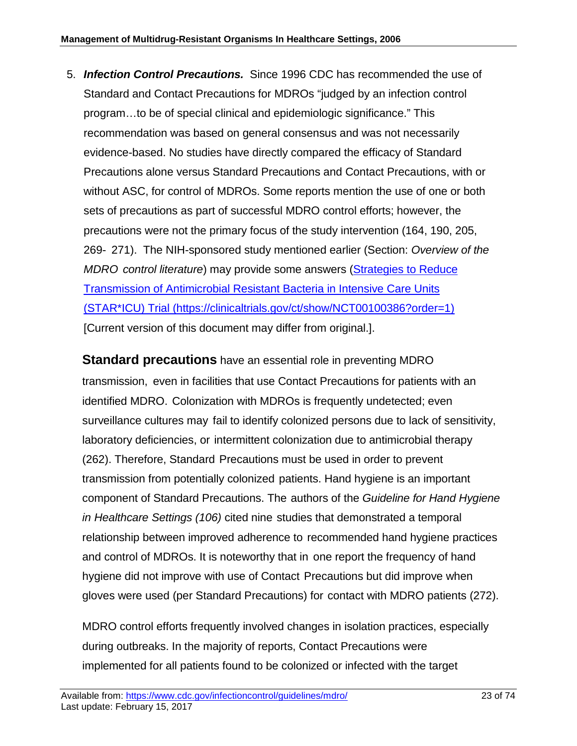5. *Infection Control Precautions.* Since 1996 CDC has recommended the use of Standard and Contact Precautions for MDROs "judged by an infection control program…to be of special clinical and epidemiologic significance." This recommendation was based on general consensus and was not necessarily evidence-based. No studies have directly compared the efficacy of Standard Precautions alone versus Standard Precautions and Contact Precautions, with or without ASC, for control of MDROs. Some reports mention the use of one or both sets of precautions as part of successful MDRO control efforts; however, the precautions were not the primary focus of the study intervention (164, 190, 205, 269- 271). The NIH-sponsored study mentioned earlier (Section: *Overview of the MDRO control literature*) may provide some answers [\(Strategies to Reduce](https://clinicaltrials.gov/ct/show/NCT00100386?order=1)  [Transmission of Antimicrobial Resistant Bacteria in Intensive Care Units](https://clinicaltrials.gov/ct/show/NCT00100386?order=1)  [\(STAR\\*ICU\) Trial \(https://clinicaltrials.gov/ct/show/NCT00100386?order=1\)](https://clinicaltrials.gov/ct/show/NCT00100386?order=1) [Current version of this document may differ from original.].

<span id="page-23-0"></span>**Standard precautions** have an essential role in preventing MDRO transmission, even in facilities that use Contact Precautions for patients with an identified MDRO. Colonization with MDROs is frequently undetected; even surveillance cultures may fail to identify colonized persons due to lack of sensitivity, laboratory deficiencies, or intermittent colonization due to antimicrobial therapy (262). Therefore, Standard Precautions must be used in order to prevent transmission from potentially colonized patients. Hand hygiene is an important component of Standard Precautions. The authors of the *Guideline for Hand Hygiene in Healthcare Settings (106)* cited nine studies that demonstrated a temporal relationship between improved adherence to recommended hand hygiene practices and control of MDROs. It is noteworthy that in one report the frequency of hand hygiene did not improve with use of Contact Precautions but did improve when gloves were used (per Standard Precautions) for contact with MDRO patients (272).

MDRO control efforts frequently involved changes in isolation practices, especially during outbreaks. In the majority of reports, Contact Precautions were implemented for all patients found to be colonized or infected with the target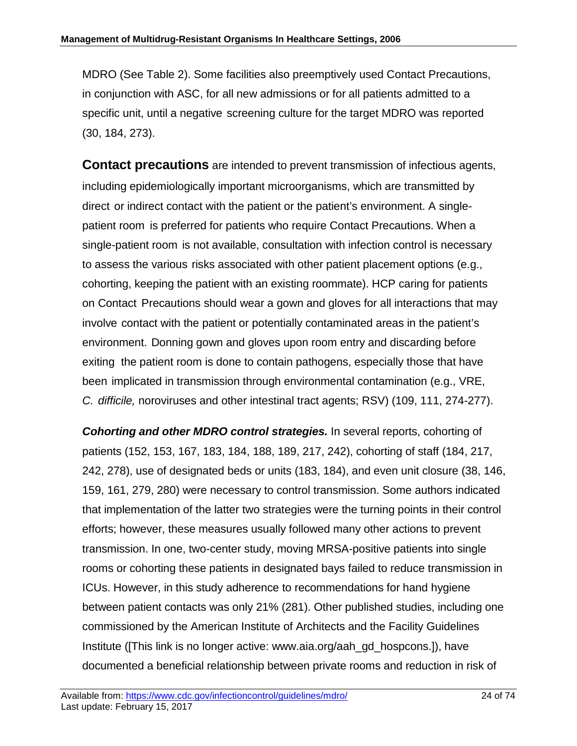MDRO (See Table 2). Some facilities also preemptively used Contact Precautions, in conjunction with ASC, for all new admissions or for all patients admitted to a specific unit, until a negative screening culture for the target MDRO was reported (30, 184, 273).

<span id="page-24-0"></span>**Contact precautions** are intended to prevent transmission of infectious agents, including epidemiologically important microorganisms, which are transmitted by direct or indirect contact with the patient or the patient's environment. A singlepatient room is preferred for patients who require Contact Precautions. When a single-patient room is not available, consultation with infection control is necessary to assess the various risks associated with other patient placement options (e.g., cohorting, keeping the patient with an existing roommate). HCP caring for patients on Contact Precautions should wear a gown and gloves for all interactions that may involve contact with the patient or potentially contaminated areas in the patient's environment. Donning gown and gloves upon room entry and discarding before exiting the patient room is done to contain pathogens, especially those that have been implicated in transmission through environmental contamination (e.g., VRE, *C. difficile,* noroviruses and other intestinal tract agents; RSV) (109, 111, 274-277).

*Cohorting and other MDRO control strategies.* In several reports, cohorting of patients (152, 153, 167, 183, 184, 188, 189, 217, 242), cohorting of staff (184, 217, 242, 278), use of designated beds or units (183, 184), and even unit closure (38, 146, 159, 161, 279, 280) were necessary to control transmission. Some authors indicated that implementation of the latter two strategies were the turning points in their control efforts; however, these measures usually followed many other actions to prevent transmission. In one, two-center study, moving MRSA-positive patients into single rooms or cohorting these patients in designated bays failed to reduce transmission in ICUs. However, in this study adherence to recommendations for hand hygiene between patient contacts was only 21% (281). Other published studies, including one commissioned by the American Institute of Architects and the Facility Guidelines Institute ([This link is no longer active: www.aia.org/aah\_gd\_hospcons.]), have documented a beneficial relationship between private rooms and reduction in risk of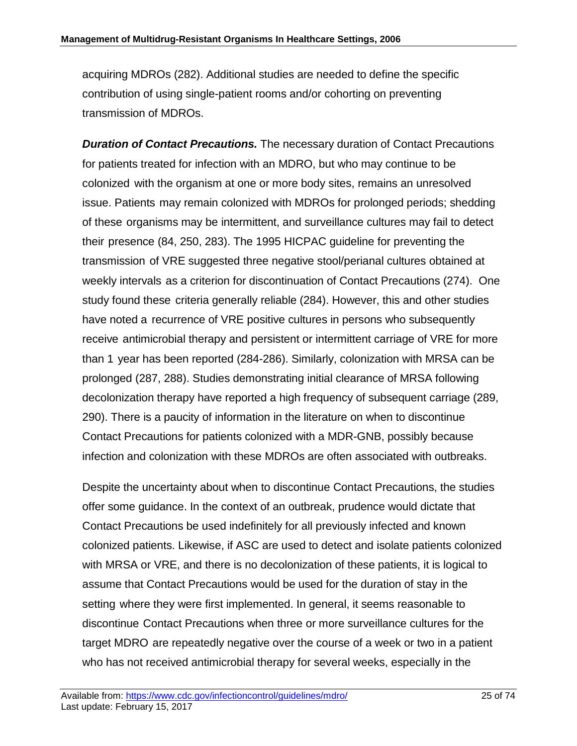acquiring MDROs (282). Additional studies are needed to define the specific contribution of using single-patient rooms and/or cohorting on preventing transmission of MDROs.

*Duration of Contact Precautions.* The necessary duration of Contact Precautions for patients treated for infection with an MDRO, but who may continue to be colonized with the organism at one or more body sites, remains an unresolved issue. Patients may remain colonized with MDROs for prolonged periods; shedding of these organisms may be intermittent, and surveillance cultures may fail to detect their presence (84, 250, 283). The 1995 HICPAC guideline for preventing the transmission of VRE suggested three negative stool/perianal cultures obtained at weekly intervals as a criterion for discontinuation of Contact Precautions (274). One study found these criteria generally reliable (284). However, this and other studies have noted a recurrence of VRE positive cultures in persons who subsequently receive antimicrobial therapy and persistent or intermittent carriage of VRE for more than 1 year has been reported (284-286). Similarly, colonization with MRSA can be prolonged (287, 288). Studies demonstrating initial clearance of MRSA following decolonization therapy have reported a high frequency of subsequent carriage (289, 290). There is a paucity of information in the literature on when to discontinue Contact Precautions for patients colonized with a MDR-GNB, possibly because infection and colonization with these MDROs are often associated with outbreaks.

Despite the uncertainty about when to discontinue Contact Precautions, the studies offer some guidance. In the context of an outbreak, prudence would dictate that Contact Precautions be used indefinitely for all previously infected and known colonized patients. Likewise, if ASC are used to detect and isolate patients colonized with MRSA or VRE, and there is no decolonization of these patients, it is logical to assume that Contact Precautions would be used for the duration of stay in the setting where they were first implemented. In general, it seems reasonable to discontinue Contact Precautions when three or more surveillance cultures for the target MDRO are repeatedly negative over the course of a week or two in a patient who has not received antimicrobial therapy for several weeks, especially in the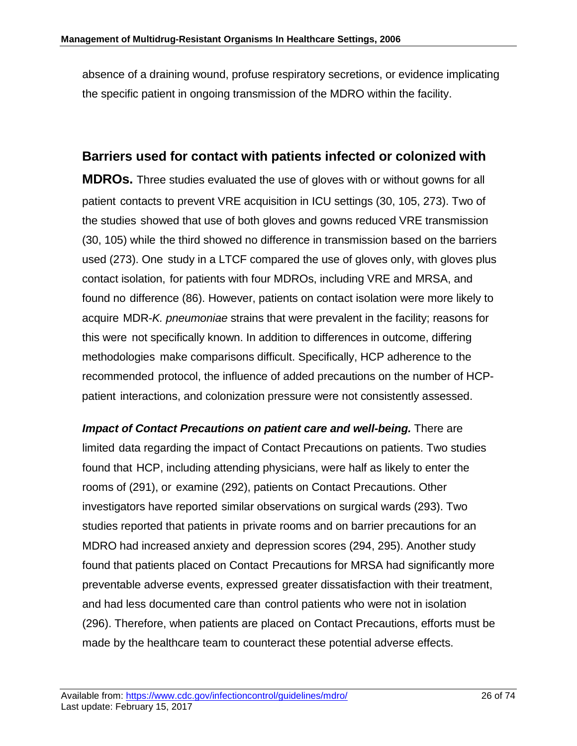absence of a draining wound, profuse respiratory secretions, or evidence implicating the specific patient in ongoing transmission of the MDRO within the facility.

## <span id="page-26-0"></span>**Barriers used for contact with patients infected or colonized with**

**MDROs.** Three studies evaluated the use of gloves with or without gowns for all patient contacts to prevent VRE acquisition in ICU settings (30, 105, 273). Two of the studies showed that use of both gloves and gowns reduced VRE transmission (30, 105) while the third showed no difference in transmission based on the barriers used (273). One study in a LTCF compared the use of gloves only, with gloves plus contact isolation, for patients with four MDROs, including VRE and MRSA, and found no difference (86). However, patients on contact isolation were more likely to acquire MDR-*K. pneumoniae* strains that were prevalent in the facility; reasons for this were not specifically known. In addition to differences in outcome, differing methodologies make comparisons difficult. Specifically, HCP adherence to the recommended protocol, the influence of added precautions on the number of HCPpatient interactions, and colonization pressure were not consistently assessed.

**Impact of Contact Precautions on patient care and well-being.** There are limited data regarding the impact of Contact Precautions on patients. Two studies found that HCP, including attending physicians, were half as likely to enter the rooms of (291), or examine (292), patients on Contact Precautions. Other investigators have reported similar observations on surgical wards (293). Two studies reported that patients in private rooms and on barrier precautions for an MDRO had increased anxiety and depression scores (294, 295). Another study found that patients placed on Contact Precautions for MRSA had significantly more preventable adverse events, expressed greater dissatisfaction with their treatment, and had less documented care than control patients who were not in isolation (296). Therefore, when patients are placed on Contact Precautions, efforts must be made by the healthcare team to counteract these potential adverse effects.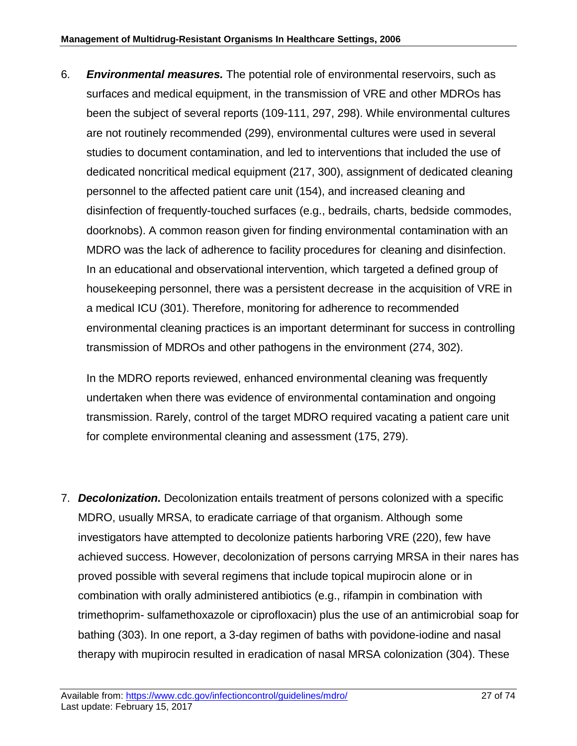6. *Environmental measures.* The potential role of environmental reservoirs, such as surfaces and medical equipment, in the transmission of VRE and other MDROs has been the subject of several reports (109-111, 297, 298). While environmental cultures are not routinely recommended (299), environmental cultures were used in several studies to document contamination, and led to interventions that included the use of dedicated noncritical medical equipment (217, 300), assignment of dedicated cleaning personnel to the affected patient care unit (154), and increased cleaning and disinfection of frequently-touched surfaces (e.g., bedrails, charts, bedside commodes, doorknobs). A common reason given for finding environmental contamination with an MDRO was the lack of adherence to facility procedures for cleaning and disinfection. In an educational and observational intervention, which targeted a defined group of housekeeping personnel, there was a persistent decrease in the acquisition of VRE in a medical ICU (301). Therefore, monitoring for adherence to recommended environmental cleaning practices is an important determinant for success in controlling transmission of MDROs and other pathogens in the environment (274, 302).

In the MDRO reports reviewed, enhanced environmental cleaning was frequently undertaken when there was evidence of environmental contamination and ongoing transmission. Rarely, control of the target MDRO required vacating a patient care unit for complete environmental cleaning and assessment (175, 279).

7. *Decolonization.* Decolonization entails treatment of persons colonized with a specific MDRO, usually MRSA, to eradicate carriage of that organism. Although some investigators have attempted to decolonize patients harboring VRE (220), few have achieved success. However, decolonization of persons carrying MRSA in their nares has proved possible with several regimens that include topical mupirocin alone or in combination with orally administered antibiotics (e.g., rifampin in combination with trimethoprim- sulfamethoxazole or ciprofloxacin) plus the use of an antimicrobial soap for bathing (303). In one report, a 3-day regimen of baths with povidone-iodine and nasal therapy with mupirocin resulted in eradication of nasal MRSA colonization (304). These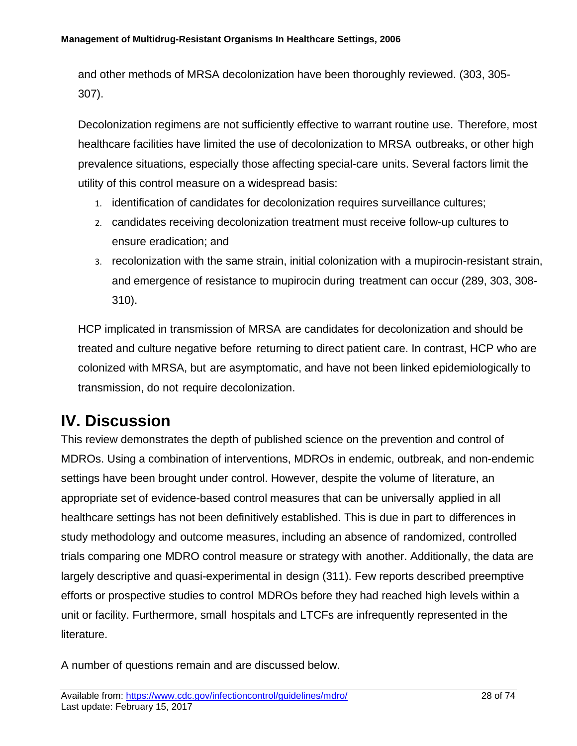and other methods of MRSA decolonization have been thoroughly reviewed. (303, 305- 307).

Decolonization regimens are not sufficiently effective to warrant routine use. Therefore, most healthcare facilities have limited the use of decolonization to MRSA outbreaks, or other high prevalence situations, especially those affecting special-care units. Several factors limit the utility of this control measure on a widespread basis:

- 1. identification of candidates for decolonization requires surveillance cultures;
- 2. candidates receiving decolonization treatment must receive follow-up cultures to ensure eradication; and
- 3. recolonization with the same strain, initial colonization with a mupirocin-resistant strain, and emergence of resistance to mupirocin during treatment can occur (289, 303, 308- 310).

HCP implicated in transmission of MRSA are candidates for decolonization and should be treated and culture negative before returning to direct patient care. In contrast, HCP who are colonized with MRSA, but are asymptomatic, and have not been linked epidemiologically to transmission, do not require decolonization.

## <span id="page-28-0"></span>**IV. Discussion**

This review demonstrates the depth of published science on the prevention and control of MDROs. Using a combination of interventions, MDROs in endemic, outbreak, and non-endemic settings have been brought under control. However, despite the volume of literature, an appropriate set of evidence-based control measures that can be universally applied in all healthcare settings has not been definitively established. This is due in part to differences in study methodology and outcome measures, including an absence of randomized, controlled trials comparing one MDRO control measure or strategy with another. Additionally, the data are largely descriptive and quasi-experimental in design (311). Few reports described preemptive efforts or prospective studies to control MDROs before they had reached high levels within a unit or facility. Furthermore, small hospitals and LTCFs are infrequently represented in the literature.

A number of questions remain and are discussed below.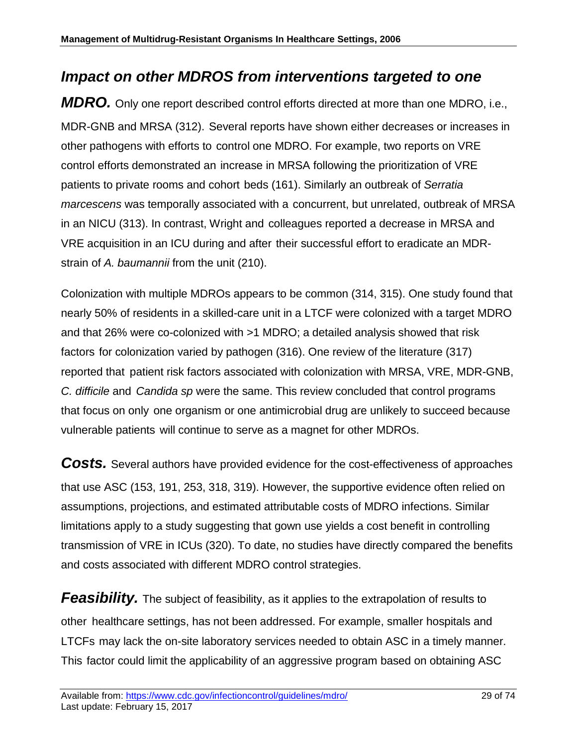## <span id="page-29-0"></span>*Impact on other MDROS from interventions targeted to one*

*MDRO.* Only one report described control efforts directed at more than one MDRO, i.e., MDR-GNB and MRSA (312). Several reports have shown either decreases or increases in other pathogens with efforts to control one MDRO. For example, two reports on VRE control efforts demonstrated an increase in MRSA following the prioritization of VRE patients to private rooms and cohort beds (161). Similarly an outbreak of *Serratia marcescens* was temporally associated with a concurrent, but unrelated, outbreak of MRSA in an NICU (313). In contrast, Wright and colleagues reported a decrease in MRSA and VRE acquisition in an ICU during and after their successful effort to eradicate an MDRstrain of *A. baumannii* from the unit (210).

Colonization with multiple MDROs appears to be common (314, 315). One study found that nearly 50% of residents in a skilled-care unit in a LTCF were colonized with a target MDRO and that 26% were co-colonized with >1 MDRO; a detailed analysis showed that risk factors for colonization varied by pathogen (316). One review of the literature (317) reported that patient risk factors associated with colonization with MRSA, VRE, MDR-GNB, *C. difficile* and *Candida sp* were the same. This review concluded that control programs that focus on only one organism or one antimicrobial drug are unlikely to succeed because vulnerable patients will continue to serve as a magnet for other MDROs.

<span id="page-29-1"></span>*Costs.* Several authors have provided evidence for the cost-effectiveness of approaches that use ASC (153, 191, 253, 318, 319). However, the supportive evidence often relied on assumptions, projections, and estimated attributable costs of MDRO infections. Similar limitations apply to a study suggesting that gown use yields a cost benefit in controlling transmission of VRE in ICUs (320). To date, no studies have directly compared the benefits and costs associated with different MDRO control strategies.

<span id="page-29-2"></span>**Feasibility.** The subject of feasibility, as it applies to the extrapolation of results to other healthcare settings, has not been addressed. For example, smaller hospitals and LTCFs may lack the on-site laboratory services needed to obtain ASC in a timely manner. This factor could limit the applicability of an aggressive program based on obtaining ASC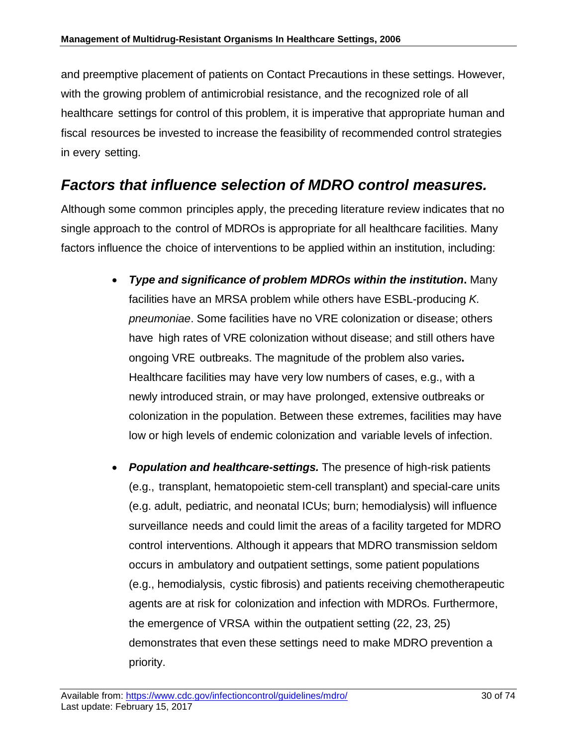and preemptive placement of patients on Contact Precautions in these settings. However, with the growing problem of antimicrobial resistance, and the recognized role of all healthcare settings for control of this problem, it is imperative that appropriate human and fiscal resources be invested to increase the feasibility of recommended control strategies in every setting.

## <span id="page-30-0"></span>*Factors that influence selection of MDRO control measures.*

Although some common principles apply, the preceding literature review indicates that no single approach to the control of MDROs is appropriate for all healthcare facilities. Many factors influence the choice of interventions to be applied within an institution, including:

- *Type and significance of problem MDROs within the institution***.** Many facilities have an MRSA problem while others have ESBL-producing *K. pneumoniae*. Some facilities have no VRE colonization or disease; others have high rates of VRE colonization without disease; and still others have ongoing VRE outbreaks. The magnitude of the problem also varies**.**  Healthcare facilities may have very low numbers of cases, e.g., with a newly introduced strain, or may have prolonged, extensive outbreaks or colonization in the population. Between these extremes, facilities may have low or high levels of endemic colonization and variable levels of infection.
- *Population and healthcare-settings.* The presence of high-risk patients (e.g., transplant, hematopoietic stem-cell transplant) and special-care units (e.g. adult, pediatric, and neonatal ICUs; burn; hemodialysis) will influence surveillance needs and could limit the areas of a facility targeted for MDRO control interventions. Although it appears that MDRO transmission seldom occurs in ambulatory and outpatient settings, some patient populations (e.g., hemodialysis, cystic fibrosis) and patients receiving chemotherapeutic agents are at risk for colonization and infection with MDROs. Furthermore, the emergence of VRSA within the outpatient setting (22, 23, 25) demonstrates that even these settings need to make MDRO prevention a priority.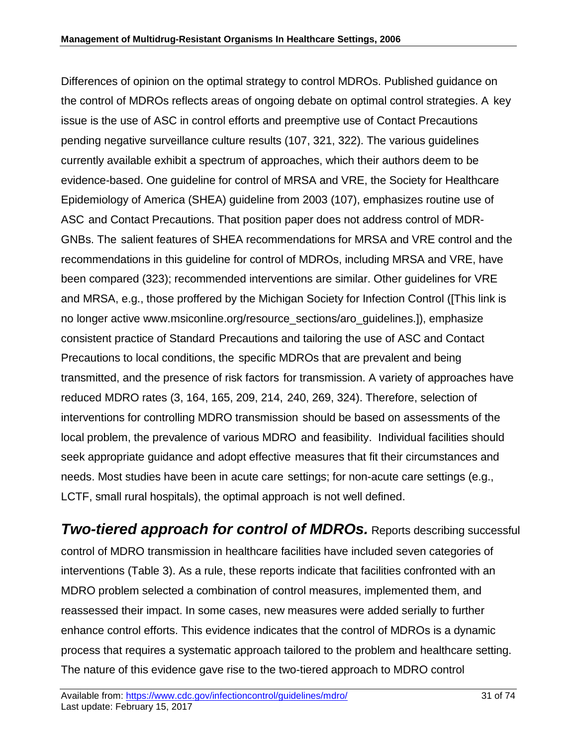Differences of opinion on the optimal strategy to control MDROs. Published guidance on the control of MDROs reflects areas of ongoing debate on optimal control strategies. A key issue is the use of ASC in control efforts and preemptive use of Contact Precautions pending negative surveillance culture results (107, 321, 322). The various guidelines currently available exhibit a spectrum of approaches, which their authors deem to be evidence-based. One guideline for control of MRSA and VRE, the Society for Healthcare Epidemiology of America (SHEA) guideline from 2003 (107), emphasizes routine use of ASC and Contact Precautions. That position paper does not address control of MDR-GNBs. The salient features of SHEA recommendations for MRSA and VRE control and the recommendations in this guideline for control of MDROs, including MRSA and VRE, have been compared (323); recommended interventions are similar. Other guidelines for VRE and MRSA, e.g., those proffered by the Michigan Society for Infection Control ([This link is no longer active www.msiconline.org/resource\_sections/aro\_guidelines.]), emphasize consistent practice of Standard Precautions and tailoring the use of ASC and Contact Precautions to local conditions, the specific MDROs that are prevalent and being transmitted, and the presence of risk factors for transmission. A variety of approaches have reduced MDRO rates (3, 164, 165, 209, 214, 240, 269, 324). Therefore, selection of interventions for controlling MDRO transmission should be based on assessments of the local problem, the prevalence of various MDRO and feasibility. Individual facilities should seek appropriate guidance and adopt effective measures that fit their circumstances and needs. Most studies have been in acute care settings; for non-acute care settings (e.g., LCTF, small rural hospitals), the optimal approach is not well defined.

<span id="page-31-0"></span>*Two-tiered approach for control of MDROs. Reports describing successful* control of MDRO transmission in healthcare facilities have included seven categories of interventions (Table 3). As a rule, these reports indicate that facilities confronted with an MDRO problem selected a combination of control measures, implemented them, and reassessed their impact. In some cases, new measures were added serially to further enhance control efforts. This evidence indicates that the control of MDROs is a dynamic process that requires a systematic approach tailored to the problem and healthcare setting. The nature of this evidence gave rise to the two-tiered approach to MDRO control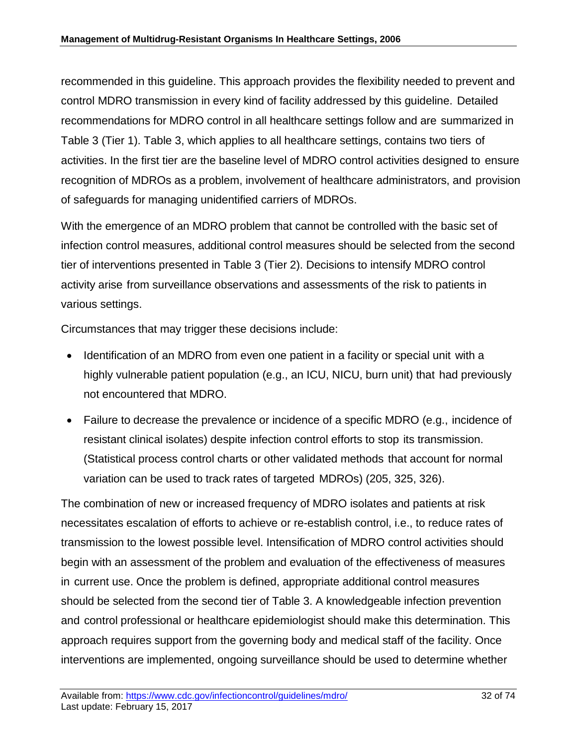recommended in this guideline. This approach provides the flexibility needed to prevent and control MDRO transmission in every kind of facility addressed by this guideline. Detailed recommendations for MDRO control in all healthcare settings follow and are summarized in Table 3 (Tier 1). Table 3, which applies to all healthcare settings, contains two tiers of activities. In the first tier are the baseline level of MDRO control activities designed to ensure recognition of MDROs as a problem, involvement of healthcare administrators, and provision of safeguards for managing unidentified carriers of MDROs.

With the emergence of an MDRO problem that cannot be controlled with the basic set of infection control measures, additional control measures should be selected from the second tier of interventions presented in Table 3 (Tier 2). Decisions to intensify MDRO control activity arise from surveillance observations and assessments of the risk to patients in various settings.

Circumstances that may trigger these decisions include:

- Identification of an MDRO from even one patient in a facility or special unit with a highly vulnerable patient population (e.g., an ICU, NICU, burn unit) that had previously not encountered that MDRO.
- Failure to decrease the prevalence or incidence of a specific MDRO (e.g., incidence of resistant clinical isolates) despite infection control efforts to stop its transmission. (Statistical process control charts or other validated methods that account for normal variation can be used to track rates of targeted MDROs) (205, 325, 326).

The combination of new or increased frequency of MDRO isolates and patients at risk necessitates escalation of efforts to achieve or re-establish control, i.e., to reduce rates of transmission to the lowest possible level. Intensification of MDRO control activities should begin with an assessment of the problem and evaluation of the effectiveness of measures in current use. Once the problem is defined, appropriate additional control measures should be selected from the second tier of Table 3. A knowledgeable infection prevention and control professional or healthcare epidemiologist should make this determination. This approach requires support from the governing body and medical staff of the facility. Once interventions are implemented, ongoing surveillance should be used to determine whether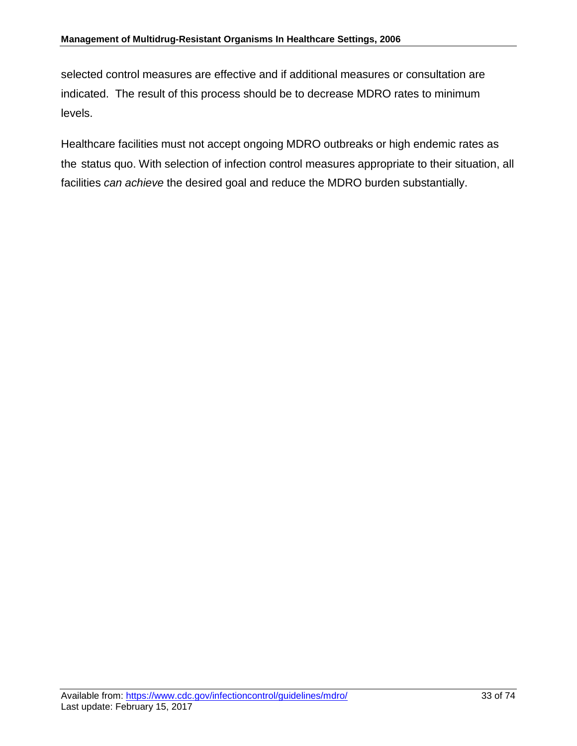selected control measures are effective and if additional measures or consultation are indicated. The result of this process should be to decrease MDRO rates to minimum levels.

Healthcare facilities must not accept ongoing MDRO outbreaks or high endemic rates as the status quo. With selection of infection control measures appropriate to their situation, all facilities *can achieve* the desired goal and reduce the MDRO burden substantially.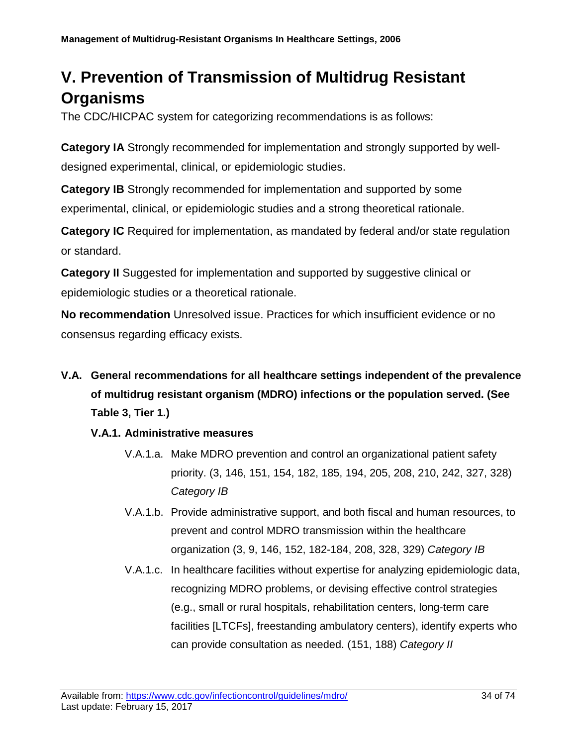# <span id="page-34-0"></span>**V. Prevention of Transmission of Multidrug Resistant Organisms**

The CDC/HICPAC system for categorizing recommendations is as follows:

**Category IA** Strongly recommended for implementation and strongly supported by welldesigned experimental, clinical, or epidemiologic studies.

**Category IB** Strongly recommended for implementation and supported by some experimental, clinical, or epidemiologic studies and a strong theoretical rationale.

**Category IC** Required for implementation, as mandated by federal and/or state regulation or standard.

**Category II** Suggested for implementation and supported by suggestive clinical or epidemiologic studies or a theoretical rationale.

**No recommendation** Unresolved issue. Practices for which insufficient evidence or no consensus regarding efficacy exists.

- **V.A. General recommendations for all healthcare settings independent of the prevalence of multidrug resistant organism (MDRO) infections or the population served. (See Table 3, Tier 1.)** 
	- **V.A.1. Administrative measures** 
		- V.A.1.a. Make MDRO prevention and control an organizational patient safety priority. [\(3,](http://www.cdc.gov/hicpac/mdro/mdro_reference.html#3) [146,](http://www.cdc.gov/hicpac/mdro/mdro_reference.html#146) [151,](http://www.cdc.gov/hicpac/mdro/mdro_reference.html#151) [154,](http://www.cdc.gov/hicpac/mdro/mdro_reference.html#154) [182,](http://www.cdc.gov/hicpac/mdro/mdro_reference.html#182) [185,](http://www.cdc.gov/hicpac/mdro/mdro_reference.html#185) [194,](http://www.cdc.gov/hicpac/mdro/mdro_reference.html#194) [205,](http://www.cdc.gov/hicpac/mdro/mdro_reference.html#205) [208,](http://www.cdc.gov/hicpac/mdro/mdro_reference.html#208) [210,](http://www.cdc.gov/hicpac/mdro/mdro_reference.html#210) [242,](http://www.cdc.gov/hicpac/mdro/mdro_reference.html#242) [327,](http://www.cdc.gov/hicpac/mdro/mdro_reference.html#327) [328\)](http://www.cdc.gov/hicpac/mdro/mdro_reference.html#328) *Category IB*
		- V.A.1.b. Provide administrative support, and both fiscal and human resources, to prevent and control MDRO transmission within the healthcare organization [\(3,](http://www.cdc.gov/hicpac/mdro/mdro_reference.html#3) [9,](http://www.cdc.gov/hicpac/mdro/mdro_reference.html#9) [146,](http://www.cdc.gov/hicpac/mdro/mdro_reference.html#146) [152,](http://www.cdc.gov/hicpac/mdro/mdro_reference.html#152) [182-](http://www.cdc.gov/hicpac/mdro/mdro_reference.html#182)184, [208,](http://www.cdc.gov/hicpac/mdro/mdro_reference.html#208) [328,](http://www.cdc.gov/hicpac/mdro/mdro_reference.html#328) [329\)](http://www.cdc.gov/hicpac/mdro/mdro_reference.html#329) *Category IB*
		- V.A.1.c. In healthcare facilities without expertise for analyzing epidemiologic data, recognizing MDRO problems, or devising effective control strategies (e.g., small or rural hospitals, rehabilitation centers, long-term care facilities [LTCFs], freestanding ambulatory centers), identify experts who can provide consultation as needed. (151, 188) *Category II*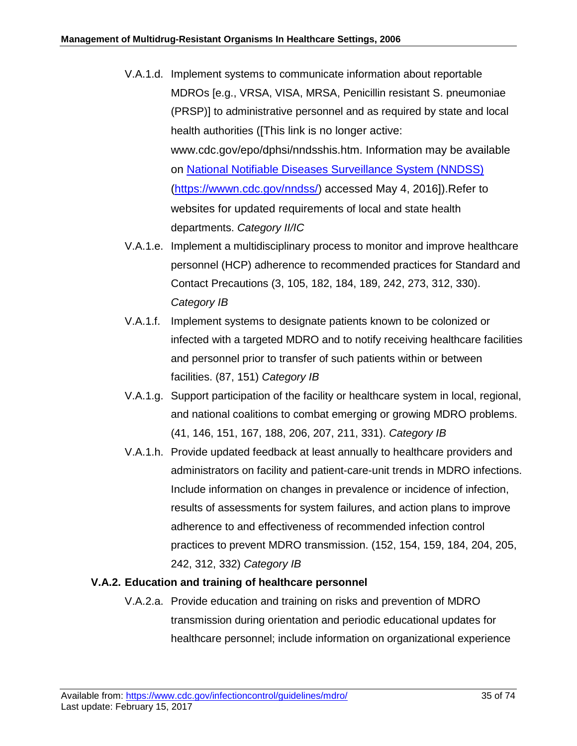- V.A.1.d. Implement systems to communicate information about reportable MDROs [e.g., VRSA, VISA, MRSA, Penicillin resistant S. pneumoniae (PRSP)] to administrative personnel and as required by state and local health authorities ([This link is no longer active: www.cdc.gov/epo/dphsi/nndsshis.htm. Information may be available on [National Notifiable Diseases Surveillance System \(NNDSS\)](https://wwwn.cdc.gov/nndss/) [\(https://wwwn.cdc.gov/nndss/\)](https://wwwn.cdc.gov/nndss/) accessed May 4, 2016]).Refer to websites for updated requirements of local and state health departments. *Category II/IC*
- V.A.1.e. Implement a multidisciplinary process to monitor and improve healthcare personnel (HCP) adherence to recommended practices for Standard and Contact Precautions [\(3,](http://www.cdc.gov/hicpac/mdro/mdro_reference.html#3) [105,](http://www.cdc.gov/hicpac/mdro/mdro_reference.html#105) [182,](http://www.cdc.gov/hicpac/mdro/mdro_reference.html#182) [184,](http://www.cdc.gov/hicpac/mdro/mdro_reference.html#184) [189,](http://www.cdc.gov/hicpac/mdro/mdro_reference.html#189) [242,](http://www.cdc.gov/hicpac/mdro/mdro_reference.html#242) [273,](http://www.cdc.gov/hicpac/mdro/mdro_reference.html#273) [312,](http://www.cdc.gov/hicpac/mdro/mdro_reference.html#312) 330). *Category IB*
- V.A.1.f. Implement systems to designate patients known to be colonized or infected with a targeted MDRO and to notify receiving healthcare facilities and personnel prior to transfer of such patients within or between facilities. (87, 151) *Category IB*
- V.A.1.g. Support participation of the facility or healthcare system in local, regional, and national coalitions to combat emerging or growing MDRO problems. (41, [146,](http://www.cdc.gov/hicpac/mdro/mdro_reference.html#146) [151,](http://www.cdc.gov/hicpac/mdro/mdro_reference.html#151) 167, [188,](http://www.cdc.gov/hicpac/mdro/mdro_reference.html#188) [206,](http://www.cdc.gov/hicpac/mdro/mdro_reference.html#206) [207,](http://www.cdc.gov/hicpac/mdro/mdro_reference.html#207) [211,](http://www.cdc.gov/hicpac/mdro/mdro_reference.html#211) 331). *Category IB*
- V.A.1.h. Provide updated feedback at least annually to healthcare providers and administrators on facility and patient-care-unit trends in MDRO infections. Include information on changes in prevalence or incidence of infection, results of assessments for system failures, and action plans to improve adherence to and effectiveness of recommended infection control practices to prevent MDRO transmission. [\(152,](http://www.cdc.gov/hicpac/mdro/mdro_reference.html#152) [154,](http://www.cdc.gov/hicpac/mdro/mdro_reference.html#154) [159,](http://www.cdc.gov/hicpac/mdro/mdro_reference.html#159) [184,](http://www.cdc.gov/hicpac/mdro/mdro_reference.html#184) [204,](http://www.cdc.gov/hicpac/mdro/mdro_reference.html#204) [205,](http://www.cdc.gov/hicpac/mdro/mdro_reference.html#205) [242,](http://www.cdc.gov/hicpac/mdro/mdro_reference.html#242) [312,](http://www.cdc.gov/hicpac/mdro/mdro_reference.html#312) [332\)](http://www.cdc.gov/hicpac/mdro/mdro_reference.html#332) *Category IB*

## **V.A.2. Education and training of healthcare personnel**

V.A.2.a. Provide education and training on risks and prevention of MDRO transmission during orientation and periodic educational updates for healthcare personnel; include information on organizational experience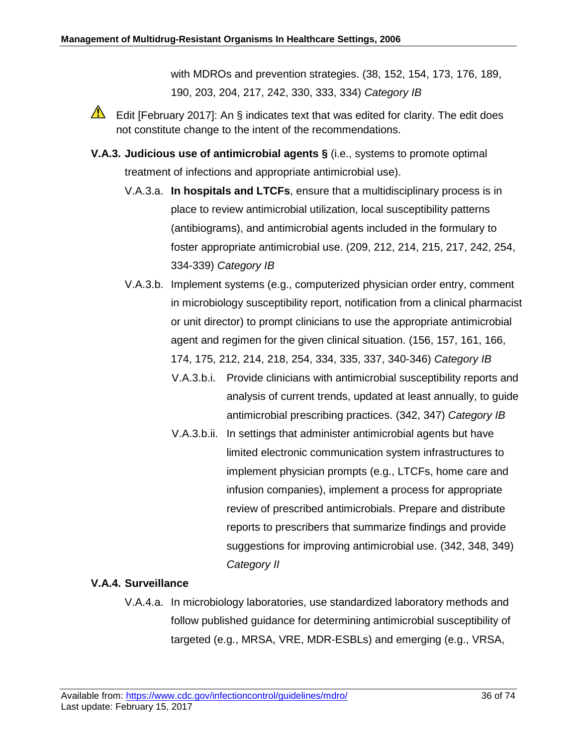with MDROs and prevention strategies. [\(38,](http://www.cdc.gov/hicpac/mdro/mdro_reference.html#38) [152,](http://www.cdc.gov/hicpac/mdro/mdro_reference.html#152) [154,](http://www.cdc.gov/hicpac/mdro/mdro_reference.html#154) [173,](http://www.cdc.gov/hicpac/mdro/mdro_reference.html#173) [176,](http://www.cdc.gov/hicpac/mdro/mdro_reference.html#176) [189,](http://www.cdc.gov/hicpac/mdro/mdro_reference.html#189) [190,](http://www.cdc.gov/hicpac/mdro/mdro_reference.html#190) [203,](http://www.cdc.gov/hicpac/mdro/mdro_reference.html#203) [204,](http://www.cdc.gov/hicpac/mdro/mdro_reference.html#204) [217,](http://www.cdc.gov/hicpac/mdro/mdro_reference.html#217) [242,](http://www.cdc.gov/hicpac/mdro/mdro_reference.html#242) [330,](http://www.cdc.gov/hicpac/mdro/mdro_reference.html#330) [333,](http://www.cdc.gov/hicpac/mdro/mdro_reference.html#333) 334) *Category IB*

**A** Edit [February 2017]: An § indicates text that was edited for clarity. The edit does not constitute change to the intent of the recommendations.

- **V.A.3. Judicious use of antimicrobial agents §** (i.e., systems to promote optimal treatment of infections and appropriate antimicrobial use).
	- V.A.3.a. **In hospitals and LTCFs**, ensure that a multidisciplinary process is in place to review antimicrobial utilization, local susceptibility patterns (antibiograms), and antimicrobial agents included in the formulary to foster appropriate antimicrobial use. (209, [212,](http://www.cdc.gov/hicpac/mdro/mdro_reference.html#212) [214,](http://www.cdc.gov/hicpac/mdro/mdro_reference.html#214) [215,](http://www.cdc.gov/hicpac/mdro/mdro_reference.html#215) [217,](http://www.cdc.gov/hicpac/mdro/mdro_reference.html#217) [242,](http://www.cdc.gov/hicpac/mdro/mdro_reference.html#242) 254, 334[-339\)](http://www.cdc.gov/hicpac/mdro/mdro_reference.html#339) *Category IB*
	- V.A.3.b. Implement systems (e.g., computerized physician order entry, comment in microbiology susceptibility report, notification from a clinical pharmacist or unit director) to prompt clinicians to use the appropriate antimicrobial agent and regimen for the given clinical situation. (156, 157, [161,](http://www.cdc.gov/hicpac/mdro/mdro_reference.html#161) [166,](http://www.cdc.gov/hicpac/mdro/mdro_reference.html#166) [174,](http://www.cdc.gov/hicpac/mdro/mdro_reference.html#174) [175,](http://www.cdc.gov/hicpac/mdro/mdro_reference.html#175) [212,](http://www.cdc.gov/hicpac/mdro/mdro_reference.html#212) [214,](http://www.cdc.gov/hicpac/mdro/mdro_reference.html#214) [218,](http://www.cdc.gov/hicpac/mdro/mdro_reference.html#218) 254, 334, 335, 337, 340-346) *Category IB*
		- V.A.3.b.i. Provide clinicians with antimicrobial susceptibility reports and analysis of current trends, updated at least annually, to guide antimicrobial prescribing practices. (342, 347) *Category IB*
		- V.A.3.b.ii. In settings that administer antimicrobial agents but have limited electronic communication system infrastructures to implement physician prompts (e.g., LTCFs, home care and infusion companies), implement a process for appropriate review of prescribed antimicrobials. Prepare and distribute reports to prescribers that summarize findings and provide suggestions for improving antimicrobial use. (342, 348, 349) *Category II*

#### **V.A.4. Surveillance**

V.A.4.a. In microbiology laboratories, use standardized laboratory methods and follow published guidance for determining antimicrobial susceptibility of targeted (e.g., MRSA, VRE, MDR-ESBLs) and emerging (e.g., VRSA,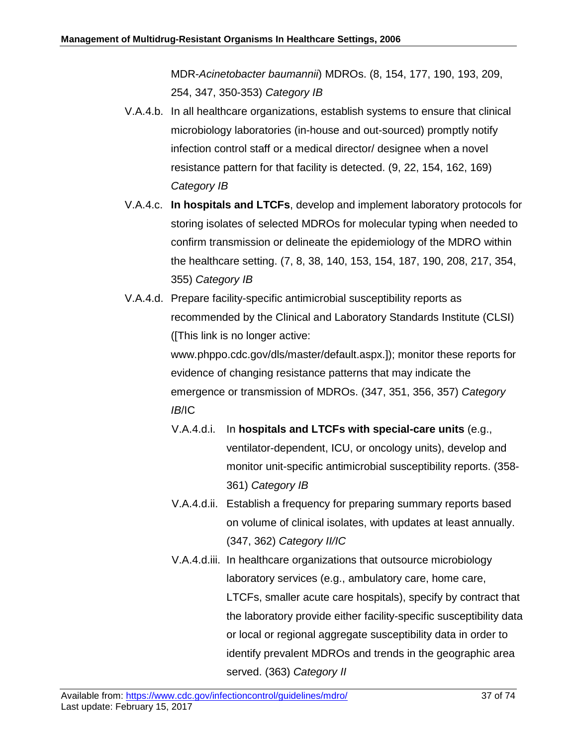MDR-*Acinetobacter baumannii*) MDROs. [\(8,](http://www.cdc.gov/hicpac/mdro/mdro_reference.html#8) [154,](http://www.cdc.gov/hicpac/mdro/mdro_reference.html#154) [177,](http://www.cdc.gov/hicpac/mdro/mdro_reference.html#177) [190,](http://www.cdc.gov/hicpac/mdro/mdro_reference.html#190) [193,](http://www.cdc.gov/hicpac/mdro/mdro_reference.html#193) [209,](http://www.cdc.gov/hicpac/mdro/mdro_reference.html#209) 254, 347, 350-353) *Category IB*

- V.A.4.b. In all healthcare organizations, establish systems to ensure that clinical microbiology laboratories (in-house and out-sourced) promptly notify infection control staff or a medical director/ designee when a novel resistance pattern for that facility is detected. [\(9,](http://www.cdc.gov/hicpac/mdro/mdro_reference.html#9) 22, [154,](http://www.cdc.gov/hicpac/mdro/mdro_reference.html#154) 162, 169) *Category IB*
- V.A.4.c. **In hospitals and LTCFs**, develop and implement laboratory protocols for storing isolates of selected MDROs for molecular typing when needed to confirm transmission or delineate the epidemiology of the MDRO within the healthcare setting. [\(7,](http://www.cdc.gov/hicpac/mdro/mdro_reference.html#7) 8, [38,](http://www.cdc.gov/hicpac/mdro/mdro_reference.html#38) 140, 153, [154,](http://www.cdc.gov/hicpac/mdro/mdro_reference.html#154) [187,](http://www.cdc.gov/hicpac/mdro/mdro_reference.html#187) [190,](http://www.cdc.gov/hicpac/mdro/mdro_reference.html#190) [208,](http://www.cdc.gov/hicpac/mdro/mdro_reference.html#208) [217,](http://www.cdc.gov/hicpac/mdro/mdro_reference.html#217) 354, 355) *Category IB*
- V.A.4.d. Prepare facility-specific antimicrobial susceptibility reports as recommended by the Clinical and Laboratory Standards Institute (CLSI) ([This link is no longer active:

www.phppo.cdc.gov/dls/master/default.aspx.]); monitor these reports for evidence of changing resistance patterns that may indicate the emergence or transmission of MDROs. (347, 351, 356, 357) *Category IB*/IC

- V.A.4.d.i. In **hospitals and LTCFs with special-care units** (e.g., ventilator-dependent, ICU, or oncology units), develop and monitor unit-specific antimicrobial susceptibility reports. (358- 361) *Category IB*
- V.A.4.d.ii. Establish a frequency for preparing summary reports based on volume of clinical isolates, with updates at least annually. (347, 362) *Category II/IC*
- V.A.4.d.iii. In healthcare organizations that outsource microbiology laboratory services (e.g., ambulatory care, home care, LTCFs, smaller acute care hospitals), specify by contract that the laboratory provide either facility-specific susceptibility data or local or regional aggregate susceptibility data in order to identify prevalent MDROs and trends in the geographic area served. (363) *Category II*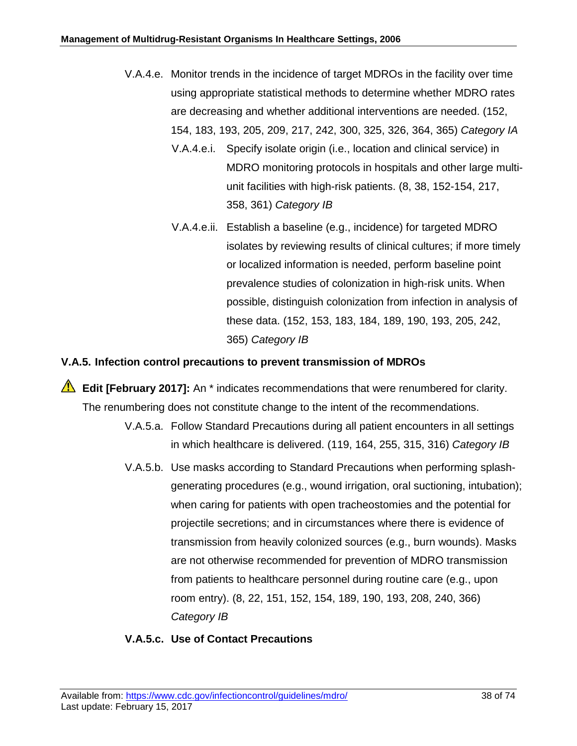- V.A.4.e. Monitor trends in the incidence of target MDROs in the facility over time using appropriate statistical methods to determine whether MDRO rates are decreasing and whether additional interventions are needed. [\(152,](http://www.cdc.gov/hicpac/mdro/mdro_reference.html#152) [154,](http://www.cdc.gov/hicpac/mdro/mdro_reference.html#154) [183,](http://www.cdc.gov/hicpac/mdro/mdro_reference.html#183) [193,](http://www.cdc.gov/hicpac/mdro/mdro_reference.html#193) [205,](http://www.cdc.gov/hicpac/mdro/mdro_reference.html#205) [209,](http://www.cdc.gov/hicpac/mdro/mdro_reference.html#209) [217,](http://www.cdc.gov/hicpac/mdro/mdro_reference.html#217) [242,](http://www.cdc.gov/hicpac/mdro/mdro_reference.html#242) [300,](http://www.cdc.gov/hicpac/mdro/mdro_reference.html#300) [325,](http://www.cdc.gov/hicpac/mdro/mdro_reference.html#325) [326,](http://www.cdc.gov/hicpac/mdro/mdro_reference.html#326) [364,](http://www.cdc.gov/hicpac/mdro/mdro_reference.html#364) [365\)](http://www.cdc.gov/hicpac/mdro/mdro_reference.html#365) *Category IA*
	- V.A.4.e.i. Specify isolate origin (i.e., location and clinical service) in MDRO monitoring protocols in hospitals and other large multiunit facilities with high-risk patients. [\(8,](http://www.cdc.gov/hicpac/mdro/mdro_reference.html#8) [38,](http://www.cdc.gov/hicpac/mdro/mdro_reference.html#38) [152](http://www.cdc.gov/hicpac/mdro/mdro_reference.html#152)[-154,](http://www.cdc.gov/hicpac/mdro/mdro_reference.html#154) [217,](http://www.cdc.gov/hicpac/mdro/mdro_reference.html#217) 358, 361) *Category IB*
	- V.A.4.e.ii. Establish a baseline (e.g., incidence) for targeted MDRO isolates by reviewing results of clinical cultures; if more timely or localized information is needed, perform baseline point prevalence studies of colonization in high-risk units. When possible, distinguish colonization from infection in analysis of these data. [\(152,](http://www.cdc.gov/hicpac/mdro/mdro_reference.html#152) 153, [183,](http://www.cdc.gov/hicpac/mdro/mdro_reference.html#183) [184,](http://www.cdc.gov/hicpac/mdro/mdro_reference.html#184) [189,](http://www.cdc.gov/hicpac/mdro/mdro_reference.html#189) [190,](http://www.cdc.gov/hicpac/mdro/mdro_reference.html#190) [193,](http://www.cdc.gov/hicpac/mdro/mdro_reference.html#193) [205,](http://www.cdc.gov/hicpac/mdro/mdro_reference.html#205) [242,](http://www.cdc.gov/hicpac/mdro/mdro_reference.html#242) [365\)](http://www.cdc.gov/hicpac/mdro/mdro_reference.html#365) *Category IB*

#### **V.A.5. Infection control precautions to prevent transmission of MDROs**

**A** Edit [February 2017]: An \* indicates recommendations that were renumbered for clarity. The renumbering does not constitute change to the intent of the recommendations.

- V.A.5.a. Follow Standard Precautions during all patient encounters in all settings in which healthcare is delivered. (119, [164,](http://www.cdc.gov/hicpac/mdro/mdro_reference.html#164) 255, [315,](http://www.cdc.gov/hicpac/mdro/mdro_reference.html#315) [316\)](http://www.cdc.gov/hicpac/mdro/mdro_reference.html#316) *Category IB*
- V.A.5.b. Use masks according to Standard Precautions when performing splashgenerating procedures (e.g., wound irrigation, oral suctioning, intubation); when caring for patients with open tracheostomies and the potential for projectile secretions; and in circumstances where there is evidence of transmission from heavily colonized sources (e.g., burn wounds). Masks are not otherwise recommended for prevention of MDRO transmission from patients to healthcare personnel during routine care (e.g., upon room entry). [\(8,](http://www.cdc.gov/hicpac/mdro/mdro_reference.html#8) 22, [151,](http://www.cdc.gov/hicpac/mdro/mdro_reference.html#151) [152,](http://www.cdc.gov/hicpac/mdro/mdro_reference.html#152) [154,](http://www.cdc.gov/hicpac/mdro/mdro_reference.html#154) [189,](http://www.cdc.gov/hicpac/mdro/mdro_reference.html#189) [190,](http://www.cdc.gov/hicpac/mdro/mdro_reference.html#190) [193,](http://www.cdc.gov/hicpac/mdro/mdro_reference.html#193) [208,](http://www.cdc.gov/hicpac/mdro/mdro_reference.html#208) [240,](http://www.cdc.gov/hicpac/mdro/mdro_reference.html#240) [366\)](http://www.cdc.gov/hicpac/mdro/mdro_reference.html#366) *Category IB*

## **V.A.5.c. Use of Contact Precautions**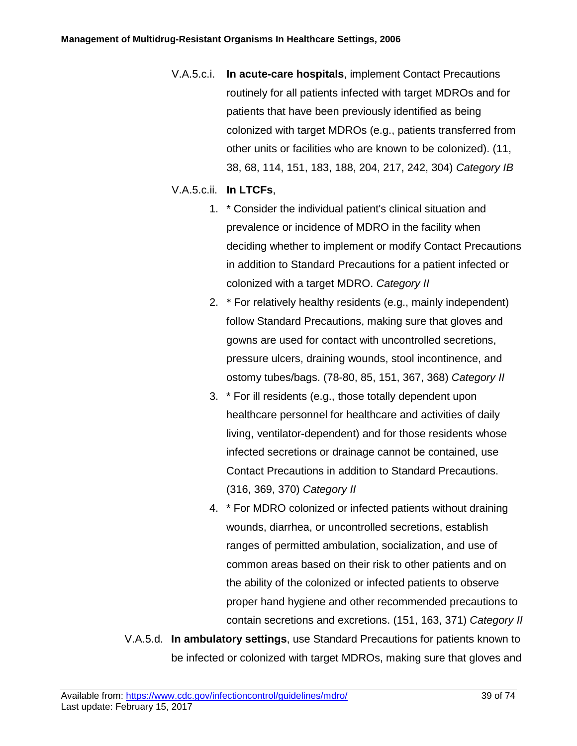- V.A.5.c.i. **In acute-care hospitals**, implement Contact Precautions routinely for all patients infected with target MDROs and for patients that have been previously identified as being colonized with target MDROs (e.g., patients transferred from other units or facilities who are known to be colonized). [\(11,](http://www.cdc.gov/hicpac/mdro/mdro_reference.html#11) [38,](http://www.cdc.gov/hicpac/mdro/mdro_reference.html#38) [68,](http://www.cdc.gov/hicpac/mdro/mdro_reference.html#68) [114,](http://www.cdc.gov/hicpac/mdro/mdro_reference.html#114) [151,](http://www.cdc.gov/hicpac/mdro/mdro_reference.html#151) [183,](http://www.cdc.gov/hicpac/mdro/mdro_reference.html#183) [188,](http://www.cdc.gov/hicpac/mdro/mdro_reference.html#188) [204,](http://www.cdc.gov/hicpac/mdro/mdro_reference.html#204) [217,](http://www.cdc.gov/hicpac/mdro/mdro_reference.html#217) [242,](http://www.cdc.gov/hicpac/mdro/mdro_reference.html#242) [304\)](http://www.cdc.gov/hicpac/mdro/mdro_reference.html#304) *Category IB*
- V.A.5.c.ii. **In LTCFs**,
	- 1. \* Consider the individual patient's clinical situation and prevalence or incidence of MDRO in the facility when deciding whether to implement or modify Contact Precautions in addition to Standard Precautions for a patient infected or colonized with a target MDRO. *Category II*
	- 2. \* For relatively healthy residents (e.g., mainly independent) follow Standard Precautions, making sure that gloves and gowns are used for contact with uncontrolled secretions, pressure ulcers, draining wounds, stool incontinence, and ostomy tubes/bags. (78-80, 85, [151,](http://www.cdc.gov/hicpac/mdro/mdro_reference.html#151) [367,](http://www.cdc.gov/hicpac/mdro/mdro_reference.html#367) 368) *Category II*
	- 3. \* For ill residents (e.g., those totally dependent upon healthcare personnel for healthcare and activities of daily living, ventilator-dependent) and for those residents whose infected secretions or drainage cannot be contained, use Contact Precautions in addition to Standard Precautions. [\(316,](http://www.cdc.gov/hicpac/mdro/mdro_reference.html#316) 369, 370) *Category II*
	- 4. \* For MDRO colonized or infected patients without draining wounds, diarrhea, or uncontrolled secretions, establish ranges of permitted ambulation, socialization, and use of common areas based on their risk to other patients and on the ability of the colonized or infected patients to observe proper hand hygiene and other recommended precautions to contain secretions and excretions. (151, [163,](http://www.cdc.gov/hicpac/mdro/mdro_reference.html#163) 371) *Category II*
- V.A.5.d. **In ambulatory settings**, use Standard Precautions for patients known to be infected or colonized with target MDROs, making sure that gloves and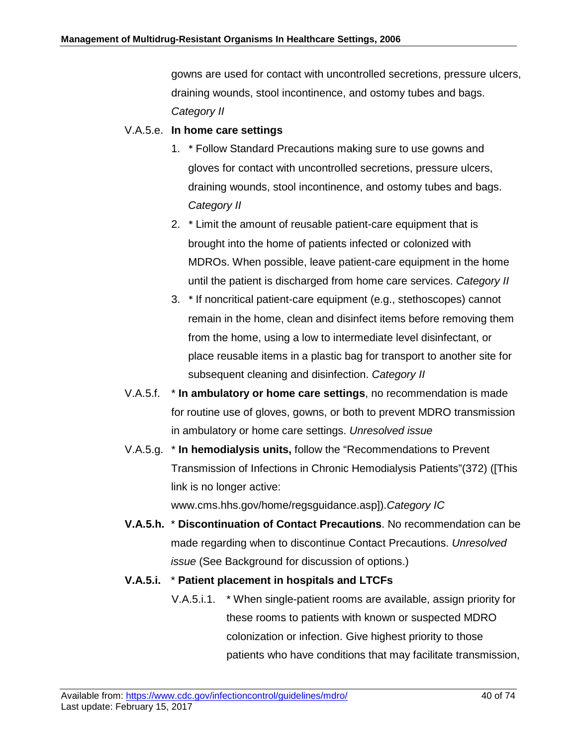gowns are used for contact with uncontrolled secretions, pressure ulcers, draining wounds, stool incontinence, and ostomy tubes and bags. *Category II*

#### V.A.5.e. **In home care settings**

- 1. \* Follow Standard Precautions making sure to use gowns and gloves for contact with uncontrolled secretions, pressure ulcers, draining wounds, stool incontinence, and ostomy tubes and bags. *Category II*
- 2. \* Limit the amount of reusable patient-care equipment that is brought into the home of patients infected or colonized with MDROs. When possible, leave patient-care equipment in the home until the patient is discharged from home care services. *Category II*
- 3. \* If noncritical patient-care equipment (e.g., stethoscopes) cannot remain in the home, clean and disinfect items before removing them from the home, using a low to intermediate level disinfectant, or place reusable items in a plastic bag for transport to another site for subsequent cleaning and disinfection. *Category II*
- V.A.5.f. \* **In ambulatory or home care settings**, no recommendation is made for routine use of gloves, gowns, or both to prevent MDRO transmission in ambulatory or home care settings. *Unresolved issue*
- V.A.5.g. \* **In hemodialysis units,** follow the "Recommendations to Prevent Transmission of Infections in Chronic Hemodialysis Patients"(372) ([This link is no longer active: www.cms.hhs.gov/home/regsguidance.asp]).*Category IC*
- **V.A.5.h.** \* **Discontinuation of Contact Precautions**. No recommendation can be made regarding when to discontinue Contact Precautions. *Unresolved issue* (See Background for discussion of options.)

## **V.A.5.i.** \* **Patient placement in hospitals and LTCFs**

V.A.5.i.1. \* When single-patient rooms are available, assign priority for these rooms to patients with known or suspected MDRO colonization or infection. Give highest priority to those patients who have conditions that may facilitate transmission,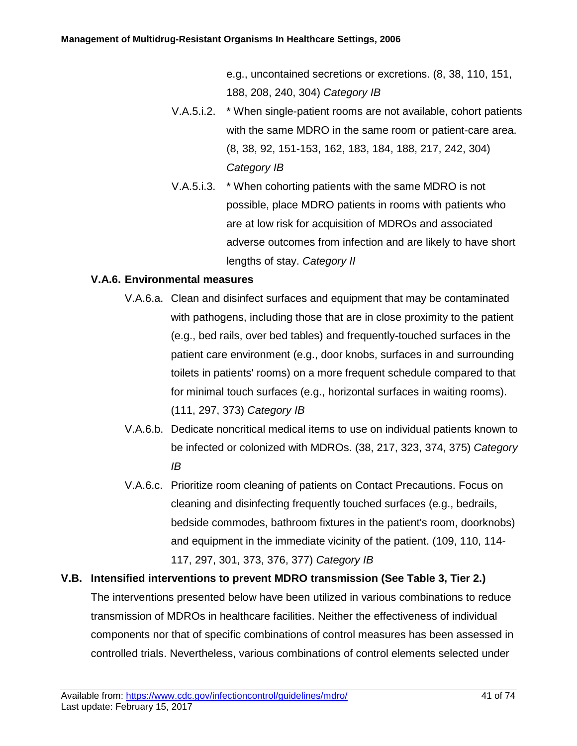e.g., uncontained secretions or excretions. [\(8,](http://www.cdc.gov/hicpac/mdro/mdro_reference.html#8) [38,](http://www.cdc.gov/hicpac/mdro/mdro_reference.html#38) [110,](http://www.cdc.gov/hicpac/mdro/mdro_reference.html#110) [151,](http://www.cdc.gov/hicpac/mdro/mdro_reference.html#151) [188,](http://www.cdc.gov/hicpac/mdro/mdro_reference.html#188) [208,](http://www.cdc.gov/hicpac/mdro/mdro_reference.html#208) [240,](http://www.cdc.gov/hicpac/mdro/mdro_reference.html#240) [304\)](http://www.cdc.gov/hicpac/mdro/mdro_reference.html#304) *Category IB*

- V.A.5.i.2. \* When single-patient rooms are not available, cohort patients with the same MDRO in the same room or patient-care area. [\(8,](http://www.cdc.gov/hicpac/mdro/mdro_reference.html#8) [38,](http://www.cdc.gov/hicpac/mdro/mdro_reference.html#38) 92, 151-153, 162, [183,](http://www.cdc.gov/hicpac/mdro/mdro_reference.html#183) [184,](http://www.cdc.gov/hicpac/mdro/mdro_reference.html#184) [188,](http://www.cdc.gov/hicpac/mdro/mdro_reference.html#188) [217,](http://www.cdc.gov/hicpac/mdro/mdro_reference.html#217) [242,](http://www.cdc.gov/hicpac/mdro/mdro_reference.html#242) [304\)](http://www.cdc.gov/hicpac/mdro/mdro_reference.html#304) *Category IB*
- V.A.5.i.3. \* When cohorting patients with the same MDRO is not possible, place MDRO patients in rooms with patients who are at low risk for acquisition of MDROs and associated adverse outcomes from infection and are likely to have short lengths of stay. *Category II*

#### **V.A.6. Environmental measures**

- V.A.6.a. Clean and disinfect surfaces and equipment that may be contaminated with pathogens, including those that are in close proximity to the patient (e.g., bed rails, over bed tables) and frequently-touched surfaces in the patient care environment (e.g., door knobs, surfaces in and surrounding toilets in patients' rooms) on a more frequent schedule compared to that for minimal touch surfaces (e.g., horizontal surfaces in waiting rooms). (111, [297,](http://www.cdc.gov/hicpac/mdro/mdro_reference.html#297) 373) *Category IB*
- V.A.6.b. Dedicate noncritical medical items to use on individual patients known to be infected or colonized with MDROs. [\(38,](http://www.cdc.gov/hicpac/mdro/mdro_reference.html#38) [217,](http://www.cdc.gov/hicpac/mdro/mdro_reference.html#217) [323,](http://www.cdc.gov/hicpac/mdro/mdro_reference.html#323) 374, 375) *Category IB*
- V.A.6.c. Prioritize room cleaning of patients on Contact Precautions. Focus on cleaning and disinfecting frequently touched surfaces (e.g., bedrails, bedside commodes, bathroom fixtures in the patient's room, doorknobs) and equipment in the immediate vicinity of the patient. (109, [110,](http://www.cdc.gov/hicpac/mdro/mdro_reference.html#110) 114- 117, [297,](http://www.cdc.gov/hicpac/mdro/mdro_reference.html#297) [301,](http://www.cdc.gov/hicpac/mdro/mdro_reference.html#301) 373, 376, 377) *Category IB*

## **V.B. Intensified interventions to prevent MDRO transmission (See Table 3, Tier 2.)**

The interventions presented below have been utilized in various combinations to reduce transmission of MDROs in healthcare facilities. Neither the effectiveness of individual components nor that of specific combinations of control measures has been assessed in controlled trials. Nevertheless, various combinations of control elements selected under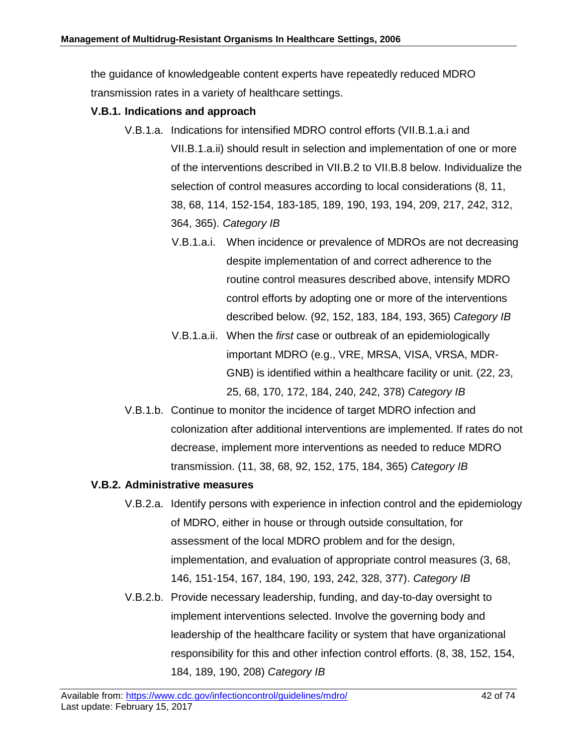the guidance of knowledgeable content experts have repeatedly reduced MDRO transmission rates in a variety of healthcare settings.

#### **V.B.1. Indications and approach**

- V.B.1.a. Indications for intensified MDRO control efforts (VII.B.1.a.i and VII.B.1.a.ii) should result in selection and implementation of one or more of the interventions described in VII.B.2 to VII.B.8 below. Individualize the selection of control measures according to local considerations [\(8,](http://www.cdc.gov/hicpac/mdro/mdro_reference.html#8) [11,](http://www.cdc.gov/hicpac/mdro/mdro_reference.html#11) [38,](http://www.cdc.gov/hicpac/mdro/mdro_reference.html#38) 68, [114,](http://www.cdc.gov/hicpac/mdro/mdro_reference.html#114) [152-](http://www.cdc.gov/hicpac/mdro/mdro_reference.html#152)[154,](http://www.cdc.gov/hicpac/mdro/mdro_reference.html#154) 183-185, [189,](http://www.cdc.gov/hicpac/mdro/mdro_reference.html#189) [190,](http://www.cdc.gov/hicpac/mdro/mdro_reference.html#190) [193,](http://www.cdc.gov/hicpac/mdro/mdro_reference.html#193) [194,](http://www.cdc.gov/hicpac/mdro/mdro_reference.html#194) [209,](http://www.cdc.gov/hicpac/mdro/mdro_reference.html#209) [217,](http://www.cdc.gov/hicpac/mdro/mdro_reference.html#217) [242,](http://www.cdc.gov/hicpac/mdro/mdro_reference.html#242) [312,](http://www.cdc.gov/hicpac/mdro/mdro_reference.html#312) [364,](http://www.cdc.gov/hicpac/mdro/mdro_reference.html#364) [365\)](http://www.cdc.gov/hicpac/mdro/mdro_reference.html#365). *Category IB*
	- V.B.1.a.i. When incidence or prevalence of MDROs are not decreasing despite implementation of and correct adherence to the routine control measures described above, intensify MDRO control efforts by adopting one or more of the interventions described below. (92, [152,](http://www.cdc.gov/hicpac/mdro/mdro_reference.html#152) [183,](http://www.cdc.gov/hicpac/mdro/mdro_reference.html#183) [184,](http://www.cdc.gov/hicpac/mdro/mdro_reference.html#184) [193,](http://www.cdc.gov/hicpac/mdro/mdro_reference.html#193) [365\)](http://www.cdc.gov/hicpac/mdro/mdro_reference.html#365) *Category IB*
	- V.B.1.a.ii. When the *first* case or outbreak of an epidemiologically important MDRO (e.g., VRE, MRSA, VISA, VRSA, MDR-GNB) is identified within a healthcare facility or unit. (22, 23, 25, [68,](http://www.cdc.gov/hicpac/mdro/mdro_reference.html#68) [170,](http://www.cdc.gov/hicpac/mdro/mdro_reference.html#170) [172,](http://www.cdc.gov/hicpac/mdro/mdro_reference.html#172) [184,](http://www.cdc.gov/hicpac/mdro/mdro_reference.html#184) [240,](http://www.cdc.gov/hicpac/mdro/mdro_reference.html#240) [242,](http://www.cdc.gov/hicpac/mdro/mdro_reference.html#242) 378) *Category IB*
- V.B.1.b. Continue to monitor the incidence of target MDRO infection and colonization after additional interventions are implemented. If rates do not decrease, implement more interventions as needed to reduce MDRO transmission. [\(11,](http://www.cdc.gov/hicpac/mdro/mdro_reference.html#11) [38,](http://www.cdc.gov/hicpac/mdro/mdro_reference.html#38) [68,](http://www.cdc.gov/hicpac/mdro/mdro_reference.html#68) 92, [152,](http://www.cdc.gov/hicpac/mdro/mdro_reference.html#152) [175,](http://www.cdc.gov/hicpac/mdro/mdro_reference.html#175) [184,](http://www.cdc.gov/hicpac/mdro/mdro_reference.html#184) [365\)](http://www.cdc.gov/hicpac/mdro/mdro_reference.html#365) *Category IB*

#### **V.B.2. Administrative measures**

- V.B.2.a. Identify persons with experience in infection control and the epidemiology of MDRO, either in house or through outside consultation, for assessment of the local MDRO problem and for the design, implementation, and evaluation of appropriate control measures [\(3,](http://www.cdc.gov/hicpac/mdro/mdro_reference.html#3) [68,](http://www.cdc.gov/hicpac/mdro/mdro_reference.html#68) [146,](http://www.cdc.gov/hicpac/mdro/mdro_reference.html#146) 151[-154,](http://www.cdc.gov/hicpac/mdro/mdro_reference.html#154) 167, [184,](http://www.cdc.gov/hicpac/mdro/mdro_reference.html#184) [190,](http://www.cdc.gov/hicpac/mdro/mdro_reference.html#190) [193,](http://www.cdc.gov/hicpac/mdro/mdro_reference.html#193) [242,](http://www.cdc.gov/hicpac/mdro/mdro_reference.html#242) [328,](http://www.cdc.gov/hicpac/mdro/mdro_reference.html#328) 377). *Category IB*
- V.B.2.b. Provide necessary leadership, funding, and day-to-day oversight to implement interventions selected. Involve the governing body and leadership of the healthcare facility or system that have organizational responsibility for this and other infection control efforts. [\(8,](http://www.cdc.gov/hicpac/mdro/mdro_reference.html#8) [38,](http://www.cdc.gov/hicpac/mdro/mdro_reference.html#38) [152,](http://www.cdc.gov/hicpac/mdro/mdro_reference.html#152) [154,](http://www.cdc.gov/hicpac/mdro/mdro_reference.html#154) [184,](http://www.cdc.gov/hicpac/mdro/mdro_reference.html#184) [189,](http://www.cdc.gov/hicpac/mdro/mdro_reference.html#189) [190,](http://www.cdc.gov/hicpac/mdro/mdro_reference.html#190) 208) *Category IB*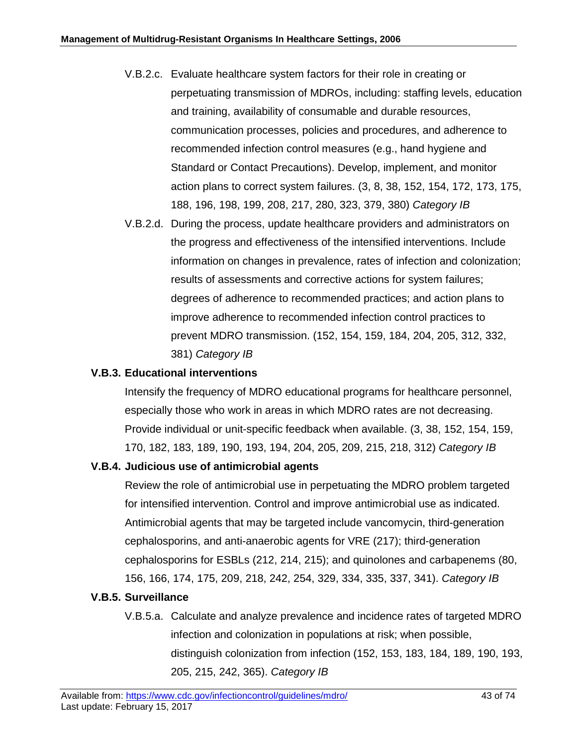- V.B.2.c. Evaluate healthcare system factors for their role in creating or perpetuating transmission of MDROs, including: staffing levels, education and training, availability of consumable and durable resources, communication processes, policies and procedures, and adherence to recommended infection control measures (e.g., hand hygiene and Standard or Contact Precautions). Develop, implement, and monitor action plans to correct system failures. [\(3,](http://www.cdc.gov/hicpac/mdro/mdro_reference.html#3) [8,](http://www.cdc.gov/hicpac/mdro/mdro_reference.html#8) [38,](http://www.cdc.gov/hicpac/mdro/mdro_reference.html#38) [152,](http://www.cdc.gov/hicpac/mdro/mdro_reference.html#152) [154,](http://www.cdc.gov/hicpac/mdro/mdro_reference.html#154) [172,](http://www.cdc.gov/hicpac/mdro/mdro_reference.html#172) [173,](http://www.cdc.gov/hicpac/mdro/mdro_reference.html#173) [175,](http://www.cdc.gov/hicpac/mdro/mdro_reference.html#175) [188,](http://www.cdc.gov/hicpac/mdro/mdro_reference.html#188) [196,](http://www.cdc.gov/hicpac/mdro/mdro_reference.html#196) [198,](http://www.cdc.gov/hicpac/mdro/mdro_reference.html#198) [199,](http://www.cdc.gov/hicpac/mdro/mdro_reference.html#199) [208,](http://www.cdc.gov/hicpac/mdro/mdro_reference.html#208) [217,](http://www.cdc.gov/hicpac/mdro/mdro_reference.html#217) [280,](http://www.cdc.gov/hicpac/mdro/mdro_reference.html#280) [323,](http://www.cdc.gov/hicpac/mdro/mdro_reference.html#323) [379,](http://www.cdc.gov/hicpac/mdro/mdro_reference.html#379) [380\)](http://www.cdc.gov/hicpac/mdro/mdro_reference.html#380) *Category IB*
- V.B.2.d. During the process, update healthcare providers and administrators on the progress and effectiveness of the intensified interventions. Include information on changes in prevalence, rates of infection and colonization; results of assessments and corrective actions for system failures; degrees of adherence to recommended practices; and action plans to improve adherence to recommended infection control practices to prevent MDRO transmission. [\(152,](http://www.cdc.gov/hicpac/mdro/mdro_reference.html#152) [154,](http://www.cdc.gov/hicpac/mdro/mdro_reference.html#154) [159,](http://www.cdc.gov/hicpac/mdro/mdro_reference.html#159) [184,](http://www.cdc.gov/hicpac/mdro/mdro_reference.html#184) [204,](http://www.cdc.gov/hicpac/mdro/mdro_reference.html#204) [205,](http://www.cdc.gov/hicpac/mdro/mdro_reference.html#205) [312,](http://www.cdc.gov/hicpac/mdro/mdro_reference.html#312) [332,](http://www.cdc.gov/hicpac/mdro/mdro_reference.html#332) 381) *Category IB*

#### **V.B.3. Educational interventions**

Intensify the frequency of MDRO educational programs for healthcare personnel, especially those who work in areas in which MDRO rates are not decreasing. Provide individual or unit-specific feedback when available. [\(3,](http://www.cdc.gov/hicpac/mdro/mdro_reference.html#3) [38,](http://www.cdc.gov/hicpac/mdro/mdro_reference.html#38) [152,](http://www.cdc.gov/hicpac/mdro/mdro_reference.html#152) [154,](http://www.cdc.gov/hicpac/mdro/mdro_reference.html#154) [159,](http://www.cdc.gov/hicpac/mdro/mdro_reference.html#159) [170,](http://www.cdc.gov/hicpac/mdro/mdro_reference.html#170) [182,](http://www.cdc.gov/hicpac/mdro/mdro_reference.html#182) [183,](http://www.cdc.gov/hicpac/mdro/mdro_reference.html#183) [189,](http://www.cdc.gov/hicpac/mdro/mdro_reference.html#189) [190,](http://www.cdc.gov/hicpac/mdro/mdro_reference.html#190) [193,](http://www.cdc.gov/hicpac/mdro/mdro_reference.html#193) [194,](http://www.cdc.gov/hicpac/mdro/mdro_reference.html#194) [204,](http://www.cdc.gov/hicpac/mdro/mdro_reference.html#204) [205,](http://www.cdc.gov/hicpac/mdro/mdro_reference.html#205) [209,](http://www.cdc.gov/hicpac/mdro/mdro_reference.html#209) [215,](http://www.cdc.gov/hicpac/mdro/mdro_reference.html#215) [218,](http://www.cdc.gov/hicpac/mdro/mdro_reference.html#218) [312\)](http://www.cdc.gov/hicpac/mdro/mdro_reference.html#312) *Category IB*

#### **V.B.4. Judicious use of antimicrobial agents**

Review the role of antimicrobial use in perpetuating the MDRO problem targeted for intensified intervention. Control and improve antimicrobial use as indicated. Antimicrobial agents that may be targeted include vancomycin, third-generation cephalosporins, and anti-anaerobic agents for VRE (217); third-generation cephalosporins for ESBLs (212, [214,](http://www.cdc.gov/hicpac/mdro/mdro_reference.html#214) 215); and quinolones and carbapenems (80, [156,](http://www.cdc.gov/hicpac/mdro/mdro_reference.html#156) [166,](http://www.cdc.gov/hicpac/mdro/mdro_reference.html#166) [174,](http://www.cdc.gov/hicpac/mdro/mdro_reference.html#174) [175,](http://www.cdc.gov/hicpac/mdro/mdro_reference.html#175) [209,](http://www.cdc.gov/hicpac/mdro/mdro_reference.html#209) [218,](http://www.cdc.gov/hicpac/mdro/mdro_reference.html#218) [242,](http://www.cdc.gov/hicpac/mdro/mdro_reference.html#242) 254, [329,](http://www.cdc.gov/hicpac/mdro/mdro_reference.html#329) 334, 335, 337, 341). *Category IB*

#### **V.B.5. Surveillance**

V.B.5.a. Calculate and analyze prevalence and incidence rates of targeted MDRO infection and colonization in populations at risk; when possible, distinguish colonization from infection [\(152,](http://www.cdc.gov/hicpac/mdro/mdro_reference.html#152) 153, [183,](http://www.cdc.gov/hicpac/mdro/mdro_reference.html#183) [184,](http://www.cdc.gov/hicpac/mdro/mdro_reference.html#184) [189,](http://www.cdc.gov/hicpac/mdro/mdro_reference.html#189) [190,](http://www.cdc.gov/hicpac/mdro/mdro_reference.html#190) [193,](http://www.cdc.gov/hicpac/mdro/mdro_reference.html#193) [205,](http://www.cdc.gov/hicpac/mdro/mdro_reference.html#205) [215,](http://www.cdc.gov/hicpac/mdro/mdro_reference.html#215) [242,](http://www.cdc.gov/hicpac/mdro/mdro_reference.html#242) [365\)](http://www.cdc.gov/hicpac/mdro/mdro_reference.html#365). *Category IB*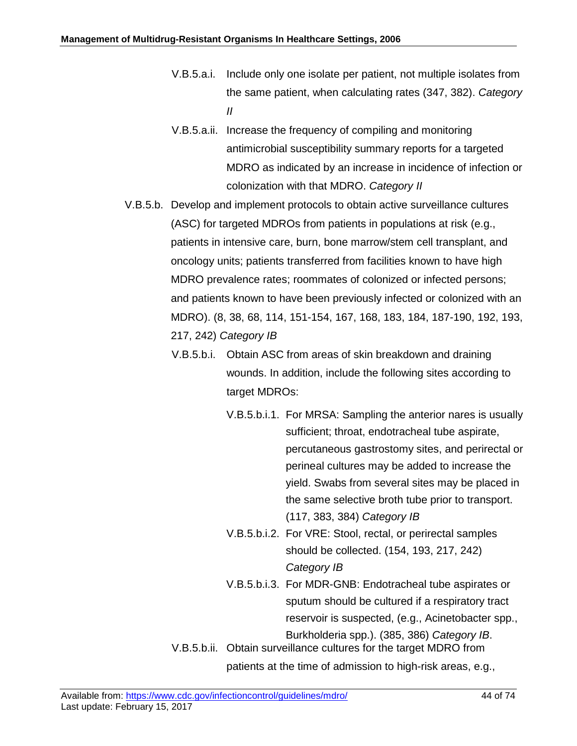- V.B.5.a.i. Include only one isolate per patient, not multiple isolates from the same patient, when calculating rates (347, 382). *Category II*
- V.B.5.a.ii. Increase the frequency of compiling and monitoring antimicrobial susceptibility summary reports for a targeted MDRO as indicated by an increase in incidence of infection or colonization with that MDRO. *Category II*
- V.B.5.b. Develop and implement protocols to obtain active surveillance cultures (ASC) for targeted MDROs from patients in populations at risk (e.g., patients in intensive care, burn, bone marrow/stem cell transplant, and oncology units; patients transferred from facilities known to have high MDRO prevalence rates; roommates of colonized or infected persons; and patients known to have been previously infected or colonized with an MDRO). [\(8,](http://www.cdc.gov/hicpac/mdro/mdro_reference.html#8) [38,](http://www.cdc.gov/hicpac/mdro/mdro_reference.html#38) [68,](http://www.cdc.gov/hicpac/mdro/mdro_reference.html#68) [114,](http://www.cdc.gov/hicpac/mdro/mdro_reference.html#114) 151-154, 167, [168,](http://www.cdc.gov/hicpac/mdro/mdro_reference.html#168) [183,](http://www.cdc.gov/hicpac/mdro/mdro_reference.html#183) [184,](http://www.cdc.gov/hicpac/mdro/mdro_reference.html#184) 187-190, [192,](http://www.cdc.gov/hicpac/mdro/mdro_reference.html#192) [193,](http://www.cdc.gov/hicpac/mdro/mdro_reference.html#193) [217,](http://www.cdc.gov/hicpac/mdro/mdro_reference.html#217) 242) *Category IB*
	- V.B.5.b.i. Obtain ASC from areas of skin breakdown and draining wounds. In addition, include the following sites according to target MDROs:
		- V.B.5.b.i.1. For MRSA: Sampling the anterior nares is usually sufficient; throat, endotracheal tube aspirate, percutaneous gastrostomy sites, and perirectal or perineal cultures may be added to increase the yield. Swabs from several sites may be placed in the same selective broth tube prior to transport. (117, 383, 384) *Category IB*
		- V.B.5.b.i.2. For VRE: Stool, rectal, or perirectal samples should be collected. (154, [193,](http://www.cdc.gov/hicpac/mdro/mdro_reference.html#193) [217,](http://www.cdc.gov/hicpac/mdro/mdro_reference.html#217) 242) *Category IB*
		- V.B.5.b.i.3. For MDR-GNB: Endotracheal tube aspirates or sputum should be cultured if a respiratory tract reservoir is suspected, (e.g., Acinetobacter spp.,
	- Burkholderia spp.). (385, 386) *Category IB*. V.B.5.b.ii. Obtain surveillance cultures for the target MDRO from

patients at the time of admission to high-risk areas, e.g.,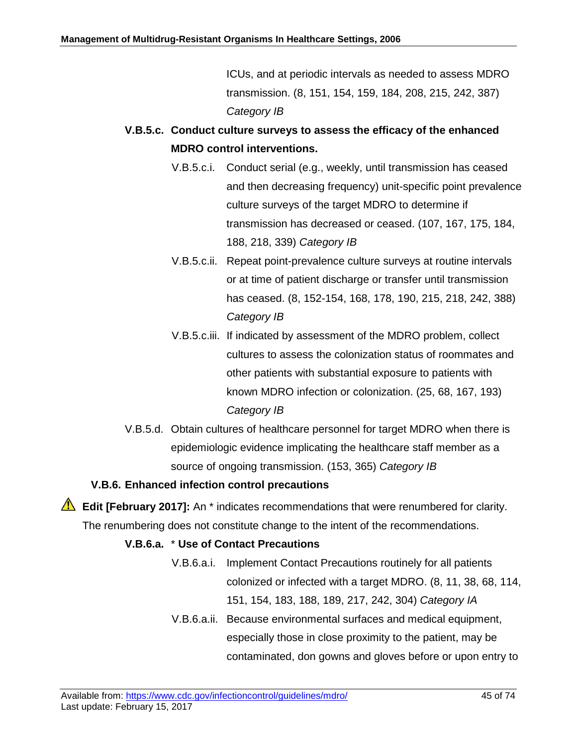ICUs, and at periodic intervals as needed to assess MDRO transmission. [\(8,](http://www.cdc.gov/hicpac/mdro/mdro_reference.html#8) [151,](http://www.cdc.gov/hicpac/mdro/mdro_reference.html#151) [154,](http://www.cdc.gov/hicpac/mdro/mdro_reference.html#154) [159,](http://www.cdc.gov/hicpac/mdro/mdro_reference.html#159) [184,](http://www.cdc.gov/hicpac/mdro/mdro_reference.html#184) [208,](http://www.cdc.gov/hicpac/mdro/mdro_reference.html#208) [215,](http://www.cdc.gov/hicpac/mdro/mdro_reference.html#215) [242,](http://www.cdc.gov/hicpac/mdro/mdro_reference.html#242) [387\)](http://www.cdc.gov/hicpac/mdro/mdro_reference.html#387) *Category IB*

- **V.B.5.c. Conduct culture surveys to assess the efficacy of the enhanced MDRO control interventions.** 
	- V.B.5.c.i. Conduct serial (e.g., weekly, until transmission has ceased and then decreasing frequency) unit-specific point prevalence culture surveys of the target MDRO to determine if transmission has decreased or ceased. (107, 167, [175,](http://www.cdc.gov/hicpac/mdro/mdro_reference.html#175) [184,](http://www.cdc.gov/hicpac/mdro/mdro_reference.html#184) [188,](http://www.cdc.gov/hicpac/mdro/mdro_reference.html#188) [218,](http://www.cdc.gov/hicpac/mdro/mdro_reference.html#218) [339\)](http://www.cdc.gov/hicpac/mdro/mdro_reference.html#339) *Category IB*
	- V.B.5.c.ii. Repeat point-prevalence culture surveys at routine intervals or at time of patient discharge or transfer until transmission has ceased. [\(8,](http://www.cdc.gov/hicpac/mdro/mdro_reference.html#8) [152-154,](http://www.cdc.gov/hicpac/mdro/mdro_reference.html#152) [168,](http://www.cdc.gov/hicpac/mdro/mdro_reference.html#168) [178,](http://www.cdc.gov/hicpac/mdro/mdro_reference.html#178) [190,](http://www.cdc.gov/hicpac/mdro/mdro_reference.html#190) [215,](http://www.cdc.gov/hicpac/mdro/mdro_reference.html#215) [218,](http://www.cdc.gov/hicpac/mdro/mdro_reference.html#218) [242,](http://www.cdc.gov/hicpac/mdro/mdro_reference.html#242) [388\)](http://www.cdc.gov/hicpac/mdro/mdro_reference.html#388) *Category IB*
	- V.B.5.c.iii. If indicated by assessment of the MDRO problem, collect cultures to assess the colonization status of roommates and other patients with substantial exposure to patients with known MDRO infection or colonization. (25, [68,](http://www.cdc.gov/hicpac/mdro/mdro_reference.html#68) 167, 193) *Category IB*
- V.B.5.d. Obtain cultures of healthcare personnel for target MDRO when there is epidemiologic evidence implicating the healthcare staff member as a source of ongoing transmission. (153, [365\)](http://www.cdc.gov/hicpac/mdro/mdro_reference.html#365) *Category IB*

#### **V.B.6. Enhanced infection control precautions**

**A** Edit [February 2017]: An \* indicates recommendations that were renumbered for clarity. The renumbering does not constitute change to the intent of the recommendations.

#### **V.B.6.a.** \* **Use of Contact Precautions**

- V.B.6.a.i. Implement Contact Precautions routinely for all patients colonized or infected with a target MDRO. [\(8,](http://www.cdc.gov/hicpac/mdro/mdro_reference.html#8) [11,](http://www.cdc.gov/hicpac/mdro/mdro_reference.html#11) [38,](http://www.cdc.gov/hicpac/mdro/mdro_reference.html#38) [68,](http://www.cdc.gov/hicpac/mdro/mdro_reference.html#68) [114,](http://www.cdc.gov/hicpac/mdro/mdro_reference.html#114) [151,](http://www.cdc.gov/hicpac/mdro/mdro_reference.html#151) [154,](http://www.cdc.gov/hicpac/mdro/mdro_reference.html#154) [183,](http://www.cdc.gov/hicpac/mdro/mdro_reference.html#183) [188,](http://www.cdc.gov/hicpac/mdro/mdro_reference.html#188) [189,](http://www.cdc.gov/hicpac/mdro/mdro_reference.html#189) [217,](http://www.cdc.gov/hicpac/mdro/mdro_reference.html#217) [242,](http://www.cdc.gov/hicpac/mdro/mdro_reference.html#242) [304\)](http://www.cdc.gov/hicpac/mdro/mdro_reference.html#304) *Category IA*
- V.B.6.a.ii. Because environmental surfaces and medical equipment, especially those in close proximity to the patient, may be contaminated, don gowns and gloves before or upon entry to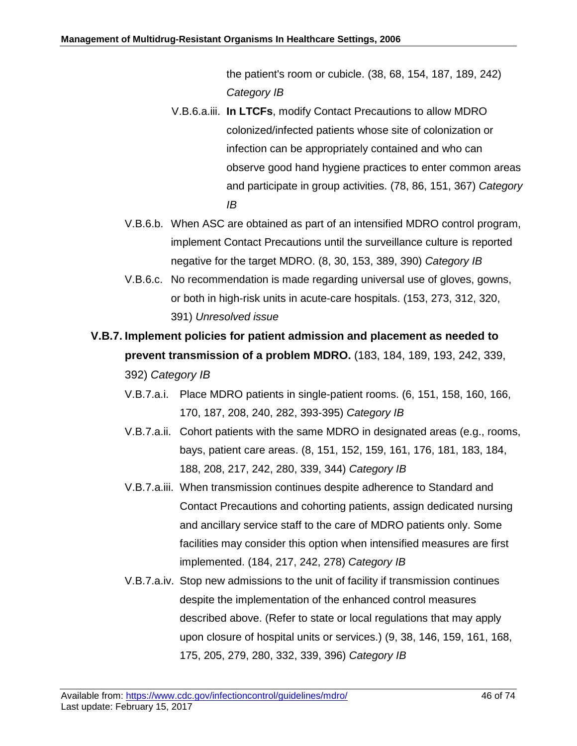the patient's room or cubicle. [\(38,](http://www.cdc.gov/hicpac/mdro/mdro_reference.html#38) [68,](http://www.cdc.gov/hicpac/mdro/mdro_reference.html#68) [154,](http://www.cdc.gov/hicpac/mdro/mdro_reference.html#154) [187,](http://www.cdc.gov/hicpac/mdro/mdro_reference.html#187) [189,](http://www.cdc.gov/hicpac/mdro/mdro_reference.html#189) 242) *Category IB*

- V.B.6.a.iii. **In LTCFs**, modify Contact Precautions to allow MDRO colonized/infected patients whose site of colonization or infection can be appropriately contained and who can observe good hand hygiene practices to enter common areas and participate in group activities. (78, 86, [151,](http://www.cdc.gov/hicpac/mdro/mdro_reference.html#151) [367\)](http://www.cdc.gov/hicpac/mdro/mdro_reference.html#367) *Category IB*
- V.B.6.b. When ASC are obtained as part of an intensified MDRO control program, implement Contact Precautions until the surveillance culture is reported negative for the target MDRO. [\(8,](http://www.cdc.gov/hicpac/mdro/mdro_reference.html#8) 30, 153, [389,](http://www.cdc.gov/hicpac/mdro/mdro_reference.html#389) 390) *Category IB*
- V.B.6.c. No recommendation is made regarding universal use of gloves, gowns, or both in high-risk units in acute-care hospitals. (153, [273,](http://www.cdc.gov/hicpac/mdro/mdro_reference.html#273) [312,](http://www.cdc.gov/hicpac/mdro/mdro_reference.html#312) [320,](http://www.cdc.gov/hicpac/mdro/mdro_reference.html#320) 391) *Unresolved issue*
- **V.B.7. Implement policies for patient admission and placement as needed to prevent transmission of a problem MDRO.** (183, [184,](http://www.cdc.gov/hicpac/mdro/mdro_reference.html#184) [189,](http://www.cdc.gov/hicpac/mdro/mdro_reference.html#189) [193,](http://www.cdc.gov/hicpac/mdro/mdro_reference.html#193) [242,](http://www.cdc.gov/hicpac/mdro/mdro_reference.html#242) [339,](http://www.cdc.gov/hicpac/mdro/mdro_reference.html#339) 392) *Category IB*
	- V.B.7.a.i. Place MDRO patients in single-patient rooms. [\(6,](http://www.cdc.gov/hicpac/mdro/mdro_reference.html#6) [151,](http://www.cdc.gov/hicpac/mdro/mdro_reference.html#151) [158,](http://www.cdc.gov/hicpac/mdro/mdro_reference.html#158) [160,](http://www.cdc.gov/hicpac/mdro/mdro_reference.html#160) [166,](http://www.cdc.gov/hicpac/mdro/mdro_reference.html#166) [170,](http://www.cdc.gov/hicpac/mdro/mdro_reference.html#170) [187,](http://www.cdc.gov/hicpac/mdro/mdro_reference.html#187) [208,](http://www.cdc.gov/hicpac/mdro/mdro_reference.html#208) [240,](http://www.cdc.gov/hicpac/mdro/mdro_reference.html#240) [282,](http://www.cdc.gov/hicpac/mdro/mdro_reference.html#282) 393-395) *Category IB*
	- V.B.7.a.ii. Cohort patients with the same MDRO in designated areas (e.g., rooms, bays, patient care areas. [\(8,](http://www.cdc.gov/hicpac/mdro/mdro_reference.html#8) [151,](http://www.cdc.gov/hicpac/mdro/mdro_reference.html#151) [152,](http://www.cdc.gov/hicpac/mdro/mdro_reference.html#152) [159,](http://www.cdc.gov/hicpac/mdro/mdro_reference.html#159) [161,](http://www.cdc.gov/hicpac/mdro/mdro_reference.html#161) [176,](http://www.cdc.gov/hicpac/mdro/mdro_reference.html#176) [181,](http://www.cdc.gov/hicpac/mdro/mdro_reference.html#181) [183,](http://www.cdc.gov/hicpac/mdro/mdro_reference.html#183) [184,](http://www.cdc.gov/hicpac/mdro/mdro_reference.html#184) [188,](http://www.cdc.gov/hicpac/mdro/mdro_reference.html#188) [208,](http://www.cdc.gov/hicpac/mdro/mdro_reference.html#208) [217,](http://www.cdc.gov/hicpac/mdro/mdro_reference.html#217) [242,](http://www.cdc.gov/hicpac/mdro/mdro_reference.html#242) [280,](http://www.cdc.gov/hicpac/mdro/mdro_reference.html#280) [339,](http://www.cdc.gov/hicpac/mdro/mdro_reference.html#339) 344) *Category IB*
	- V.B.7.a.iii. When transmission continues despite adherence to Standard and Contact Precautions and cohorting patients, assign dedicated nursing and ancillary service staff to the care of MDRO patients only. Some facilities may consider this option when intensified measures are first implemented. (184, [217,](http://www.cdc.gov/hicpac/mdro/mdro_reference.html#217) [242,](http://www.cdc.gov/hicpac/mdro/mdro_reference.html#242) [278\)](http://www.cdc.gov/hicpac/mdro/mdro_reference.html#278) *Category IB*
	- V.B.7.a.iv. Stop new admissions to the unit of facility if transmission continues despite the implementation of the enhanced control measures described above. (Refer to state or local regulations that may apply upon closure of hospital units or services.) [\(9,](http://www.cdc.gov/hicpac/mdro/mdro_reference.html#9) [38,](http://www.cdc.gov/hicpac/mdro/mdro_reference.html#38) [146,](http://www.cdc.gov/hicpac/mdro/mdro_reference.html#146) [159,](http://www.cdc.gov/hicpac/mdro/mdro_reference.html#159) [161,](http://www.cdc.gov/hicpac/mdro/mdro_reference.html#161) [168,](http://www.cdc.gov/hicpac/mdro/mdro_reference.html#168) [175,](http://www.cdc.gov/hicpac/mdro/mdro_reference.html#175) [205,](http://www.cdc.gov/hicpac/mdro/mdro_reference.html#205) [279,](http://www.cdc.gov/hicpac/mdro/mdro_reference.html#279) [280,](http://www.cdc.gov/hicpac/mdro/mdro_reference.html#280) [332,](http://www.cdc.gov/hicpac/mdro/mdro_reference.html#332) [339,](http://www.cdc.gov/hicpac/mdro/mdro_reference.html#339) 396) *Category IB*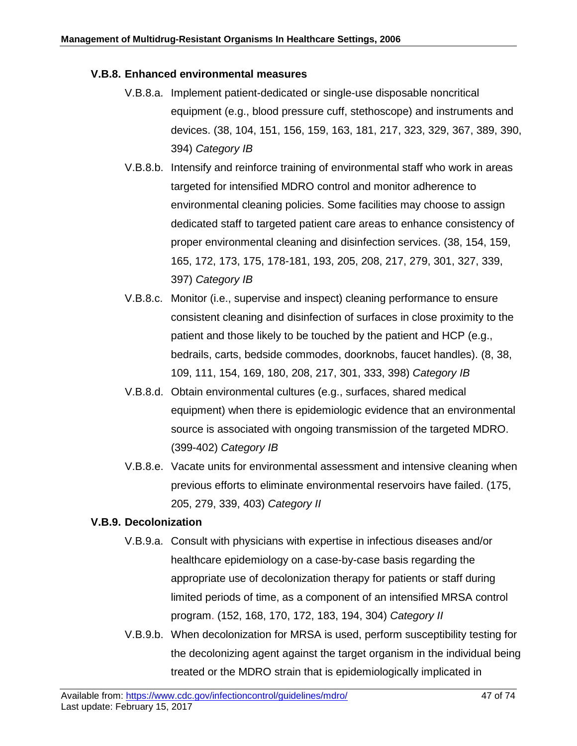#### **V.B.8. Enhanced environmental measures**

- V.B.8.a. Implement patient-dedicated or single-use disposable noncritical equipment (e.g., blood pressure cuff, stethoscope) and instruments and devices. [\(38,](http://www.cdc.gov/hicpac/mdro/mdro_reference.html#38) [104,](http://www.cdc.gov/hicpac/mdro/mdro_reference.html#104) [151,](http://www.cdc.gov/hicpac/mdro/mdro_reference.html#151) [156,](http://www.cdc.gov/hicpac/mdro/mdro_reference.html#156) [159,](http://www.cdc.gov/hicpac/mdro/mdro_reference.html#159) [163,](http://www.cdc.gov/hicpac/mdro/mdro_reference.html#163) [181,](http://www.cdc.gov/hicpac/mdro/mdro_reference.html#181) [217,](http://www.cdc.gov/hicpac/mdro/mdro_reference.html#217) [323,](http://www.cdc.gov/hicpac/mdro/mdro_reference.html#323) [329,](http://www.cdc.gov/hicpac/mdro/mdro_reference.html#329) [367,](http://www.cdc.gov/hicpac/mdro/mdro_reference.html#367) [389,](http://www.cdc.gov/hicpac/mdro/mdro_reference.html#389) [390,](http://www.cdc.gov/hicpac/mdro/mdro_reference.html#390) [394\)](http://www.cdc.gov/hicpac/mdro/mdro_reference.html#394) *Category IB*
- V.B.8.b. Intensify and reinforce training of environmental staff who work in areas targeted for intensified MDRO control and monitor adherence to environmental cleaning policies. Some facilities may choose to assign dedicated staff to targeted patient care areas to enhance consistency of proper environmental cleaning and disinfection services. [\(38,](http://www.cdc.gov/hicpac/mdro/mdro_reference.html#38) [154,](http://www.cdc.gov/hicpac/mdro/mdro_reference.html#154) [159,](http://www.cdc.gov/hicpac/mdro/mdro_reference.html#159) [165,](http://www.cdc.gov/hicpac/mdro/mdro_reference.html#165) [172,](http://www.cdc.gov/hicpac/mdro/mdro_reference.html#172) [173,](http://www.cdc.gov/hicpac/mdro/mdro_reference.html#173) [175,](http://www.cdc.gov/hicpac/mdro/mdro_reference.html#175) [178-181,](http://www.cdc.gov/hicpac/mdro/mdro_reference.html#178) [193,](http://www.cdc.gov/hicpac/mdro/mdro_reference.html#193) [205,](http://www.cdc.gov/hicpac/mdro/mdro_reference.html#205) [208,](http://www.cdc.gov/hicpac/mdro/mdro_reference.html#208) [217,](http://www.cdc.gov/hicpac/mdro/mdro_reference.html#217) [279,](http://www.cdc.gov/hicpac/mdro/mdro_reference.html#279) [301,](http://www.cdc.gov/hicpac/mdro/mdro_reference.html#301) [327,](http://www.cdc.gov/hicpac/mdro/mdro_reference.html#327) [339,](http://www.cdc.gov/hicpac/mdro/mdro_reference.html#339) 397) *Category IB*
- V.B.8.c. Monitor (i.e., supervise and inspect) cleaning performance to ensure consistent cleaning and disinfection of surfaces in close proximity to the patient and those likely to be touched by the patient and HCP (e.g., bedrails, carts, bedside commodes, doorknobs, faucet handles). [\(8,](http://www.cdc.gov/hicpac/mdro/mdro_reference.html#8) [38,](http://www.cdc.gov/hicpac/mdro/mdro_reference.html#38) [109,](http://www.cdc.gov/hicpac/mdro/mdro_reference.html#109) [111,](http://www.cdc.gov/hicpac/mdro/mdro_reference.html#111) [154,](http://www.cdc.gov/hicpac/mdro/mdro_reference.html#154) [169,](http://www.cdc.gov/hicpac/mdro/mdro_reference.html#169) [180,](http://www.cdc.gov/hicpac/mdro/mdro_reference.html#180) [208,](http://www.cdc.gov/hicpac/mdro/mdro_reference.html#208) [217,](http://www.cdc.gov/hicpac/mdro/mdro_reference.html#217) [301,](http://www.cdc.gov/hicpac/mdro/mdro_reference.html#301) [333,](http://www.cdc.gov/hicpac/mdro/mdro_reference.html#333) [398\)](http://www.cdc.gov/hicpac/mdro/mdro_reference.html#398) *Category IB*
- V.B.8.d. Obtain environmental cultures (e.g., surfaces, shared medical equipment) when there is epidemiologic evidence that an environmental source is associated with ongoing transmission of the targeted MDRO. [\(399-](http://www.cdc.gov/hicpac/mdro/mdro_reference.html#399)[402\)](http://www.cdc.gov/hicpac/mdro/mdro_reference.html#402) *Category IB*
- V.B.8.e. Vacate units for environmental assessment and intensive cleaning when previous efforts to eliminate environmental reservoirs have failed. [\(175,](http://www.cdc.gov/hicpac/mdro/mdro_reference.html#175) [205,](http://www.cdc.gov/hicpac/mdro/mdro_reference.html#205) [279,](http://www.cdc.gov/hicpac/mdro/mdro_reference.html#279) [339,](http://www.cdc.gov/hicpac/mdro/mdro_reference.html#339) [403\)](http://www.cdc.gov/hicpac/mdro/mdro_reference.html#403) *Category II*

#### **V.B.9. Decolonization**

- V.B.9.a. Consult with physicians with expertise in infectious diseases and/or healthcare epidemiology on a case-by-case basis regarding the appropriate use of decolonization therapy for patients or staff during limited periods of time, as a component of an intensified MRSA control program. [\(152,](http://www.cdc.gov/hicpac/mdro/mdro_reference.html#152) [168,](http://www.cdc.gov/hicpac/mdro/mdro_reference.html#168) [170,](http://www.cdc.gov/hicpac/mdro/mdro_reference.html#170) [172,](http://www.cdc.gov/hicpac/mdro/mdro_reference.html#172) [183,](http://www.cdc.gov/hicpac/mdro/mdro_reference.html#183) [194,](http://www.cdc.gov/hicpac/mdro/mdro_reference.html#194) [304\)](http://www.cdc.gov/hicpac/mdro/mdro_reference.html#304) *Category II*
- V.B.9.b. When decolonization for MRSA is used, perform susceptibility testing for the decolonizing agent against the target organism in the individual being treated or the MDRO strain that is epidemiologically implicated in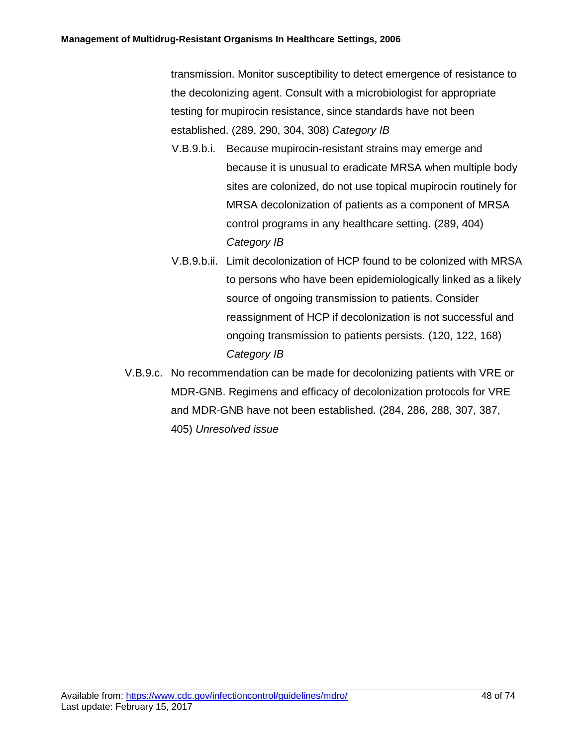transmission. Monitor susceptibility to detect emergence of resistance to the decolonizing agent. Consult with a microbiologist for appropriate testing for mupirocin resistance, since standards have not been established. [\(289,](http://www.cdc.gov/hicpac/mdro/mdro_reference.html#289) [290,](http://www.cdc.gov/hicpac/mdro/mdro_reference.html#290) [304,](http://www.cdc.gov/hicpac/mdro/mdro_reference.html#304) [308\)](http://www.cdc.gov/hicpac/mdro/mdro_reference.html#308) *Category IB*

- V.B.9.b.i. Because mupirocin-resistant strains may emerge and because it is unusual to eradicate MRSA when multiple body sites are colonized, do not use topical mupirocin routinely for MRSA decolonization of patients as a component of MRSA control programs in any healthcare setting. [\(289,](http://www.cdc.gov/hicpac/mdro/mdro_reference.html#289) [404\)](http://www.cdc.gov/hicpac/mdro/mdro_reference.html#404) *Category IB*
- V.B.9.b.ii. Limit decolonization of HCP found to be colonized with MRSA to persons who have been epidemiologically linked as a likely source of ongoing transmission to patients. Consider reassignment of HCP if decolonization is not successful and ongoing transmission to patients persists. (120, [122,](http://www.cdc.gov/hicpac/mdro/mdro_reference.html#122) 168) *Category IB*
- V.B.9.c. No recommendation can be made for decolonizing patients with VRE or MDR-GNB. Regimens and efficacy of decolonization protocols for VRE and MDR-GNB have not been established. [\(284,](http://www.cdc.gov/hicpac/mdro/mdro_reference.html#284) [286,](http://www.cdc.gov/hicpac/mdro/mdro_reference.html#286) [288,](http://www.cdc.gov/hicpac/mdro/mdro_reference.html#288) [307,](http://www.cdc.gov/hicpac/mdro/mdro_reference.html#307) [387,](http://www.cdc.gov/hicpac/mdro/mdro_reference.html#387) [405\)](http://www.cdc.gov/hicpac/mdro/mdro_reference.html#405) *Unresolved issue*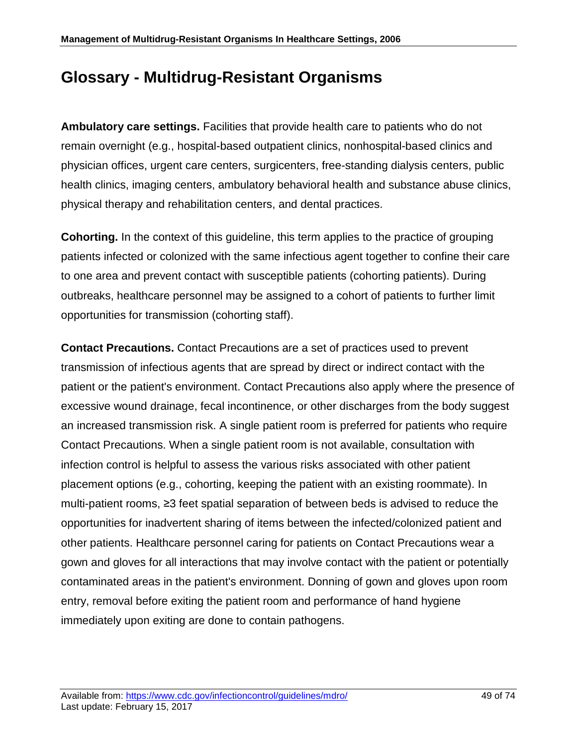# **Glossary - Multidrug-Resistant Organisms**

**Ambulatory care settings.** Facilities that provide health care to patients who do not remain overnight (e.g., hospital-based outpatient clinics, nonhospital-based clinics and physician offices, urgent care centers, surgicenters, free-standing dialysis centers, public health clinics, imaging centers, ambulatory behavioral health and substance abuse clinics, physical therapy and rehabilitation centers, and dental practices.

**Cohorting.** In the context of this guideline, this term applies to the practice of grouping patients infected or colonized with the same infectious agent together to confine their care to one area and prevent contact with susceptible patients (cohorting patients). During outbreaks, healthcare personnel may be assigned to a cohort of patients to further limit opportunities for transmission (cohorting staff).

**Contact Precautions.** Contact Precautions are a set of practices used to prevent transmission of infectious agents that are spread by direct or indirect contact with the patient or the patient's environment. Contact Precautions also apply where the presence of excessive wound drainage, fecal incontinence, or other discharges from the body suggest an increased transmission risk. A single patient room is preferred for patients who require Contact Precautions. When a single patient room is not available, consultation with infection control is helpful to assess the various risks associated with other patient placement options (e.g., cohorting, keeping the patient with an existing roommate). In multi-patient rooms, ≥3 feet spatial separation of between beds is advised to reduce the opportunities for inadvertent sharing of items between the infected/colonized patient and other patients. Healthcare personnel caring for patients on Contact Precautions wear a gown and gloves for all interactions that may involve contact with the patient or potentially contaminated areas in the patient's environment. Donning of gown and gloves upon room entry, removal before exiting the patient room and performance of hand hygiene immediately upon exiting are done to contain pathogens.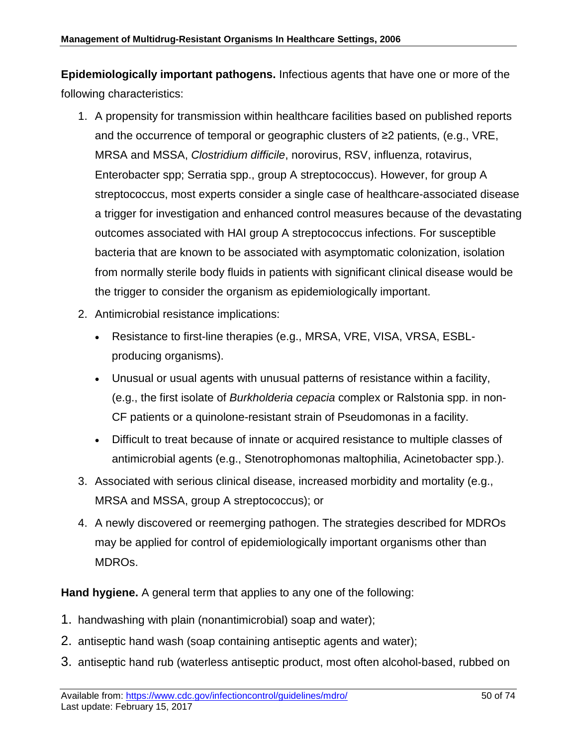**Epidemiologically important pathogens.** Infectious agents that have one or more of the following characteristics:

- 1. A propensity for transmission within healthcare facilities based on published reports and the occurrence of temporal or geographic clusters of ≥2 patients, (e.g., VRE, MRSA and MSSA, *Clostridium difficile*, norovirus, RSV, influenza, rotavirus, Enterobacter spp; Serratia spp., group A streptococcus). However, for group A streptococcus, most experts consider a single case of healthcare-associated disease a trigger for investigation and enhanced control measures because of the devastating outcomes associated with HAI group A streptococcus infections. For susceptible bacteria that are known to be associated with asymptomatic colonization, isolation from normally sterile body fluids in patients with significant clinical disease would be the trigger to consider the organism as epidemiologically important.
- 2. Antimicrobial resistance implications:
	- Resistance to first-line therapies (e.g., MRSA, VRE, VISA, VRSA, ESBLproducing organisms).
	- Unusual or usual agents with unusual patterns of resistance within a facility, (e.g., the first isolate of *Burkholderia cepacia* complex or Ralstonia spp. in non-CF patients or a quinolone-resistant strain of Pseudomonas in a facility.
	- Difficult to treat because of innate or acquired resistance to multiple classes of antimicrobial agents (e.g., Stenotrophomonas maltophilia, Acinetobacter spp.).
- 3. Associated with serious clinical disease, increased morbidity and mortality (e.g., MRSA and MSSA, group A streptococcus); or
- 4. A newly discovered or reemerging pathogen. The strategies described for MDROs may be applied for control of epidemiologically important organisms other than MDROs.

**Hand hygiene.** A general term that applies to any one of the following:

- 1. handwashing with plain (nonantimicrobial) soap and water);
- 2. antiseptic hand wash (soap containing antiseptic agents and water);
- 3. antiseptic hand rub (waterless antiseptic product, most often alcohol-based, rubbed on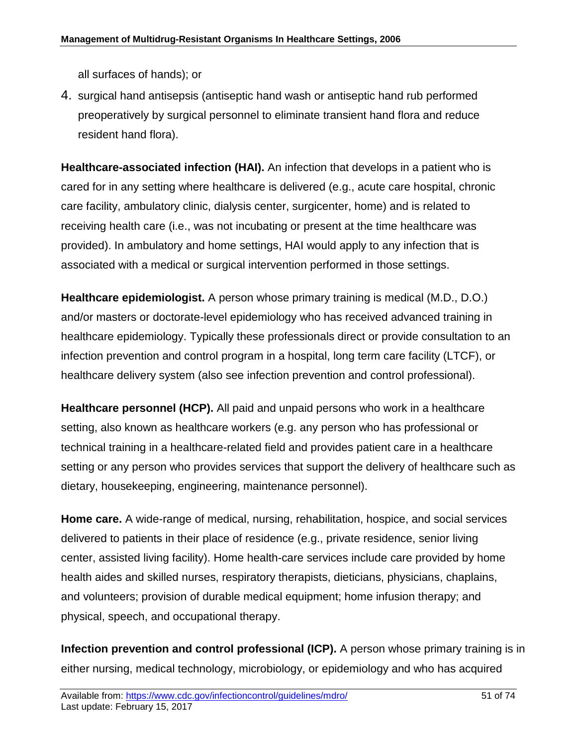all surfaces of hands); or

4. surgical hand antisepsis (antiseptic hand wash or antiseptic hand rub performed preoperatively by surgical personnel to eliminate transient hand flora and reduce resident hand flora).

**Healthcare-associated infection (HAI).** An infection that develops in a patient who is cared for in any setting where healthcare is delivered (e.g., acute care hospital, chronic care facility, ambulatory clinic, dialysis center, surgicenter, home) and is related to receiving health care (i.e., was not incubating or present at the time healthcare was provided). In ambulatory and home settings, HAI would apply to any infection that is associated with a medical or surgical intervention performed in those settings.

**Healthcare epidemiologist.** A person whose primary training is medical (M.D., D.O.) and/or masters or doctorate-level epidemiology who has received advanced training in healthcare epidemiology. Typically these professionals direct or provide consultation to an infection prevention and control program in a hospital, long term care facility (LTCF), or healthcare delivery system (also see infection prevention and control professional).

**Healthcare personnel (HCP).** All paid and unpaid persons who work in a healthcare setting, also known as healthcare workers (e.g. any person who has professional or technical training in a healthcare-related field and provides patient care in a healthcare setting or any person who provides services that support the delivery of healthcare such as dietary, housekeeping, engineering, maintenance personnel).

**Home care.** A wide-range of medical, nursing, rehabilitation, hospice, and social services delivered to patients in their place of residence (e.g., private residence, senior living center, assisted living facility). Home health-care services include care provided by home health aides and skilled nurses, respiratory therapists, dieticians, physicians, chaplains, and volunteers; provision of durable medical equipment; home infusion therapy; and physical, speech, and occupational therapy.

**Infection prevention and control professional (ICP).** A person whose primary training is in either nursing, medical technology, microbiology, or epidemiology and who has acquired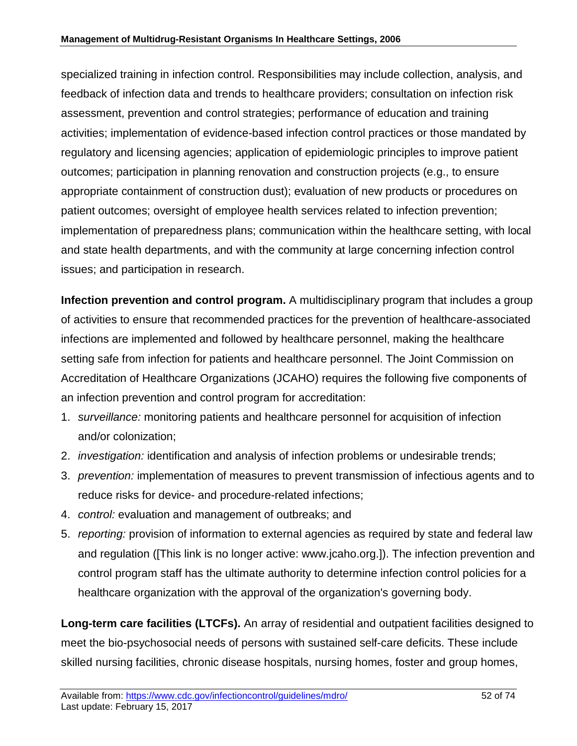specialized training in infection control. Responsibilities may include collection, analysis, and feedback of infection data and trends to healthcare providers; consultation on infection risk assessment, prevention and control strategies; performance of education and training activities; implementation of evidence-based infection control practices or those mandated by regulatory and licensing agencies; application of epidemiologic principles to improve patient outcomes; participation in planning renovation and construction projects (e.g., to ensure appropriate containment of construction dust); evaluation of new products or procedures on patient outcomes; oversight of employee health services related to infection prevention; implementation of preparedness plans; communication within the healthcare setting, with local and state health departments, and with the community at large concerning infection control issues; and participation in research.

**Infection prevention and control program.** A multidisciplinary program that includes a group of activities to ensure that recommended practices for the prevention of healthcare-associated infections are implemented and followed by healthcare personnel, making the healthcare setting safe from infection for patients and healthcare personnel. The Joint Commission on Accreditation of Healthcare Organizations (JCAHO) requires the following five components of an infection prevention and control program for accreditation:

- 1. *surveillance:* monitoring patients and healthcare personnel for acquisition of infection and/or colonization;
- 2. *investigation:* identification and analysis of infection problems or undesirable trends;
- 3. *prevention:* implementation of measures to prevent transmission of infectious agents and to reduce risks for device- and procedure-related infections;
- 4. *control:* evaluation and management of outbreaks; and
- 5. *reporting:* provision of information to external agencies as required by state and federal law and regulation ([This link is no longer active: www.jcaho.org.]). The infection prevention and control program staff has the ultimate authority to determine infection control policies for a healthcare organization with the approval of the organization's governing body.

**Long-term care facilities (LTCFs).** An array of residential and outpatient facilities designed to meet the bio-psychosocial needs of persons with sustained self-care deficits. These include skilled nursing facilities, chronic disease hospitals, nursing homes, foster and group homes,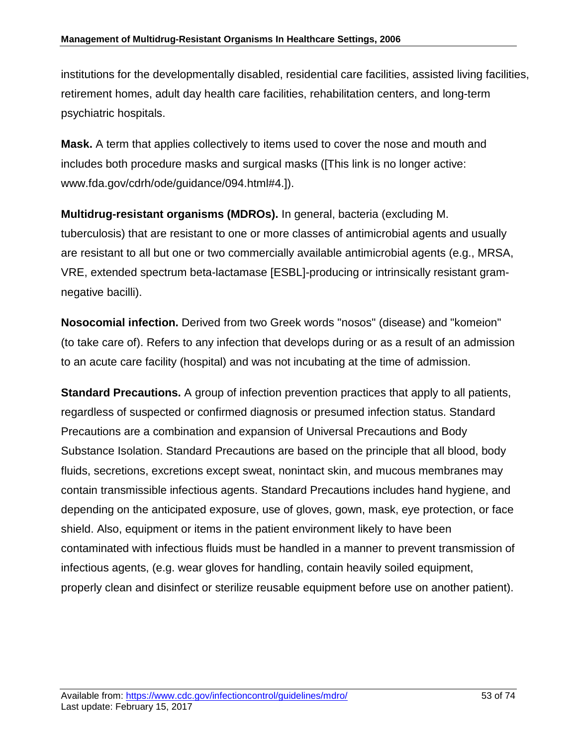institutions for the developmentally disabled, residential care facilities, assisted living facilities, retirement homes, adult day health care facilities, rehabilitation centers, and long-term psychiatric hospitals.

**Mask.** A term that applies collectively to items used to cover the nose and mouth and includes both procedure masks and surgical masks ([This link is no longer active: www.fda.gov/cdrh/ode/guidance/094.html#4.]).

**Multidrug-resistant organisms (MDROs).** In general, bacteria (excluding M. tuberculosis) that are resistant to one or more classes of antimicrobial agents and usually are resistant to all but one or two commercially available antimicrobial agents (e.g., MRSA, VRE, extended spectrum beta-lactamase [ESBL]-producing or intrinsically resistant gramnegative bacilli).

**Nosocomial infection.** Derived from two Greek words "nosos" (disease) and "komeion" (to take care of). Refers to any infection that develops during or as a result of an admission to an acute care facility (hospital) and was not incubating at the time of admission.

**Standard Precautions.** A group of infection prevention practices that apply to all patients, regardless of suspected or confirmed diagnosis or presumed infection status. Standard Precautions are a combination and expansion of Universal Precautions and Body Substance Isolation. Standard Precautions are based on the principle that all blood, body fluids, secretions, excretions except sweat, nonintact skin, and mucous membranes may contain transmissible infectious agents. Standard Precautions includes hand hygiene, and depending on the anticipated exposure, use of gloves, gown, mask, eye protection, or face shield. Also, equipment or items in the patient environment likely to have been contaminated with infectious fluids must be handled in a manner to prevent transmission of infectious agents, (e.g. wear gloves for handling, contain heavily soiled equipment, properly clean and disinfect or sterilize reusable equipment before use on another patient).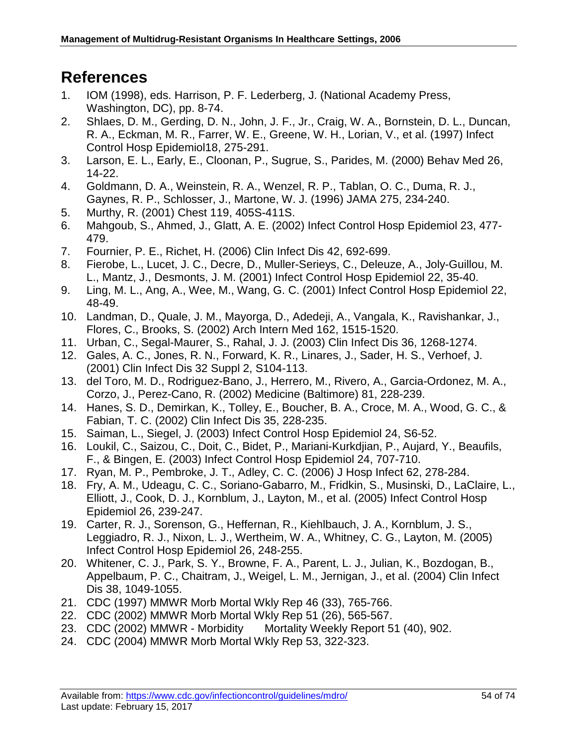# **References**

- 1. IOM (1998), eds. Harrison, P. F. Lederberg, J. (National Academy Press, Washington, DC), pp. 8-74.
- 2. Shlaes, D. M., Gerding, D. N., John, J. F., Jr., Craig, W. A., Bornstein, D. L., Duncan, R. A., Eckman, M. R., Farrer, W. E., Greene, W. H., Lorian, V., et al. (1997) Infect Control Hosp Epidemiol18, 275-291.
- 3. Larson, E. L., Early, E., Cloonan, P., Sugrue, S., Parides, M. (2000) Behav Med 26, 14-22.
- 4. Goldmann, D. A., Weinstein, R. A., Wenzel, R. P., Tablan, O. C., Duma, R. J., Gaynes, R. P., Schlosser, J., Martone, W. J. (1996) JAMA 275, 234-240.
- 5. Murthy, R. (2001) Chest 119, 405S-411S.
- 6. Mahgoub, S., Ahmed, J., Glatt, A. E. (2002) Infect Control Hosp Epidemiol 23, 477- 479.
- 7. Fournier, P. E., Richet, H. (2006) Clin Infect Dis 42, 692-699.
- 8. Fierobe, L., Lucet, J. C., Decre, D., Muller-Serieys, C., Deleuze, A., Joly-Guillou, M. L., Mantz, J., Desmonts, J. M. (2001) Infect Control Hosp Epidemiol 22, 35-40.
- 9. Ling, M. L., Ang, A., Wee, M., Wang, G. C. (2001) Infect Control Hosp Epidemiol 22, 48-49.
- 10. Landman, D., Quale, J. M., Mayorga, D., Adedeji, A., Vangala, K., Ravishankar, J., Flores, C., Brooks, S. (2002) Arch Intern Med 162, 1515-1520.
- 11. Urban, C., Segal-Maurer, S., Rahal, J. J. (2003) Clin Infect Dis 36, 1268-1274.
- 12. Gales, A. C., Jones, R. N., Forward, K. R., Linares, J., Sader, H. S., Verhoef, J. (2001) Clin Infect Dis 32 Suppl 2, S104-113.
- 13. del Toro, M. D., Rodriguez-Bano, J., Herrero, M., Rivero, A., Garcia-Ordonez, M. A., Corzo, J., Perez-Cano, R. (2002) Medicine (Baltimore) 81, 228-239.
- 14. Hanes, S. D., Demirkan, K., Tolley, E., Boucher, B. A., Croce, M. A., Wood, G. C., & Fabian, T. C. (2002) Clin Infect Dis 35, 228-235.
- 15. Saiman, L., Siegel, J. (2003) Infect Control Hosp Epidemiol 24, S6-52.
- 16. Loukil, C., Saizou, C., Doit, C., Bidet, P., Mariani-Kurkdjian, P., Aujard, Y., Beaufils, F., & Bingen, E. (2003) Infect Control Hosp Epidemiol 24, 707-710.
- 17. Ryan, M. P., Pembroke, J. T., Adley, C. C. (2006) J Hosp Infect 62, 278-284.
- 18. Fry, A. M., Udeagu, C. C., Soriano-Gabarro, M., Fridkin, S., Musinski, D., LaClaire, L., Elliott, J., Cook, D. J., Kornblum, J., Layton, M., et al. (2005) Infect Control Hosp Epidemiol 26, 239-247.
- 19. Carter, R. J., Sorenson, G., Heffernan, R., Kiehlbauch, J. A., Kornblum, J. S., Leggiadro, R. J., Nixon, L. J., Wertheim, W. A., Whitney, C. G., Layton, M. (2005) Infect Control Hosp Epidemiol 26, 248-255.
- 20. Whitener, C. J., Park, S. Y., Browne, F. A., Parent, L. J., Julian, K., Bozdogan, B., Appelbaum, P. C., Chaitram, J., Weigel, L. M., Jernigan, J., et al. (2004) Clin Infect Dis 38, 1049-1055.
- 21. CDC (1997) MMWR Morb Mortal Wkly Rep 46 (33), 765-766.
- 22. CDC (2002) MMWR Morb Mortal Wkly Rep 51 (26), 565-567.
- 23. CDC (2002) MMWR Morbidity Mortality Weekly Report 51 (40), 902.
- 24. CDC (2004) MMWR Morb Mortal Wkly Rep 53, 322-323.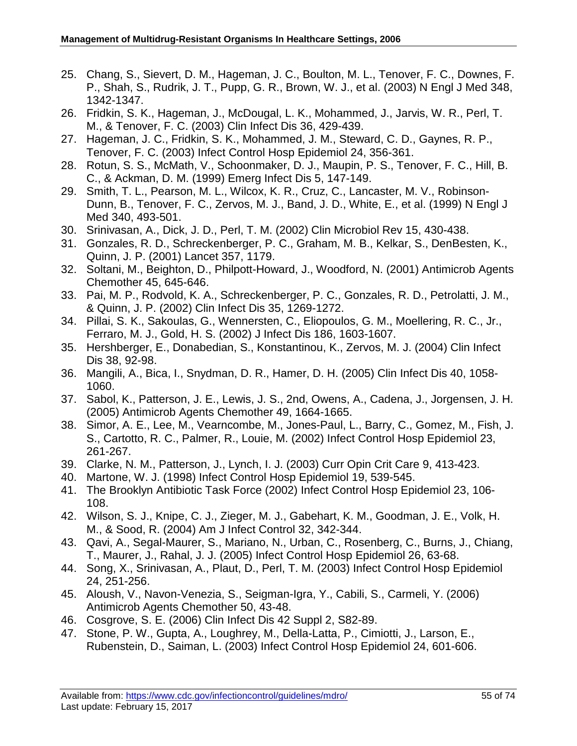- 25. Chang, S., Sievert, D. M., Hageman, J. C., Boulton, M. L., Tenover, F. C., Downes, F. P., Shah, S., Rudrik, J. T., Pupp, G. R., Brown, W. J., et al. (2003) N Engl J Med 348, 1342-1347.
- 26. Fridkin, S. K., Hageman, J., McDougal, L. K., Mohammed, J., Jarvis, W. R., Perl, T. M., & Tenover, F. C. (2003) Clin Infect Dis 36, 429-439.
- 27. Hageman, J. C., Fridkin, S. K., Mohammed, J. M., Steward, C. D., Gaynes, R. P., Tenover, F. C. (2003) Infect Control Hosp Epidemiol 24, 356-361.
- 28. Rotun, S. S., McMath, V., Schoonmaker, D. J., Maupin, P. S., Tenover, F. C., Hill, B. C., & Ackman, D. M. (1999) Emerg Infect Dis 5, 147-149.
- 29. Smith, T. L., Pearson, M. L., Wilcox, K. R., Cruz, C., Lancaster, M. V., Robinson-Dunn, B., Tenover, F. C., Zervos, M. J., Band, J. D., White, E., et al. (1999) N Engl J Med 340, 493-501.
- 30. Srinivasan, A., Dick, J. D., Perl, T. M. (2002) Clin Microbiol Rev 15, 430-438.
- 31. Gonzales, R. D., Schreckenberger, P. C., Graham, M. B., Kelkar, S., DenBesten, K., Quinn, J. P. (2001) Lancet 357, 1179.
- 32. Soltani, M., Beighton, D., Philpott-Howard, J., Woodford, N. (2001) Antimicrob Agents Chemother 45, 645-646.
- 33. Pai, M. P., Rodvold, K. A., Schreckenberger, P. C., Gonzales, R. D., Petrolatti, J. M., & Quinn, J. P. (2002) Clin Infect Dis 35, 1269-1272.
- 34. Pillai, S. K., Sakoulas, G., Wennersten, C., Eliopoulos, G. M., Moellering, R. C., Jr., Ferraro, M. J., Gold, H. S. (2002) J Infect Dis 186, 1603-1607.
- 35. Hershberger, E., Donabedian, S., Konstantinou, K., Zervos, M. J. (2004) Clin Infect Dis 38, 92-98.
- 36. Mangili, A., Bica, I., Snydman, D. R., Hamer, D. H. (2005) Clin Infect Dis 40, 1058- 1060.
- 37. Sabol, K., Patterson, J. E., Lewis, J. S., 2nd, Owens, A., Cadena, J., Jorgensen, J. H. (2005) Antimicrob Agents Chemother 49, 1664-1665.
- 38. Simor, A. E., Lee, M., Vearncombe, M., Jones-Paul, L., Barry, C., Gomez, M., Fish, J. S., Cartotto, R. C., Palmer, R., Louie, M. (2002) Infect Control Hosp Epidemiol 23, 261-267.
- 39. Clarke, N. M., Patterson, J., Lynch, I. J. (2003) Curr Opin Crit Care 9, 413-423.
- 40. Martone, W. J. (1998) Infect Control Hosp Epidemiol 19, 539-545.
- 41. The Brooklyn Antibiotic Task Force (2002) Infect Control Hosp Epidemiol 23, 106- 108.
- 42. Wilson, S. J., Knipe, C. J., Zieger, M. J., Gabehart, K. M., Goodman, J. E., Volk, H. M., & Sood, R. (2004) Am J Infect Control 32, 342-344.
- 43. Qavi, A., Segal-Maurer, S., Mariano, N., Urban, C., Rosenberg, C., Burns, J., Chiang, T., Maurer, J., Rahal, J. J. (2005) Infect Control Hosp Epidemiol 26, 63-68.
- 44. Song, X., Srinivasan, A., Plaut, D., Perl, T. M. (2003) Infect Control Hosp Epidemiol 24, 251-256.
- 45. Aloush, V., Navon-Venezia, S., Seigman-Igra, Y., Cabili, S., Carmeli, Y. (2006) Antimicrob Agents Chemother 50, 43-48.
- 46. Cosgrove, S. E. (2006) Clin Infect Dis 42 Suppl 2, S82-89.
- 47. Stone, P. W., Gupta, A., Loughrey, M., Della-Latta, P., Cimiotti, J., Larson, E., Rubenstein, D., Saiman, L. (2003) Infect Control Hosp Epidemiol 24, 601-606.

Available from[: https://www.cdc.gov/infectioncontrol/guidelines/mdro/](https://www.cdc.gov/infectioncontrol/guidelines/mdro/) 55 of 74 Last update: February 15, 2017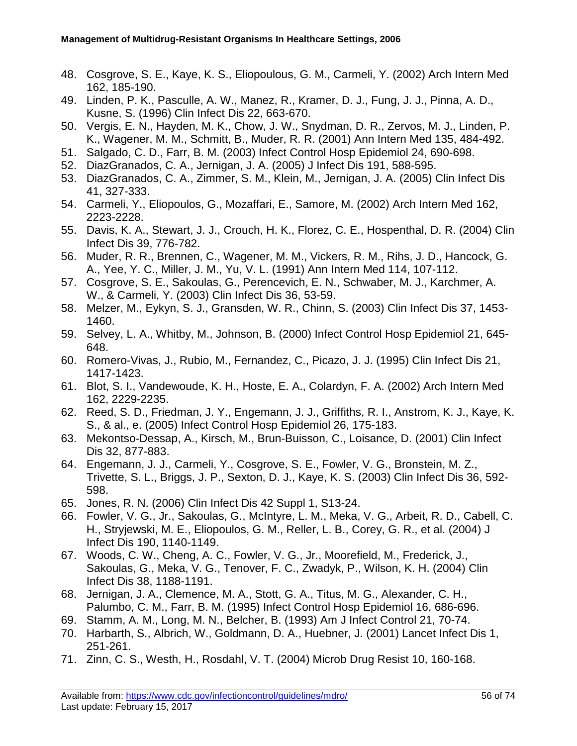- 48. Cosgrove, S. E., Kaye, K. S., Eliopoulous, G. M., Carmeli, Y. (2002) Arch Intern Med 162, 185-190.
- 49. Linden, P. K., Pasculle, A. W., Manez, R., Kramer, D. J., Fung, J. J., Pinna, A. D., Kusne, S. (1996) Clin Infect Dis 22, 663-670.
- 50. Vergis, E. N., Hayden, M. K., Chow, J. W., Snydman, D. R., Zervos, M. J., Linden, P. K., Wagener, M. M., Schmitt, B., Muder, R. R. (2001) Ann Intern Med 135, 484-492.
- 51. Salgado, C. D., Farr, B. M. (2003) Infect Control Hosp Epidemiol 24, 690-698.
- 52. DiazGranados, C. A., Jernigan, J. A. (2005) J Infect Dis 191, 588-595.
- 53. DiazGranados, C. A., Zimmer, S. M., Klein, M., Jernigan, J. A. (2005) Clin Infect Dis 41, 327-333.
- 54. Carmeli, Y., Eliopoulos, G., Mozaffari, E., Samore, M. (2002) Arch Intern Med 162, 2223-2228.
- 55. Davis, K. A., Stewart, J. J., Crouch, H. K., Florez, C. E., Hospenthal, D. R. (2004) Clin Infect Dis 39, 776-782.
- 56. Muder, R. R., Brennen, C., Wagener, M. M., Vickers, R. M., Rihs, J. D., Hancock, G. A., Yee, Y. C., Miller, J. M., Yu, V. L. (1991) Ann Intern Med 114, 107-112.
- 57. Cosgrove, S. E., Sakoulas, G., Perencevich, E. N., Schwaber, M. J., Karchmer, A. W., & Carmeli, Y. (2003) Clin Infect Dis 36, 53-59.
- 58. Melzer, M., Eykyn, S. J., Gransden, W. R., Chinn, S. (2003) Clin Infect Dis 37, 1453- 1460.
- 59. Selvey, L. A., Whitby, M., Johnson, B. (2000) Infect Control Hosp Epidemiol 21, 645- 648.
- 60. Romero-Vivas, J., Rubio, M., Fernandez, C., Picazo, J. J. (1995) Clin Infect Dis 21, 1417-1423.
- 61. Blot, S. I., Vandewoude, K. H., Hoste, E. A., Colardyn, F. A. (2002) Arch Intern Med 162, 2229-2235.
- 62. Reed, S. D., Friedman, J. Y., Engemann, J. J., Griffiths, R. I., Anstrom, K. J., Kaye, K. S., & al., e. (2005) Infect Control Hosp Epidemiol 26, 175-183.
- 63. Mekontso-Dessap, A., Kirsch, M., Brun-Buisson, C., Loisance, D. (2001) Clin Infect Dis 32, 877-883.
- 64. Engemann, J. J., Carmeli, Y., Cosgrove, S. E., Fowler, V. G., Bronstein, M. Z., Trivette, S. L., Briggs, J. P., Sexton, D. J., Kaye, K. S. (2003) Clin Infect Dis 36, 592- 598.
- 65. Jones, R. N. (2006) Clin Infect Dis 42 Suppl 1, S13-24.
- 66. Fowler, V. G., Jr., Sakoulas, G., McIntyre, L. M., Meka, V. G., Arbeit, R. D., Cabell, C. H., Stryjewski, M. E., Eliopoulos, G. M., Reller, L. B., Corey, G. R., et al. (2004) J Infect Dis 190, 1140-1149.
- 67. Woods, C. W., Cheng, A. C., Fowler, V. G., Jr., Moorefield, M., Frederick, J., Sakoulas, G., Meka, V. G., Tenover, F. C., Zwadyk, P., Wilson, K. H. (2004) Clin Infect Dis 38, 1188-1191.
- 68. Jernigan, J. A., Clemence, M. A., Stott, G. A., Titus, M. G., Alexander, C. H., Palumbo, C. M., Farr, B. M. (1995) Infect Control Hosp Epidemiol 16, 686-696.
- 69. Stamm, A. M., Long, M. N., Belcher, B. (1993) Am J Infect Control 21, 70-74.
- 70. Harbarth, S., Albrich, W., Goldmann, D. A., Huebner, J. (2001) Lancet Infect Dis 1, 251-261.
- 71. Zinn, C. S., Westh, H., Rosdahl, V. T. (2004) Microb Drug Resist 10, 160-168.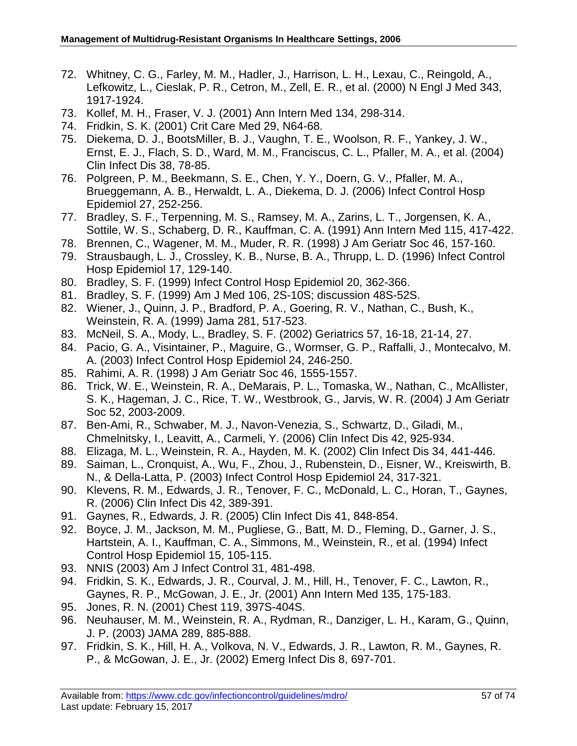- 72. Whitney, C. G., Farley, M. M., Hadler, J., Harrison, L. H., Lexau, C., Reingold, A., Lefkowitz, L., Cieslak, P. R., Cetron, M., Zell, E. R., et al. (2000) N Engl J Med 343, 1917-1924.
- 73. Kollef, M. H., Fraser, V. J. (2001) Ann Intern Med 134, 298-314.
- 74. Fridkin, S. K. (2001) Crit Care Med 29, N64-68.
- 75. Diekema, D. J., BootsMiller, B. J., Vaughn, T. E., Woolson, R. F., Yankey, J. W., Ernst, E. J., Flach, S. D., Ward, M. M., Franciscus, C. L., Pfaller, M. A., et al. (2004) Clin Infect Dis 38, 78-85.
- 76. Polgreen, P. M., Beekmann, S. E., Chen, Y. Y., Doern, G. V., Pfaller, M. A., Brueggemann, A. B., Herwaldt, L. A., Diekema, D. J. (2006) Infect Control Hosp Epidemiol 27, 252-256.
- 77. Bradley, S. F., Terpenning, M. S., Ramsey, M. A., Zarins, L. T., Jorgensen, K. A., Sottile, W. S., Schaberg, D. R., Kauffman, C. A. (1991) Ann Intern Med 115, 417-422.
- 78. Brennen, C., Wagener, M. M., Muder, R. R. (1998) J Am Geriatr Soc 46, 157-160.
- 79. Strausbaugh, L. J., Crossley, K. B., Nurse, B. A., Thrupp, L. D. (1996) Infect Control Hosp Epidemiol 17, 129-140.
- 80. Bradley, S. F. (1999) Infect Control Hosp Epidemiol 20, 362-366.
- 81. Bradley, S. F. (1999) Am J Med 106, 2S-10S; discussion 48S-52S.
- 82. Wiener, J., Quinn, J. P., Bradford, P. A., Goering, R. V., Nathan, C., Bush, K., Weinstein, R. A. (1999) Jama 281, 517-523.
- 83. McNeil, S. A., Mody, L., Bradley, S. F. (2002) Geriatrics 57, 16-18, 21-14, 27.
- 84. Pacio, G. A., Visintainer, P., Maguire, G., Wormser, G. P., Raffalli, J., Montecalvo, M. A. (2003) Infect Control Hosp Epidemiol 24, 246-250.
- 85. Rahimi, A. R. (1998) J Am Geriatr Soc 46, 1555-1557.
- 86. Trick, W. E., Weinstein, R. A., DeMarais, P. L., Tomaska, W., Nathan, C., McAllister, S. K., Hageman, J. C., Rice, T. W., Westbrook, G., Jarvis, W. R. (2004) J Am Geriatr Soc 52, 2003-2009.
- 87. Ben-Ami, R., Schwaber, M. J., Navon-Venezia, S., Schwartz, D., Giladi, M., Chmelnitsky, I., Leavitt, A., Carmeli, Y. (2006) Clin Infect Dis 42, 925-934.
- 88. Elizaga, M. L., Weinstein, R. A., Hayden, M. K. (2002) Clin Infect Dis 34, 441-446.
- 89. Saiman, L., Cronquist, A., Wu, F., Zhou, J., Rubenstein, D., Eisner, W., Kreiswirth, B. N., & Della-Latta, P. (2003) Infect Control Hosp Epidemiol 24, 317-321.
- 90. Klevens, R. M., Edwards, J. R., Tenover, F. C., McDonald, L. C., Horan, T., Gaynes, R. (2006) Clin Infect Dis 42, 389-391.
- 91. Gaynes, R., Edwards, J. R. (2005) Clin Infect Dis 41, 848-854.
- 92. Boyce, J. M., Jackson, M. M., Pugliese, G., Batt, M. D., Fleming, D., Garner, J. S., Hartstein, A. I., Kauffman, C. A., Simmons, M., Weinstein, R., et al. (1994) Infect Control Hosp Epidemiol 15, 105-115.
- 93. NNIS (2003) Am J Infect Control 31, 481-498.
- 94. Fridkin, S. K., Edwards, J. R., Courval, J. M., Hill, H., Tenover, F. C., Lawton, R., Gaynes, R. P., McGowan, J. E., Jr. (2001) Ann Intern Med 135, 175-183.
- 95. Jones, R. N. (2001) Chest 119, 397S-404S.
- 96. Neuhauser, M. M., Weinstein, R. A., Rydman, R., Danziger, L. H., Karam, G., Quinn, J. P. (2003) JAMA 289, 885-888.
- 97. Fridkin, S. K., Hill, H. A., Volkova, N. V., Edwards, J. R., Lawton, R. M., Gaynes, R. P., & McGowan, J. E., Jr. (2002) Emerg Infect Dis 8, 697-701.
- Available from[: https://www.cdc.gov/infectioncontrol/guidelines/mdro/](https://www.cdc.gov/infectioncontrol/guidelines/mdro/) 57 of 74 Last update: February 15, 2017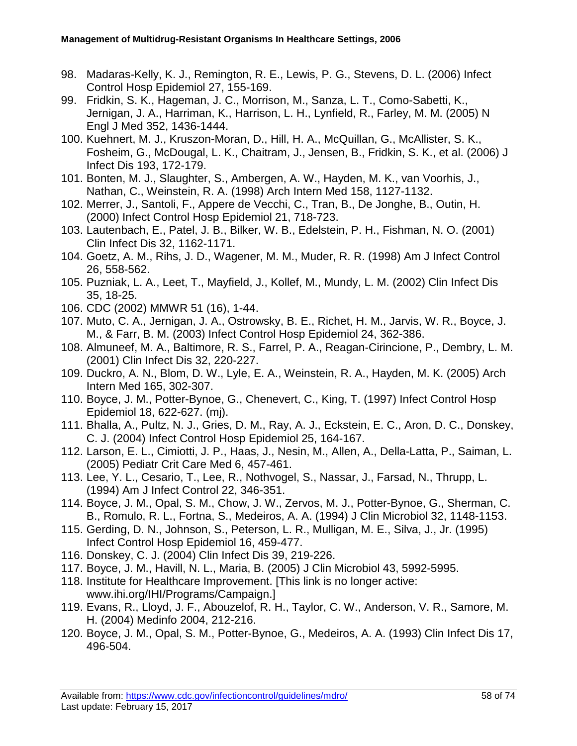- 98. Madaras-Kelly, K. J., Remington, R. E., Lewis, P. G., Stevens, D. L. (2006) Infect Control Hosp Epidemiol 27, 155-169.
- 99. Fridkin, S. K., Hageman, J. C., Morrison, M., Sanza, L. T., Como-Sabetti, K., Jernigan, J. A., Harriman, K., Harrison, L. H., Lynfield, R., Farley, M. M. (2005) N Engl J Med 352, 1436-1444.
- 100. Kuehnert, M. J., Kruszon-Moran, D., Hill, H. A., McQuillan, G., McAllister, S. K., Fosheim, G., McDougal, L. K., Chaitram, J., Jensen, B., Fridkin, S. K., et al. (2006) J Infect Dis 193, 172-179.
- 101. Bonten, M. J., Slaughter, S., Ambergen, A. W., Hayden, M. K., van Voorhis, J., Nathan, C., Weinstein, R. A. (1998) Arch Intern Med 158, 1127-1132.
- 102. Merrer, J., Santoli, F., Appere de Vecchi, C., Tran, B., De Jonghe, B., Outin, H. (2000) Infect Control Hosp Epidemiol 21, 718-723.
- 103. Lautenbach, E., Patel, J. B., Bilker, W. B., Edelstein, P. H., Fishman, N. O. (2001) Clin Infect Dis 32, 1162-1171.
- 104. Goetz, A. M., Rihs, J. D., Wagener, M. M., Muder, R. R. (1998) Am J Infect Control 26, 558-562.
- 105. Puzniak, L. A., Leet, T., Mayfield, J., Kollef, M., Mundy, L. M. (2002) Clin Infect Dis 35, 18-25.
- 106. CDC (2002) MMWR 51 (16), 1-44.
- 107. Muto, C. A., Jernigan, J. A., Ostrowsky, B. E., Richet, H. M., Jarvis, W. R., Boyce, J. M., & Farr, B. M. (2003) Infect Control Hosp Epidemiol 24, 362-386.
- 108. Almuneef, M. A., Baltimore, R. S., Farrel, P. A., Reagan-Cirincione, P., Dembry, L. M. (2001) Clin Infect Dis 32, 220-227.
- 109. Duckro, A. N., Blom, D. W., Lyle, E. A., Weinstein, R. A., Hayden, M. K. (2005) Arch Intern Med 165, 302-307.
- 110. Boyce, J. M., Potter-Bynoe, G., Chenevert, C., King, T. (1997) Infect Control Hosp Epidemiol 18, 622-627. (mj).
- 111. Bhalla, A., Pultz, N. J., Gries, D. M., Ray, A. J., Eckstein, E. C., Aron, D. C., Donskey, C. J. (2004) Infect Control Hosp Epidemiol 25, 164-167.
- 112. Larson, E. L., Cimiotti, J. P., Haas, J., Nesin, M., Allen, A., Della-Latta, P., Saiman, L. (2005) Pediatr Crit Care Med 6, 457-461.
- 113. Lee, Y. L., Cesario, T., Lee, R., Nothvogel, S., Nassar, J., Farsad, N., Thrupp, L. (1994) Am J Infect Control 22, 346-351.
- 114. Boyce, J. M., Opal, S. M., Chow, J. W., Zervos, M. J., Potter-Bynoe, G., Sherman, C. B., Romulo, R. L., Fortna, S., Medeiros, A. A. (1994) J Clin Microbiol 32, 1148-1153.
- 115. Gerding, D. N., Johnson, S., Peterson, L. R., Mulligan, M. E., Silva, J., Jr. (1995) Infect Control Hosp Epidemiol 16, 459-477.
- 116. Donskey, C. J. (2004) Clin Infect Dis 39, 219-226.
- 117. Boyce, J. M., Havill, N. L., Maria, B. (2005) J Clin Microbiol 43, 5992-5995.
- 118. Institute for Healthcare Improvement. [This link is no longer active: www.ihi.org/IHI/Programs/Campaign.]
- 119. Evans, R., Lloyd, J. F., Abouzelof, R. H., Taylor, C. W., Anderson, V. R., Samore, M. H. (2004) Medinfo 2004, 212-216.
- 120. Boyce, J. M., Opal, S. M., Potter-Bynoe, G., Medeiros, A. A. (1993) Clin Infect Dis 17, 496-504.

Available from[: https://www.cdc.gov/infectioncontrol/guidelines/mdro/](https://www.cdc.gov/infectioncontrol/guidelines/mdro/) 58 of 74 Last update: February 15, 2017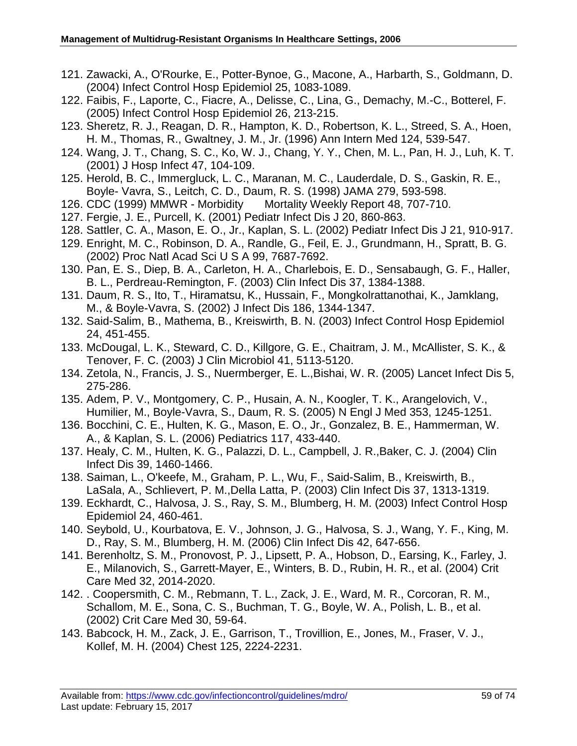- 121. Zawacki, A., O'Rourke, E., Potter-Bynoe, G., Macone, A., Harbarth, S., Goldmann, D. (2004) Infect Control Hosp Epidemiol 25, 1083-1089.
- 122. Faibis, F., Laporte, C., Fiacre, A., Delisse, C., Lina, G., Demachy, M.-C., Botterel, F. (2005) Infect Control Hosp Epidemiol 26, 213-215.
- 123. Sheretz, R. J., Reagan, D. R., Hampton, K. D., Robertson, K. L., Streed, S. A., Hoen, H. M., Thomas, R., Gwaltney, J. M., Jr. (1996) Ann Intern Med 124, 539-547.
- 124. Wang, J. T., Chang, S. C., Ko, W. J., Chang, Y. Y., Chen, M. L., Pan, H. J., Luh, K. T. (2001) J Hosp Infect 47, 104-109.
- 125. Herold, B. C., Immergluck, L. C., Maranan, M. C., Lauderdale, D. S., Gaskin, R. E., Boyle- Vavra, S., Leitch, C. D., Daum, R. S. (1998) JAMA 279, 593-598.
- 126. CDC (1999) MMWR Morbidity Mortality Weekly Report 48, 707-710.
- 127. Fergie, J. E., Purcell, K. (2001) Pediatr Infect Dis J 20, 860-863.
- 128. Sattler, C. A., Mason, E. O., Jr., Kaplan, S. L. (2002) Pediatr Infect Dis J 21, 910-917.
- 129. Enright, M. C., Robinson, D. A., Randle, G., Feil, E. J., Grundmann, H., Spratt, B. G. (2002) Proc Natl Acad Sci U S A 99, 7687-7692.
- 130. Pan, E. S., Diep, B. A., Carleton, H. A., Charlebois, E. D., Sensabaugh, G. F., Haller, B. L., Perdreau-Remington, F. (2003) Clin Infect Dis 37, 1384-1388.
- 131. Daum, R. S., Ito, T., Hiramatsu, K., Hussain, F., Mongkolrattanothai, K., Jamklang, M., & Boyle-Vavra, S. (2002) J Infect Dis 186, 1344-1347.
- 132. Said-Salim, B., Mathema, B., Kreiswirth, B. N. (2003) Infect Control Hosp Epidemiol 24, 451-455.
- 133. McDougal, L. K., Steward, C. D., Killgore, G. E., Chaitram, J. M., McAllister, S. K., & Tenover, F. C. (2003) J Clin Microbiol 41, 5113-5120.
- 134. Zetola, N., Francis, J. S., Nuermberger, E. L.,Bishai, W. R. (2005) Lancet Infect Dis 5, 275-286.
- 135. Adem, P. V., Montgomery, C. P., Husain, A. N., Koogler, T. K., Arangelovich, V., Humilier, M., Boyle-Vavra, S., Daum, R. S. (2005) N Engl J Med 353, 1245-1251.
- 136. Bocchini, C. E., Hulten, K. G., Mason, E. O., Jr., Gonzalez, B. E., Hammerman, W. A., & Kaplan, S. L. (2006) Pediatrics 117, 433-440.
- 137. Healy, C. M., Hulten, K. G., Palazzi, D. L., Campbell, J. R.,Baker, C. J. (2004) Clin Infect Dis 39, 1460-1466.
- 138. Saiman, L., O'keefe, M., Graham, P. L., Wu, F., Said-Salim, B., Kreiswirth, B., LaSala, A., Schlievert, P. M.,Della Latta, P. (2003) Clin Infect Dis 37, 1313-1319.
- 139. Eckhardt, C., Halvosa, J. S., Ray, S. M., Blumberg, H. M. (2003) Infect Control Hosp Epidemiol 24, 460-461.
- 140. Seybold, U., Kourbatova, E. V., Johnson, J. G., Halvosa, S. J., Wang, Y. F., King, M. D., Ray, S. M., Blumberg, H. M. (2006) Clin Infect Dis 42, 647-656.
- 141. Berenholtz, S. M., Pronovost, P. J., Lipsett, P. A., Hobson, D., Earsing, K., Farley, J. E., Milanovich, S., Garrett-Mayer, E., Winters, B. D., Rubin, H. R., et al. (2004) Crit Care Med 32, 2014-2020.
- 142. . Coopersmith, C. M., Rebmann, T. L., Zack, J. E., Ward, M. R., Corcoran, R. M., Schallom, M. E., Sona, C. S., Buchman, T. G., Boyle, W. A., Polish, L. B., et al. (2002) Crit Care Med 30, 59-64.
- 143. Babcock, H. M., Zack, J. E., Garrison, T., Trovillion, E., Jones, M., Fraser, V. J., Kollef, M. H. (2004) Chest 125, 2224-2231.

Available from[: https://www.cdc.gov/infectioncontrol/guidelines/mdro/](https://www.cdc.gov/infectioncontrol/guidelines/mdro/) 59 of 74 Last update: February 15, 2017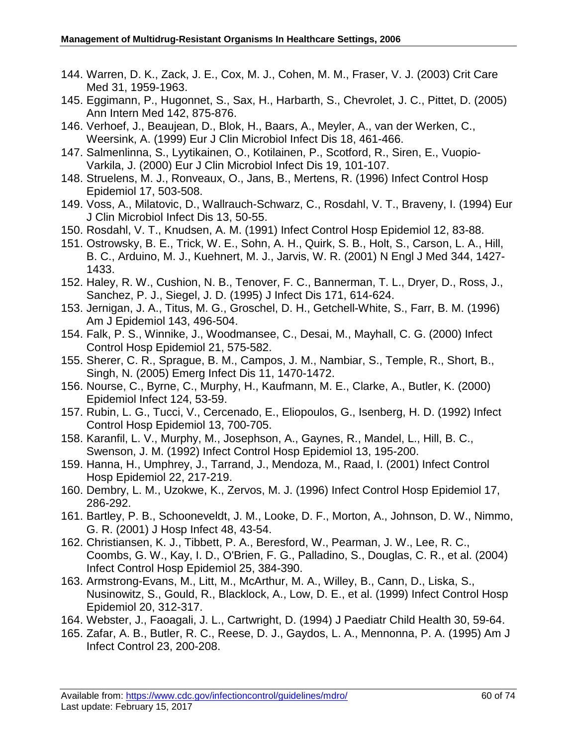- 144. Warren, D. K., Zack, J. E., Cox, M. J., Cohen, M. M., Fraser, V. J. (2003) Crit Care Med 31, 1959-1963.
- 145. Eggimann, P., Hugonnet, S., Sax, H., Harbarth, S., Chevrolet, J. C., Pittet, D. (2005) Ann Intern Med 142, 875-876.
- 146. Verhoef, J., Beaujean, D., Blok, H., Baars, A., Meyler, A., van der Werken, C., Weersink, A. (1999) Eur J Clin Microbiol Infect Dis 18, 461-466.
- 147. Salmenlinna, S., Lyytikainen, O., Kotilainen, P., Scotford, R., Siren, E., Vuopio-Varkila, J. (2000) Eur J Clin Microbiol Infect Dis 19, 101-107.
- 148. Struelens, M. J., Ronveaux, O., Jans, B., Mertens, R. (1996) Infect Control Hosp Epidemiol 17, 503-508.
- 149. Voss, A., Milatovic, D., Wallrauch-Schwarz, C., Rosdahl, V. T., Braveny, I. (1994) Eur J Clin Microbiol Infect Dis 13, 50-55.
- 150. Rosdahl, V. T., Knudsen, A. M. (1991) Infect Control Hosp Epidemiol 12, 83-88.
- 151. Ostrowsky, B. E., Trick, W. E., Sohn, A. H., Quirk, S. B., Holt, S., Carson, L. A., Hill, B. C., Arduino, M. J., Kuehnert, M. J., Jarvis, W. R. (2001) N Engl J Med 344, 1427- 1433.
- 152. Haley, R. W., Cushion, N. B., Tenover, F. C., Bannerman, T. L., Dryer, D., Ross, J., Sanchez, P. J., Siegel, J. D. (1995) J Infect Dis 171, 614-624.
- 153. Jernigan, J. A., Titus, M. G., Groschel, D. H., Getchell-White, S., Farr, B. M. (1996) Am J Epidemiol 143, 496-504.
- 154. Falk, P. S., Winnike, J., Woodmansee, C., Desai, M., Mayhall, C. G. (2000) Infect Control Hosp Epidemiol 21, 575-582.
- 155. Sherer, C. R., Sprague, B. M., Campos, J. M., Nambiar, S., Temple, R., Short, B., Singh, N. (2005) Emerg Infect Dis 11, 1470-1472.
- 156. Nourse, C., Byrne, C., Murphy, H., Kaufmann, M. E., Clarke, A., Butler, K. (2000) Epidemiol Infect 124, 53-59.
- 157. Rubin, L. G., Tucci, V., Cercenado, E., Eliopoulos, G., Isenberg, H. D. (1992) Infect Control Hosp Epidemiol 13, 700-705.
- 158. Karanfil, L. V., Murphy, M., Josephson, A., Gaynes, R., Mandel, L., Hill, B. C., Swenson, J. M. (1992) Infect Control Hosp Epidemiol 13, 195-200.
- 159. Hanna, H., Umphrey, J., Tarrand, J., Mendoza, M., Raad, I. (2001) Infect Control Hosp Epidemiol 22, 217-219.
- 160. Dembry, L. M., Uzokwe, K., Zervos, M. J. (1996) Infect Control Hosp Epidemiol 17, 286-292.
- 161. Bartley, P. B., Schooneveldt, J. M., Looke, D. F., Morton, A., Johnson, D. W., Nimmo, G. R. (2001) J Hosp Infect 48, 43-54.
- 162. Christiansen, K. J., Tibbett, P. A., Beresford, W., Pearman, J. W., Lee, R. C., Coombs, G. W., Kay, I. D., O'Brien, F. G., Palladino, S., Douglas, C. R., et al. (2004) Infect Control Hosp Epidemiol 25, 384-390.
- 163. Armstrong-Evans, M., Litt, M., McArthur, M. A., Willey, B., Cann, D., Liska, S., Nusinowitz, S., Gould, R., Blacklock, A., Low, D. E., et al. (1999) Infect Control Hosp Epidemiol 20, 312-317.
- 164. Webster, J., Faoagali, J. L., Cartwright, D. (1994) J Paediatr Child Health 30, 59-64.
- 165. Zafar, A. B., Butler, R. C., Reese, D. J., Gaydos, L. A., Mennonna, P. A. (1995) Am J Infect Control 23, 200-208.

Available from[: https://www.cdc.gov/infectioncontrol/guidelines/mdro/](https://www.cdc.gov/infectioncontrol/guidelines/mdro/) 60 of 74 Last update: February 15, 2017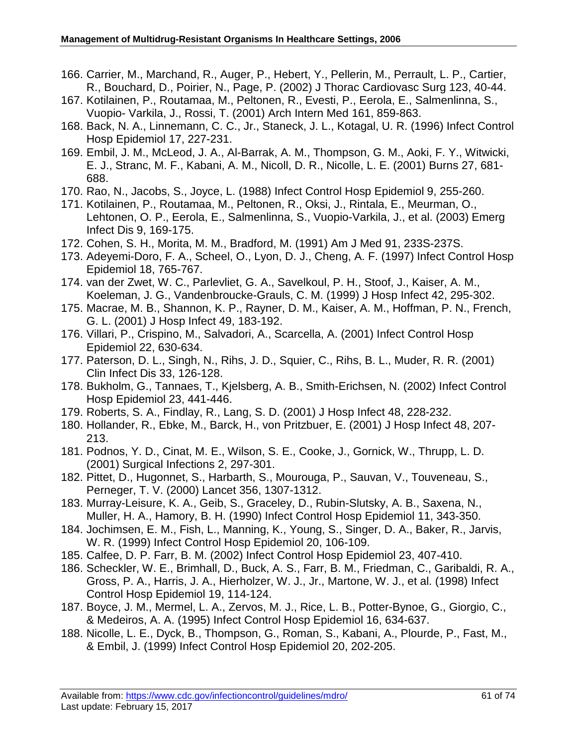- 166. Carrier, M., Marchand, R., Auger, P., Hebert, Y., Pellerin, M., Perrault, L. P., Cartier, R., Bouchard, D., Poirier, N., Page, P. (2002) J Thorac Cardiovasc Surg 123, 40-44.
- 167. Kotilainen, P., Routamaa, M., Peltonen, R., Evesti, P., Eerola, E., Salmenlinna, S., Vuopio- Varkila, J., Rossi, T. (2001) Arch Intern Med 161, 859-863.
- 168. Back, N. A., Linnemann, C. C., Jr., Staneck, J. L., Kotagal, U. R. (1996) Infect Control Hosp Epidemiol 17, 227-231.
- 169. Embil, J. M., McLeod, J. A., Al-Barrak, A. M., Thompson, G. M., Aoki, F. Y., Witwicki, E. J., Stranc, M. F., Kabani, A. M., Nicoll, D. R., Nicolle, L. E. (2001) Burns 27, 681- 688.
- 170. Rao, N., Jacobs, S., Joyce, L. (1988) Infect Control Hosp Epidemiol 9, 255-260.
- 171. Kotilainen, P., Routamaa, M., Peltonen, R., Oksi, J., Rintala, E., Meurman, O., Lehtonen, O. P., Eerola, E., Salmenlinna, S., Vuopio-Varkila, J., et al. (2003) Emerg Infect Dis 9, 169-175.
- 172. Cohen, S. H., Morita, M. M., Bradford, M. (1991) Am J Med 91, 233S-237S.
- 173. Adeyemi-Doro, F. A., Scheel, O., Lyon, D. J., Cheng, A. F. (1997) Infect Control Hosp Epidemiol 18, 765-767.
- 174. van der Zwet, W. C., Parlevliet, G. A., Savelkoul, P. H., Stoof, J., Kaiser, A. M., Koeleman, J. G., Vandenbroucke-Grauls, C. M. (1999) J Hosp Infect 42, 295-302.
- 175. Macrae, M. B., Shannon, K. P., Rayner, D. M., Kaiser, A. M., Hoffman, P. N., French, G. L. (2001) J Hosp Infect 49, 183-192.
- 176. Villari, P., Crispino, M., Salvadori, A., Scarcella, A. (2001) Infect Control Hosp Epidemiol 22, 630-634.
- 177. Paterson, D. L., Singh, N., Rihs, J. D., Squier, C., Rihs, B. L., Muder, R. R. (2001) Clin Infect Dis 33, 126-128.
- 178. Bukholm, G., Tannaes, T., Kjelsberg, A. B., Smith-Erichsen, N. (2002) Infect Control Hosp Epidemiol 23, 441-446.
- 179. Roberts, S. A., Findlay, R., Lang, S. D. (2001) J Hosp Infect 48, 228-232.
- 180. Hollander, R., Ebke, M., Barck, H., von Pritzbuer, E. (2001) J Hosp Infect 48, 207- 213.
- 181. Podnos, Y. D., Cinat, M. E., Wilson, S. E., Cooke, J., Gornick, W., Thrupp, L. D. (2001) Surgical Infections 2, 297-301.
- 182. Pittet, D., Hugonnet, S., Harbarth, S., Mourouga, P., Sauvan, V., Touveneau, S., Perneger, T. V. (2000) Lancet 356, 1307-1312.
- 183. Murray-Leisure, K. A., Geib, S., Graceley, D., Rubin-Slutsky, A. B., Saxena, N., Muller, H. A., Hamory, B. H. (1990) Infect Control Hosp Epidemiol 11, 343-350.
- 184. Jochimsen, E. M., Fish, L., Manning, K., Young, S., Singer, D. A., Baker, R., Jarvis, W. R. (1999) Infect Control Hosp Epidemiol 20, 106-109.
- 185. Calfee, D. P. Farr, B. M. (2002) Infect Control Hosp Epidemiol 23, 407-410.
- 186. Scheckler, W. E., Brimhall, D., Buck, A. S., Farr, B. M., Friedman, C., Garibaldi, R. A., Gross, P. A., Harris, J. A., Hierholzer, W. J., Jr., Martone, W. J., et al. (1998) Infect Control Hosp Epidemiol 19, 114-124.
- 187. Boyce, J. M., Mermel, L. A., Zervos, M. J., Rice, L. B., Potter-Bynoe, G., Giorgio, C., & Medeiros, A. A. (1995) Infect Control Hosp Epidemiol 16, 634-637.
- 188. Nicolle, L. E., Dyck, B., Thompson, G., Roman, S., Kabani, A., Plourde, P., Fast, M., & Embil, J. (1999) Infect Control Hosp Epidemiol 20, 202-205.

Available from[: https://www.cdc.gov/infectioncontrol/guidelines/mdro/](https://www.cdc.gov/infectioncontrol/guidelines/mdro/) 61 of 74 Last update: February 15, 2017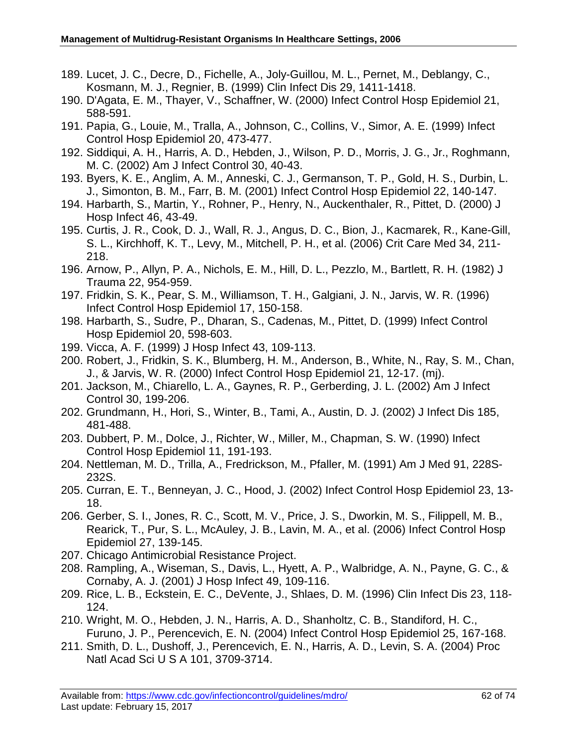- 189. Lucet, J. C., Decre, D., Fichelle, A., Joly-Guillou, M. L., Pernet, M., Deblangy, C., Kosmann, M. J., Regnier, B. (1999) Clin Infect Dis 29, 1411-1418.
- 190. D'Agata, E. M., Thayer, V., Schaffner, W. (2000) Infect Control Hosp Epidemiol 21, 588-591.
- 191. Papia, G., Louie, M., Tralla, A., Johnson, C., Collins, V., Simor, A. E. (1999) Infect Control Hosp Epidemiol 20, 473-477.
- 192. Siddiqui, A. H., Harris, A. D., Hebden, J., Wilson, P. D., Morris, J. G., Jr., Roghmann, M. C. (2002) Am J Infect Control 30, 40-43.
- 193. Byers, K. E., Anglim, A. M., Anneski, C. J., Germanson, T. P., Gold, H. S., Durbin, L. J., Simonton, B. M., Farr, B. M. (2001) Infect Control Hosp Epidemiol 22, 140-147.
- 194. Harbarth, S., Martin, Y., Rohner, P., Henry, N., Auckenthaler, R., Pittet, D. (2000) J Hosp Infect 46, 43-49.
- 195. Curtis, J. R., Cook, D. J., Wall, R. J., Angus, D. C., Bion, J., Kacmarek, R., Kane-Gill, S. L., Kirchhoff, K. T., Levy, M., Mitchell, P. H., et al. (2006) Crit Care Med 34, 211- 218.
- 196. Arnow, P., Allyn, P. A., Nichols, E. M., Hill, D. L., Pezzlo, M., Bartlett, R. H. (1982) J Trauma 22, 954-959.
- 197. Fridkin, S. K., Pear, S. M., Williamson, T. H., Galgiani, J. N., Jarvis, W. R. (1996) Infect Control Hosp Epidemiol 17, 150-158.
- 198. Harbarth, S., Sudre, P., Dharan, S., Cadenas, M., Pittet, D. (1999) Infect Control Hosp Epidemiol 20, 598-603.
- 199. Vicca, A. F. (1999) J Hosp Infect 43, 109-113.
- 200. Robert, J., Fridkin, S. K., Blumberg, H. M., Anderson, B., White, N., Ray, S. M., Chan, J., & Jarvis, W. R. (2000) Infect Control Hosp Epidemiol 21, 12-17. (mj).
- 201. Jackson, M., Chiarello, L. A., Gaynes, R. P., Gerberding, J. L. (2002) Am J Infect Control 30, 199-206.
- 202. Grundmann, H., Hori, S., Winter, B., Tami, A., Austin, D. J. (2002) J Infect Dis 185, 481-488.
- 203. Dubbert, P. M., Dolce, J., Richter, W., Miller, M., Chapman, S. W. (1990) Infect Control Hosp Epidemiol 11, 191-193.
- 204. Nettleman, M. D., Trilla, A., Fredrickson, M., Pfaller, M. (1991) Am J Med 91, 228S-232S.
- 205. Curran, E. T., Benneyan, J. C., Hood, J. (2002) Infect Control Hosp Epidemiol 23, 13- 18.
- 206. Gerber, S. I., Jones, R. C., Scott, M. V., Price, J. S., Dworkin, M. S., Filippell, M. B., Rearick, T., Pur, S. L., McAuley, J. B., Lavin, M. A., et al. (2006) Infect Control Hosp Epidemiol 27, 139-145.
- 207. Chicago Antimicrobial Resistance Project.
- 208. Rampling, A., Wiseman, S., Davis, L., Hyett, A. P., Walbridge, A. N., Payne, G. C., & Cornaby, A. J. (2001) J Hosp Infect 49, 109-116.
- 209. Rice, L. B., Eckstein, E. C., DeVente, J., Shlaes, D. M. (1996) Clin Infect Dis 23, 118- 124.
- 210. Wright, M. O., Hebden, J. N., Harris, A. D., Shanholtz, C. B., Standiford, H. C., Furuno, J. P., Perencevich, E. N. (2004) Infect Control Hosp Epidemiol 25, 167-168.
- 211. Smith, D. L., Dushoff, J., Perencevich, E. N., Harris, A. D., Levin, S. A. (2004) Proc Natl Acad Sci U S A 101, 3709-3714.
- Available from[: https://www.cdc.gov/infectioncontrol/guidelines/mdro/](https://www.cdc.gov/infectioncontrol/guidelines/mdro/) 62 of 74 Last update: February 15, 2017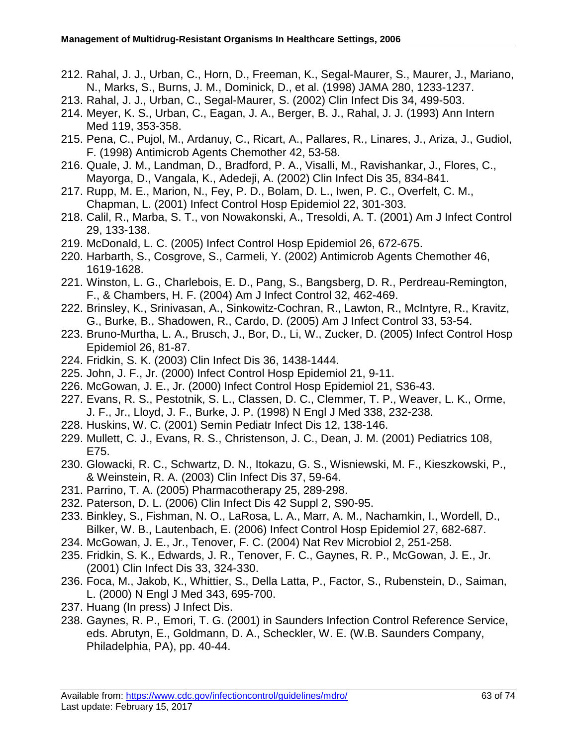- 212. Rahal, J. J., Urban, C., Horn, D., Freeman, K., Segal-Maurer, S., Maurer, J., Mariano, N., Marks, S., Burns, J. M., Dominick, D., et al. (1998) JAMA 280, 1233-1237.
- 213. Rahal, J. J., Urban, C., Segal-Maurer, S. (2002) Clin Infect Dis 34, 499-503.
- 214. Meyer, K. S., Urban, C., Eagan, J. A., Berger, B. J., Rahal, J. J. (1993) Ann Intern Med 119, 353-358.
- 215. Pena, C., Pujol, M., Ardanuy, C., Ricart, A., Pallares, R., Linares, J., Ariza, J., Gudiol, F. (1998) Antimicrob Agents Chemother 42, 53-58.
- 216. Quale, J. M., Landman, D., Bradford, P. A., Visalli, M., Ravishankar, J., Flores, C., Mayorga, D., Vangala, K., Adedeji, A. (2002) Clin Infect Dis 35, 834-841.
- 217. Rupp, M. E., Marion, N., Fey, P. D., Bolam, D. L., Iwen, P. C., Overfelt, C. M., Chapman, L. (2001) Infect Control Hosp Epidemiol 22, 301-303.
- 218. Calil, R., Marba, S. T., von Nowakonski, A., Tresoldi, A. T. (2001) Am J Infect Control 29, 133-138.
- 219. McDonald, L. C. (2005) Infect Control Hosp Epidemiol 26, 672-675.
- 220. Harbarth, S., Cosgrove, S., Carmeli, Y. (2002) Antimicrob Agents Chemother 46, 1619-1628.
- 221. Winston, L. G., Charlebois, E. D., Pang, S., Bangsberg, D. R., Perdreau-Remington, F., & Chambers, H. F. (2004) Am J Infect Control 32, 462-469.
- 222. Brinsley, K., Srinivasan, A., Sinkowitz-Cochran, R., Lawton, R., McIntyre, R., Kravitz, G., Burke, B., Shadowen, R., Cardo, D. (2005) Am J Infect Control 33, 53-54.
- 223. Bruno-Murtha, L. A., Brusch, J., Bor, D., Li, W., Zucker, D. (2005) Infect Control Hosp Epidemiol 26, 81-87.
- 224. Fridkin, S. K. (2003) Clin Infect Dis 36, 1438-1444.
- 225. John, J. F., Jr. (2000) Infect Control Hosp Epidemiol 21, 9-11.
- 226. McGowan, J. E., Jr. (2000) Infect Control Hosp Epidemiol 21, S36-43.
- 227. Evans, R. S., Pestotnik, S. L., Classen, D. C., Clemmer, T. P., Weaver, L. K., Orme, J. F., Jr., Lloyd, J. F., Burke, J. P. (1998) N Engl J Med 338, 232-238.
- 228. Huskins, W. C. (2001) Semin Pediatr Infect Dis 12, 138-146.
- 229. Mullett, C. J., Evans, R. S., Christenson, J. C., Dean, J. M. (2001) Pediatrics 108, E75.
- 230. Glowacki, R. C., Schwartz, D. N., Itokazu, G. S., Wisniewski, M. F., Kieszkowski, P., & Weinstein, R. A. (2003) Clin Infect Dis 37, 59-64.
- 231. Parrino, T. A. (2005) Pharmacotherapy 25, 289-298.
- 232. Paterson, D. L. (2006) Clin Infect Dis 42 Suppl 2, S90-95.
- 233. Binkley, S., Fishman, N. O., LaRosa, L. A., Marr, A. M., Nachamkin, I., Wordell, D., Bilker, W. B., Lautenbach, E. (2006) Infect Control Hosp Epidemiol 27, 682-687.
- 234. McGowan, J. E., Jr., Tenover, F. C. (2004) Nat Rev Microbiol 2, 251-258.
- 235. Fridkin, S. K., Edwards, J. R., Tenover, F. C., Gaynes, R. P., McGowan, J. E., Jr. (2001) Clin Infect Dis 33, 324-330.
- 236. Foca, M., Jakob, K., Whittier, S., Della Latta, P., Factor, S., Rubenstein, D., Saiman, L. (2000) N Engl J Med 343, 695-700.
- 237. Huang (In press) J Infect Dis.
- 238. Gaynes, R. P., Emori, T. G. (2001) in Saunders Infection Control Reference Service, eds. Abrutyn, E., Goldmann, D. A., Scheckler, W. E. (W.B. Saunders Company, Philadelphia, PA), pp. 40-44.
- Available from[: https://www.cdc.gov/infectioncontrol/guidelines/mdro/](https://www.cdc.gov/infectioncontrol/guidelines/mdro/) 63 of 74 Last update: February 15, 2017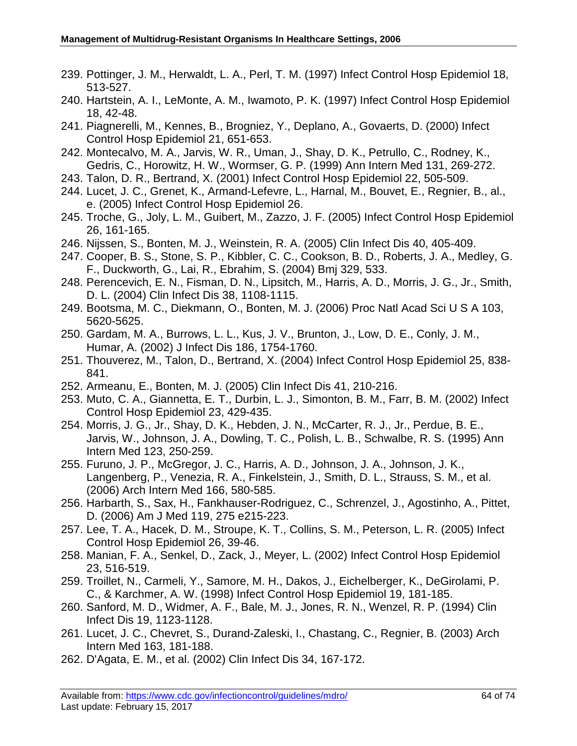- 239. Pottinger, J. M., Herwaldt, L. A., Perl, T. M. (1997) Infect Control Hosp Epidemiol 18, 513-527.
- 240. Hartstein, A. I., LeMonte, A. M., Iwamoto, P. K. (1997) Infect Control Hosp Epidemiol 18, 42-48.
- 241. Piagnerelli, M., Kennes, B., Brogniez, Y., Deplano, A., Govaerts, D. (2000) Infect Control Hosp Epidemiol 21, 651-653.
- 242. Montecalvo, M. A., Jarvis, W. R., Uman, J., Shay, D. K., Petrullo, C., Rodney, K., Gedris, C., Horowitz, H. W., Wormser, G. P. (1999) Ann Intern Med 131, 269-272.
- 243. Talon, D. R., Bertrand, X. (2001) Infect Control Hosp Epidemiol 22, 505-509.
- 244. Lucet, J. C., Grenet, K., Armand-Lefevre, L., Harnal, M., Bouvet, E., Regnier, B., al., e. (2005) Infect Control Hosp Epidemiol 26.
- 245. Troche, G., Joly, L. M., Guibert, M., Zazzo, J. F. (2005) Infect Control Hosp Epidemiol 26, 161-165.
- 246. Nijssen, S., Bonten, M. J., Weinstein, R. A. (2005) Clin Infect Dis 40, 405-409.
- 247. Cooper, B. S., Stone, S. P., Kibbler, C. C., Cookson, B. D., Roberts, J. A., Medley, G. F., Duckworth, G., Lai, R., Ebrahim, S. (2004) Bmj 329, 533.
- 248. Perencevich, E. N., Fisman, D. N., Lipsitch, M., Harris, A. D., Morris, J. G., Jr., Smith, D. L. (2004) Clin Infect Dis 38, 1108-1115.
- 249. Bootsma, M. C., Diekmann, O., Bonten, M. J. (2006) Proc Natl Acad Sci U S A 103, 5620-5625.
- 250. Gardam, M. A., Burrows, L. L., Kus, J. V., Brunton, J., Low, D. E., Conly, J. M., Humar, A. (2002) J Infect Dis 186, 1754-1760.
- 251. Thouverez, M., Talon, D., Bertrand, X. (2004) Infect Control Hosp Epidemiol 25, 838- 841.
- 252. Armeanu, E., Bonten, M. J. (2005) Clin Infect Dis 41, 210-216.
- 253. Muto, C. A., Giannetta, E. T., Durbin, L. J., Simonton, B. M., Farr, B. M. (2002) Infect Control Hosp Epidemiol 23, 429-435.
- 254. Morris, J. G., Jr., Shay, D. K., Hebden, J. N., McCarter, R. J., Jr., Perdue, B. E., Jarvis, W., Johnson, J. A., Dowling, T. C., Polish, L. B., Schwalbe, R. S. (1995) Ann Intern Med 123, 250-259.
- 255. Furuno, J. P., McGregor, J. C., Harris, A. D., Johnson, J. A., Johnson, J. K., Langenberg, P., Venezia, R. A., Finkelstein, J., Smith, D. L., Strauss, S. M., et al. (2006) Arch Intern Med 166, 580-585.
- 256. Harbarth, S., Sax, H., Fankhauser-Rodriguez, C., Schrenzel, J., Agostinho, A., Pittet, D. (2006) Am J Med 119, 275 e215-223.
- 257. Lee, T. A., Hacek, D. M., Stroupe, K. T., Collins, S. M., Peterson, L. R. (2005) Infect Control Hosp Epidemiol 26, 39-46.
- 258. Manian, F. A., Senkel, D., Zack, J., Meyer, L. (2002) Infect Control Hosp Epidemiol 23, 516-519.
- 259. Troillet, N., Carmeli, Y., Samore, M. H., Dakos, J., Eichelberger, K., DeGirolami, P. C., & Karchmer, A. W. (1998) Infect Control Hosp Epidemiol 19, 181-185.
- 260. Sanford, M. D., Widmer, A. F., Bale, M. J., Jones, R. N., Wenzel, R. P. (1994) Clin Infect Dis 19, 1123-1128.
- 261. Lucet, J. C., Chevret, S., Durand-Zaleski, I., Chastang, C., Regnier, B. (2003) Arch Intern Med 163, 181-188.
- 262. D'Agata, E. M., et al. (2002) Clin Infect Dis 34, 167-172.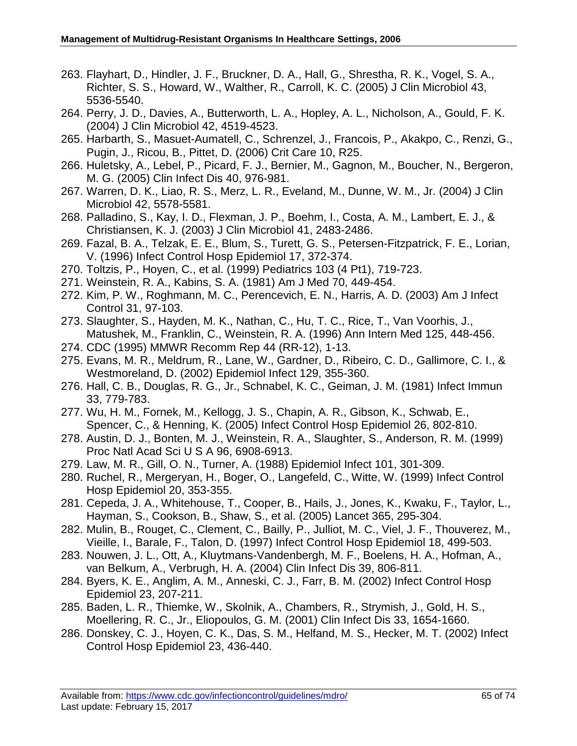- 263. Flayhart, D., Hindler, J. F., Bruckner, D. A., Hall, G., Shrestha, R. K., Vogel, S. A., Richter, S. S., Howard, W., Walther, R., Carroll, K. C. (2005) J Clin Microbiol 43, 5536-5540.
- 264. Perry, J. D., Davies, A., Butterworth, L. A., Hopley, A. L., Nicholson, A., Gould, F. K. (2004) J Clin Microbiol 42, 4519-4523.
- 265. Harbarth, S., Masuet-Aumatell, C., Schrenzel, J., Francois, P., Akakpo, C., Renzi, G., Pugin, J., Ricou, B., Pittet, D. (2006) Crit Care 10, R25.
- 266. Huletsky, A., Lebel, P., Picard, F. J., Bernier, M., Gagnon, M., Boucher, N., Bergeron, M. G. (2005) Clin Infect Dis 40, 976-981.
- 267. Warren, D. K., Liao, R. S., Merz, L. R., Eveland, M., Dunne, W. M., Jr. (2004) J Clin Microbiol 42, 5578-5581.
- 268. Palladino, S., Kay, I. D., Flexman, J. P., Boehm, I., Costa, A. M., Lambert, E. J., & Christiansen, K. J. (2003) J Clin Microbiol 41, 2483-2486.
- 269. Fazal, B. A., Telzak, E. E., Blum, S., Turett, G. S., Petersen-Fitzpatrick, F. E., Lorian, V. (1996) Infect Control Hosp Epidemiol 17, 372-374.
- 270. Toltzis, P., Hoyen, C., et al. (1999) Pediatrics 103 (4 Pt1), 719-723.
- 271. Weinstein, R. A., Kabins, S. A. (1981) Am J Med 70, 449-454.
- 272. Kim, P. W., Roghmann, M. C., Perencevich, E. N., Harris, A. D. (2003) Am J Infect Control 31, 97-103.
- 273. Slaughter, S., Hayden, M. K., Nathan, C., Hu, T. C., Rice, T., Van Voorhis, J., Matushek, M., Franklin, C., Weinstein, R. A. (1996) Ann Intern Med 125, 448-456.
- 274. CDC (1995) MMWR Recomm Rep 44 (RR-12), 1-13.
- 275. Evans, M. R., Meldrum, R., Lane, W., Gardner, D., Ribeiro, C. D., Gallimore, C. I., & Westmoreland, D. (2002) Epidemiol Infect 129, 355-360.
- 276. Hall, C. B., Douglas, R. G., Jr., Schnabel, K. C., Geiman, J. M. (1981) Infect Immun 33, 779-783.
- 277. Wu, H. M., Fornek, M., Kellogg, J. S., Chapin, A. R., Gibson, K., Schwab, E., Spencer, C., & Henning, K. (2005) Infect Control Hosp Epidemiol 26, 802-810.
- 278. Austin, D. J., Bonten, M. J., Weinstein, R. A., Slaughter, S., Anderson, R. M. (1999) Proc Natl Acad Sci U S A 96, 6908-6913.
- 279. Law, M. R., Gill, O. N., Turner, A. (1988) Epidemiol Infect 101, 301-309.
- 280. Ruchel, R., Mergeryan, H., Boger, O., Langefeld, C., Witte, W. (1999) Infect Control Hosp Epidemiol 20, 353-355.
- 281. Cepeda, J. A., Whitehouse, T., Cooper, B., Hails, J., Jones, K., Kwaku, F., Taylor, L., Hayman, S., Cookson, B., Shaw, S., et al. (2005) Lancet 365, 295-304.
- 282. Mulin, B., Rouget, C., Clement, C., Bailly, P., Julliot, M. C., Viel, J. F., Thouverez, M., Vieille, I., Barale, F., Talon, D. (1997) Infect Control Hosp Epidemiol 18, 499-503.
- 283. Nouwen, J. L., Ott, A., Kluytmans-Vandenbergh, M. F., Boelens, H. A., Hofman, A., van Belkum, A., Verbrugh, H. A. (2004) Clin Infect Dis 39, 806-811.
- 284. Byers, K. E., Anglim, A. M., Anneski, C. J., Farr, B. M. (2002) Infect Control Hosp Epidemiol 23, 207-211.
- 285. Baden, L. R., Thiemke, W., Skolnik, A., Chambers, R., Strymish, J., Gold, H. S., Moellering, R. C., Jr., Eliopoulos, G. M. (2001) Clin Infect Dis 33, 1654-1660.
- 286. Donskey, C. J., Hoyen, C. K., Das, S. M., Helfand, M. S., Hecker, M. T. (2002) Infect Control Hosp Epidemiol 23, 436-440.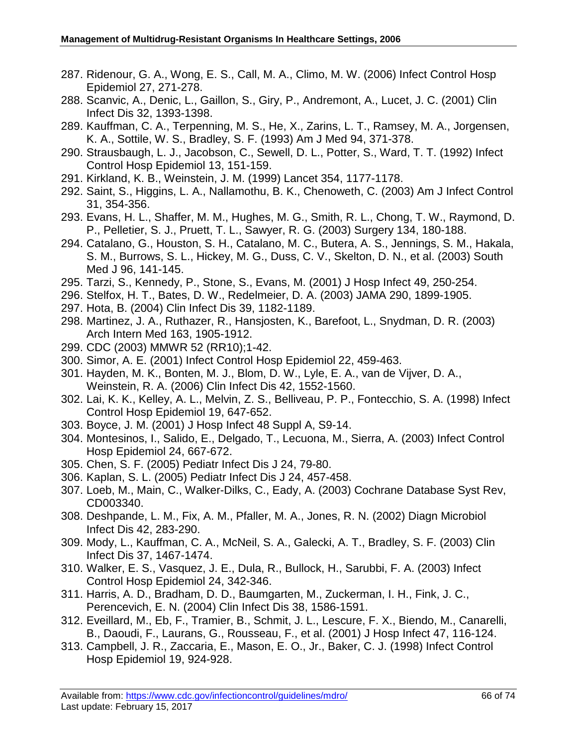- 287. Ridenour, G. A., Wong, E. S., Call, M. A., Climo, M. W. (2006) Infect Control Hosp Epidemiol 27, 271-278.
- 288. Scanvic, A., Denic, L., Gaillon, S., Giry, P., Andremont, A., Lucet, J. C. (2001) Clin Infect Dis 32, 1393-1398.
- 289. Kauffman, C. A., Terpenning, M. S., He, X., Zarins, L. T., Ramsey, M. A., Jorgensen, K. A., Sottile, W. S., Bradley, S. F. (1993) Am J Med 94, 371-378.
- 290. Strausbaugh, L. J., Jacobson, C., Sewell, D. L., Potter, S., Ward, T. T. (1992) Infect Control Hosp Epidemiol 13, 151-159.
- 291. Kirkland, K. B., Weinstein, J. M. (1999) Lancet 354, 1177-1178.
- 292. Saint, S., Higgins, L. A., Nallamothu, B. K., Chenoweth, C. (2003) Am J Infect Control 31, 354-356.
- 293. Evans, H. L., Shaffer, M. M., Hughes, M. G., Smith, R. L., Chong, T. W., Raymond, D. P., Pelletier, S. J., Pruett, T. L., Sawyer, R. G. (2003) Surgery 134, 180-188.
- 294. Catalano, G., Houston, S. H., Catalano, M. C., Butera, A. S., Jennings, S. M., Hakala, S. M., Burrows, S. L., Hickey, M. G., Duss, C. V., Skelton, D. N., et al. (2003) South Med J 96, 141-145.
- 295. Tarzi, S., Kennedy, P., Stone, S., Evans, M. (2001) J Hosp Infect 49, 250-254.
- 296. Stelfox, H. T., Bates, D. W., Redelmeier, D. A. (2003) JAMA 290, 1899-1905.
- 297. Hota, B. (2004) Clin Infect Dis 39, 1182-1189.
- 298. Martinez, J. A., Ruthazer, R., Hansjosten, K., Barefoot, L., Snydman, D. R. (2003) Arch Intern Med 163, 1905-1912.
- 299. CDC (2003) MMWR 52 (RR10);1-42.
- 300. Simor, A. E. (2001) Infect Control Hosp Epidemiol 22, 459-463.
- 301. Hayden, M. K., Bonten, M. J., Blom, D. W., Lyle, E. A., van de Vijver, D. A., Weinstein, R. A. (2006) Clin Infect Dis 42, 1552-1560.
- 302. Lai, K. K., Kelley, A. L., Melvin, Z. S., Belliveau, P. P., Fontecchio, S. A. (1998) Infect Control Hosp Epidemiol 19, 647-652.
- 303. Boyce, J. M. (2001) J Hosp Infect 48 Suppl A, S9-14.
- 304. Montesinos, I., Salido, E., Delgado, T., Lecuona, M., Sierra, A. (2003) Infect Control Hosp Epidemiol 24, 667-672.
- 305. Chen, S. F. (2005) Pediatr Infect Dis J 24, 79-80.
- 306. Kaplan, S. L. (2005) Pediatr Infect Dis J 24, 457-458.
- 307. Loeb, M., Main, C., Walker-Dilks, C., Eady, A. (2003) Cochrane Database Syst Rev, CD003340.
- 308. Deshpande, L. M., Fix, A. M., Pfaller, M. A., Jones, R. N. (2002) Diagn Microbiol Infect Dis 42, 283-290.
- 309. Mody, L., Kauffman, C. A., McNeil, S. A., Galecki, A. T., Bradley, S. F. (2003) Clin Infect Dis 37, 1467-1474.
- 310. Walker, E. S., Vasquez, J. E., Dula, R., Bullock, H., Sarubbi, F. A. (2003) Infect Control Hosp Epidemiol 24, 342-346.
- 311. Harris, A. D., Bradham, D. D., Baumgarten, M., Zuckerman, I. H., Fink, J. C., Perencevich, E. N. (2004) Clin Infect Dis 38, 1586-1591.
- 312. Eveillard, M., Eb, F., Tramier, B., Schmit, J. L., Lescure, F. X., Biendo, M., Canarelli, B., Daoudi, F., Laurans, G., Rousseau, F., et al. (2001) J Hosp Infect 47, 116-124.
- 313. Campbell, J. R., Zaccaria, E., Mason, E. O., Jr., Baker, C. J. (1998) Infect Control Hosp Epidemiol 19, 924-928.

Available from[: https://www.cdc.gov/infectioncontrol/guidelines/mdro/](https://www.cdc.gov/infectioncontrol/guidelines/mdro/) 66 of 74 Last update: February 15, 2017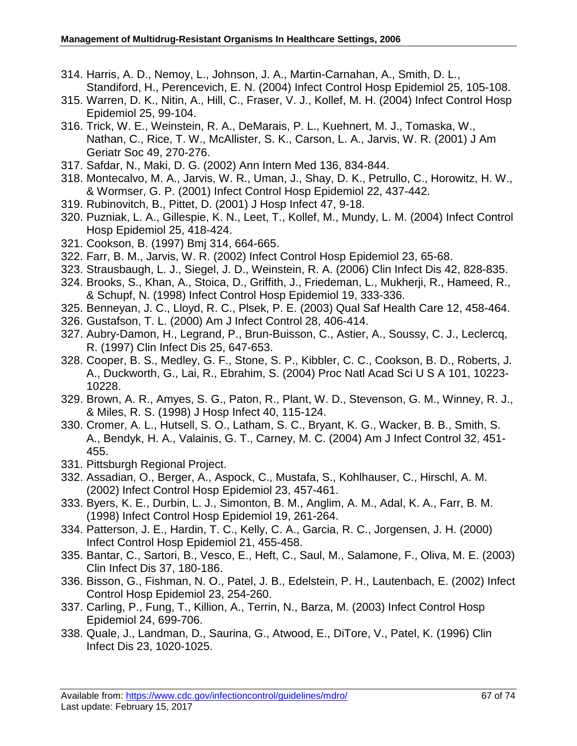- 314. Harris, A. D., Nemoy, L., Johnson, J. A., Martin-Carnahan, A., Smith, D. L., Standiford, H., Perencevich, E. N. (2004) Infect Control Hosp Epidemiol 25, 105-108.
- 315. Warren, D. K., Nitin, A., Hill, C., Fraser, V. J., Kollef, M. H. (2004) Infect Control Hosp Epidemiol 25, 99-104.
- 316. Trick, W. E., Weinstein, R. A., DeMarais, P. L., Kuehnert, M. J., Tomaska, W., Nathan, C., Rice, T. W., McAllister, S. K., Carson, L. A., Jarvis, W. R. (2001) J Am Geriatr Soc 49, 270-276.
- 317. Safdar, N., Maki, D. G. (2002) Ann Intern Med 136, 834-844.
- 318. Montecalvo, M. A., Jarvis, W. R., Uman, J., Shay, D. K., Petrullo, C., Horowitz, H. W., & Wormser, G. P. (2001) Infect Control Hosp Epidemiol 22, 437-442.
- 319. Rubinovitch, B., Pittet, D. (2001) J Hosp Infect 47, 9-18.
- 320. Puzniak, L. A., Gillespie, K. N., Leet, T., Kollef, M., Mundy, L. M. (2004) Infect Control Hosp Epidemiol 25, 418-424.
- 321. Cookson, B. (1997) Bmj 314, 664-665.
- 322. Farr, B. M., Jarvis, W. R. (2002) Infect Control Hosp Epidemiol 23, 65-68.
- 323. Strausbaugh, L. J., Siegel, J. D., Weinstein, R. A. (2006) Clin Infect Dis 42, 828-835.
- 324. Brooks, S., Khan, A., Stoica, D., Griffith, J., Friedeman, L., Mukherji, R., Hameed, R., & Schupf, N. (1998) Infect Control Hosp Epidemiol 19, 333-336.
- 325. Benneyan, J. C., Lloyd, R. C., Plsek, P. E. (2003) Qual Saf Health Care 12, 458-464.
- 326. Gustafson, T. L. (2000) Am J Infect Control 28, 406-414.
- 327. Aubry-Damon, H., Legrand, P., Brun-Buisson, C., Astier, A., Soussy, C. J., Leclercq, R. (1997) Clin Infect Dis 25, 647-653.
- 328. Cooper, B. S., Medley, G. F., Stone, S. P., Kibbler, C. C., Cookson, B. D., Roberts, J. A., Duckworth, G., Lai, R., Ebrahim, S. (2004) Proc Natl Acad Sci U S A 101, 10223- 10228.
- 329. Brown, A. R., Amyes, S. G., Paton, R., Plant, W. D., Stevenson, G. M., Winney, R. J., & Miles, R. S. (1998) J Hosp Infect 40, 115-124.
- 330. Cromer, A. L., Hutsell, S. O., Latham, S. C., Bryant, K. G., Wacker, B. B., Smith, S. A., Bendyk, H. A., Valainis, G. T., Carney, M. C. (2004) Am J Infect Control 32, 451- 455.
- 331. Pittsburgh Regional Project.
- 332. Assadian, O., Berger, A., Aspock, C., Mustafa, S., Kohlhauser, C., Hirschl, A. M. (2002) Infect Control Hosp Epidemiol 23, 457-461.
- 333. Byers, K. E., Durbin, L. J., Simonton, B. M., Anglim, A. M., Adal, K. A., Farr, B. M. (1998) Infect Control Hosp Epidemiol 19, 261-264.
- 334. Patterson, J. E., Hardin, T. C., Kelly, C. A., Garcia, R. C., Jorgensen, J. H. (2000) Infect Control Hosp Epidemiol 21, 455-458.
- 335. Bantar, C., Sartori, B., Vesco, E., Heft, C., Saul, M., Salamone, F., Oliva, M. E. (2003) Clin Infect Dis 37, 180-186.
- 336. Bisson, G., Fishman, N. O., Patel, J. B., Edelstein, P. H., Lautenbach, E. (2002) Infect Control Hosp Epidemiol 23, 254-260.
- 337. Carling, P., Fung, T., Killion, A., Terrin, N., Barza, M. (2003) Infect Control Hosp Epidemiol 24, 699-706.
- 338. Quale, J., Landman, D., Saurina, G., Atwood, E., DiTore, V., Patel, K. (1996) Clin Infect Dis 23, 1020-1025.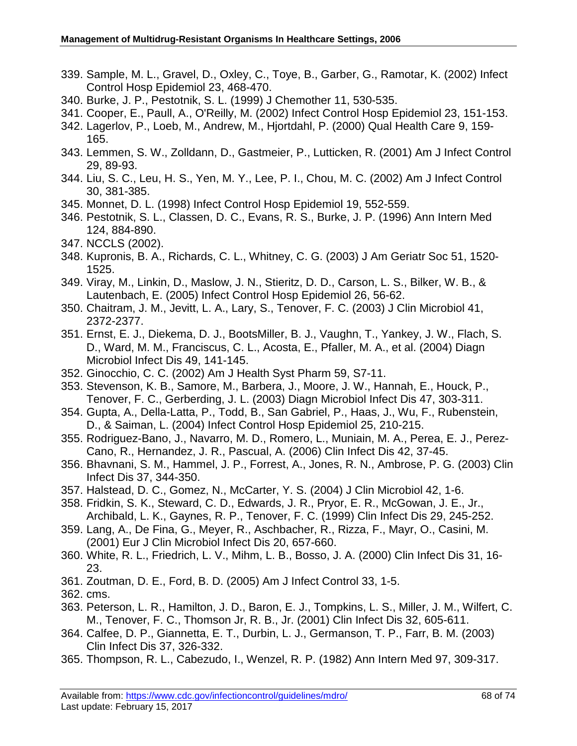- 339. Sample, M. L., Gravel, D., Oxley, C., Toye, B., Garber, G., Ramotar, K. (2002) Infect Control Hosp Epidemiol 23, 468-470.
- 340. Burke, J. P., Pestotnik, S. L. (1999) J Chemother 11, 530-535.
- 341. Cooper, E., Paull, A., O'Reilly, M. (2002) Infect Control Hosp Epidemiol 23, 151-153.
- 342. Lagerlov, P., Loeb, M., Andrew, M., Hjortdahl, P. (2000) Qual Health Care 9, 159- 165.
- 343. Lemmen, S. W., Zolldann, D., Gastmeier, P., Lutticken, R. (2001) Am J Infect Control 29, 89-93.
- 344. Liu, S. C., Leu, H. S., Yen, M. Y., Lee, P. I., Chou, M. C. (2002) Am J Infect Control 30, 381-385.
- 345. Monnet, D. L. (1998) Infect Control Hosp Epidemiol 19, 552-559.
- 346. Pestotnik, S. L., Classen, D. C., Evans, R. S., Burke, J. P. (1996) Ann Intern Med 124, 884-890.
- 347. NCCLS (2002).
- 348. Kupronis, B. A., Richards, C. L., Whitney, C. G. (2003) J Am Geriatr Soc 51, 1520- 1525.
- 349. Viray, M., Linkin, D., Maslow, J. N., Stieritz, D. D., Carson, L. S., Bilker, W. B., & Lautenbach, E. (2005) Infect Control Hosp Epidemiol 26, 56-62.
- 350. Chaitram, J. M., Jevitt, L. A., Lary, S., Tenover, F. C. (2003) J Clin Microbiol 41, 2372-2377.
- 351. Ernst, E. J., Diekema, D. J., BootsMiller, B. J., Vaughn, T., Yankey, J. W., Flach, S. D., Ward, M. M., Franciscus, C. L., Acosta, E., Pfaller, M. A., et al. (2004) Diagn Microbiol Infect Dis 49, 141-145.
- 352. Ginocchio, C. C. (2002) Am J Health Syst Pharm 59, S7-11.
- 353. Stevenson, K. B., Samore, M., Barbera, J., Moore, J. W., Hannah, E., Houck, P., Tenover, F. C., Gerberding, J. L. (2003) Diagn Microbiol Infect Dis 47, 303-311.
- 354. Gupta, A., Della-Latta, P., Todd, B., San Gabriel, P., Haas, J., Wu, F., Rubenstein, D., & Saiman, L. (2004) Infect Control Hosp Epidemiol 25, 210-215.
- 355. Rodriguez-Bano, J., Navarro, M. D., Romero, L., Muniain, M. A., Perea, E. J., Perez-Cano, R., Hernandez, J. R., Pascual, A. (2006) Clin Infect Dis 42, 37-45.
- 356. Bhavnani, S. M., Hammel, J. P., Forrest, A., Jones, R. N., Ambrose, P. G. (2003) Clin Infect Dis 37, 344-350.
- 357. Halstead, D. C., Gomez, N., McCarter, Y. S. (2004) J Clin Microbiol 42, 1-6.
- 358. Fridkin, S. K., Steward, C. D., Edwards, J. R., Pryor, E. R., McGowan, J. E., Jr., Archibald, L. K., Gaynes, R. P., Tenover, F. C. (1999) Clin Infect Dis 29, 245-252.
- 359. Lang, A., De Fina, G., Meyer, R., Aschbacher, R., Rizza, F., Mayr, O., Casini, M. (2001) Eur J Clin Microbiol Infect Dis 20, 657-660.
- 360. White, R. L., Friedrich, L. V., Mihm, L. B., Bosso, J. A. (2000) Clin Infect Dis 31, 16- 23.
- 361. Zoutman, D. E., Ford, B. D. (2005) Am J Infect Control 33, 1-5.
- 362. cms.
- 363. Peterson, L. R., Hamilton, J. D., Baron, E. J., Tompkins, L. S., Miller, J. M., Wilfert, C. M., Tenover, F. C., Thomson Jr, R. B., Jr. (2001) Clin Infect Dis 32, 605-611.
- 364. Calfee, D. P., Giannetta, E. T., Durbin, L. J., Germanson, T. P., Farr, B. M. (2003) Clin Infect Dis 37, 326-332.
- 365. Thompson, R. L., Cabezudo, I., Wenzel, R. P. (1982) Ann Intern Med 97, 309-317.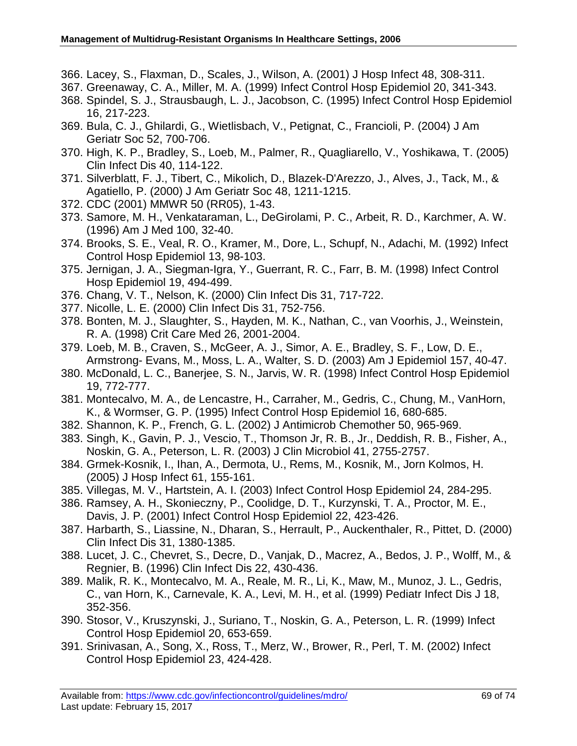- 366. Lacey, S., Flaxman, D., Scales, J., Wilson, A. (2001) J Hosp Infect 48, 308-311.
- 367. Greenaway, C. A., Miller, M. A. (1999) Infect Control Hosp Epidemiol 20, 341-343.
- 368. Spindel, S. J., Strausbaugh, L. J., Jacobson, C. (1995) Infect Control Hosp Epidemiol 16, 217-223.
- 369. Bula, C. J., Ghilardi, G., Wietlisbach, V., Petignat, C., Francioli, P. (2004) J Am Geriatr Soc 52, 700-706.
- 370. High, K. P., Bradley, S., Loeb, M., Palmer, R., Quagliarello, V., Yoshikawa, T. (2005) Clin Infect Dis 40, 114-122.
- 371. Silverblatt, F. J., Tibert, C., Mikolich, D., Blazek-D'Arezzo, J., Alves, J., Tack, M., & Agatiello, P. (2000) J Am Geriatr Soc 48, 1211-1215.
- 372. CDC (2001) MMWR 50 (RR05), 1-43.
- 373. Samore, M. H., Venkataraman, L., DeGirolami, P. C., Arbeit, R. D., Karchmer, A. W. (1996) Am J Med 100, 32-40.
- 374. Brooks, S. E., Veal, R. O., Kramer, M., Dore, L., Schupf, N., Adachi, M. (1992) Infect Control Hosp Epidemiol 13, 98-103.
- 375. Jernigan, J. A., Siegman-Igra, Y., Guerrant, R. C., Farr, B. M. (1998) Infect Control Hosp Epidemiol 19, 494-499.
- 376. Chang, V. T., Nelson, K. (2000) Clin Infect Dis 31, 717-722.
- 377. Nicolle, L. E. (2000) Clin Infect Dis 31, 752-756.
- 378. Bonten, M. J., Slaughter, S., Hayden, M. K., Nathan, C., van Voorhis, J., Weinstein, R. A. (1998) Crit Care Med 26, 2001-2004.
- 379. Loeb, M. B., Craven, S., McGeer, A. J., Simor, A. E., Bradley, S. F., Low, D. E., Armstrong- Evans, M., Moss, L. A., Walter, S. D. (2003) Am J Epidemiol 157, 40-47.
- 380. McDonald, L. C., Banerjee, S. N., Jarvis, W. R. (1998) Infect Control Hosp Epidemiol 19, 772-777.
- 381. Montecalvo, M. A., de Lencastre, H., Carraher, M., Gedris, C., Chung, M., VanHorn, K., & Wormser, G. P. (1995) Infect Control Hosp Epidemiol 16, 680-685.
- 382. Shannon, K. P., French, G. L. (2002) J Antimicrob Chemother 50, 965-969.
- 383. Singh, K., Gavin, P. J., Vescio, T., Thomson Jr, R. B., Jr., Deddish, R. B., Fisher, A., Noskin, G. A., Peterson, L. R. (2003) J Clin Microbiol 41, 2755-2757.
- 384. Grmek-Kosnik, I., Ihan, A., Dermota, U., Rems, M., Kosnik, M., Jorn Kolmos, H. (2005) J Hosp Infect 61, 155-161.
- 385. Villegas, M. V., Hartstein, A. I. (2003) Infect Control Hosp Epidemiol 24, 284-295.
- 386. Ramsey, A. H., Skonieczny, P., Coolidge, D. T., Kurzynski, T. A., Proctor, M. E., Davis, J. P. (2001) Infect Control Hosp Epidemiol 22, 423-426.
- 387. Harbarth, S., Liassine, N., Dharan, S., Herrault, P., Auckenthaler, R., Pittet, D. (2000) Clin Infect Dis 31, 1380-1385.
- 388. Lucet, J. C., Chevret, S., Decre, D., Vanjak, D., Macrez, A., Bedos, J. P., Wolff, M., & Regnier, B. (1996) Clin Infect Dis 22, 430-436.
- 389. Malik, R. K., Montecalvo, M. A., Reale, M. R., Li, K., Maw, M., Munoz, J. L., Gedris, C., van Horn, K., Carnevale, K. A., Levi, M. H., et al. (1999) Pediatr Infect Dis J 18, 352-356.
- 390. Stosor, V., Kruszynski, J., Suriano, T., Noskin, G. A., Peterson, L. R. (1999) Infect Control Hosp Epidemiol 20, 653-659.
- 391. Srinivasan, A., Song, X., Ross, T., Merz, W., Brower, R., Perl, T. M. (2002) Infect Control Hosp Epidemiol 23, 424-428.
- Available from[: https://www.cdc.gov/infectioncontrol/guidelines/mdro/](https://www.cdc.gov/infectioncontrol/guidelines/mdro/) 69 of 74 Last update: February 15, 2017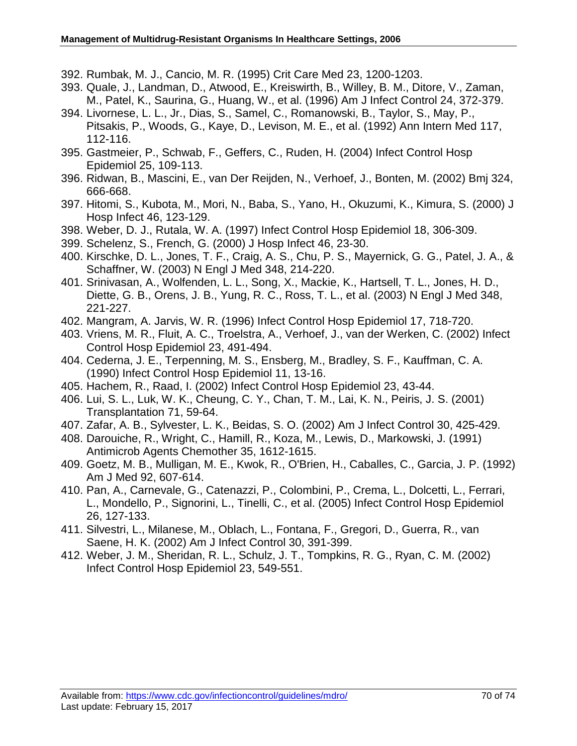- 392. Rumbak, M. J., Cancio, M. R. (1995) Crit Care Med 23, 1200-1203.
- 393. Quale, J., Landman, D., Atwood, E., Kreiswirth, B., Willey, B. M., Ditore, V., Zaman, M., Patel, K., Saurina, G., Huang, W., et al. (1996) Am J Infect Control 24, 372-379.
- 394. Livornese, L. L., Jr., Dias, S., Samel, C., Romanowski, B., Taylor, S., May, P., Pitsakis, P., Woods, G., Kaye, D., Levison, M. E., et al. (1992) Ann Intern Med 117, 112-116.
- 395. Gastmeier, P., Schwab, F., Geffers, C., Ruden, H. (2004) Infect Control Hosp Epidemiol 25, 109-113.
- 396. Ridwan, B., Mascini, E., van Der Reijden, N., Verhoef, J., Bonten, M. (2002) Bmj 324, 666-668.
- 397. Hitomi, S., Kubota, M., Mori, N., Baba, S., Yano, H., Okuzumi, K., Kimura, S. (2000) J Hosp Infect 46, 123-129.
- 398. Weber, D. J., Rutala, W. A. (1997) Infect Control Hosp Epidemiol 18, 306-309.
- 399. Schelenz, S., French, G. (2000) J Hosp Infect 46, 23-30.
- 400. Kirschke, D. L., Jones, T. F., Craig, A. S., Chu, P. S., Mayernick, G. G., Patel, J. A., & Schaffner, W. (2003) N Engl J Med 348, 214-220.
- 401. Srinivasan, A., Wolfenden, L. L., Song, X., Mackie, K., Hartsell, T. L., Jones, H. D., Diette, G. B., Orens, J. B., Yung, R. C., Ross, T. L., et al. (2003) N Engl J Med 348, 221-227.
- 402. Mangram, A. Jarvis, W. R. (1996) Infect Control Hosp Epidemiol 17, 718-720.
- 403. Vriens, M. R., Fluit, A. C., Troelstra, A., Verhoef, J., van der Werken, C. (2002) Infect Control Hosp Epidemiol 23, 491-494.
- 404. Cederna, J. E., Terpenning, M. S., Ensberg, M., Bradley, S. F., Kauffman, C. A. (1990) Infect Control Hosp Epidemiol 11, 13-16.
- 405. Hachem, R., Raad, I. (2002) Infect Control Hosp Epidemiol 23, 43-44.
- 406. Lui, S. L., Luk, W. K., Cheung, C. Y., Chan, T. M., Lai, K. N., Peiris, J. S. (2001) Transplantation 71, 59-64.
- 407. Zafar, A. B., Sylvester, L. K., Beidas, S. O. (2002) Am J Infect Control 30, 425-429.
- 408. Darouiche, R., Wright, C., Hamill, R., Koza, M., Lewis, D., Markowski, J. (1991) Antimicrob Agents Chemother 35, 1612-1615.
- 409. Goetz, M. B., Mulligan, M. E., Kwok, R., O'Brien, H., Caballes, C., Garcia, J. P. (1992) Am J Med 92, 607-614.
- 410. Pan, A., Carnevale, G., Catenazzi, P., Colombini, P., Crema, L., Dolcetti, L., Ferrari, L., Mondello, P., Signorini, L., Tinelli, C., et al. (2005) Infect Control Hosp Epidemiol 26, 127-133.
- 411. Silvestri, L., Milanese, M., Oblach, L., Fontana, F., Gregori, D., Guerra, R., van Saene, H. K. (2002) Am J Infect Control 30, 391-399.
- 412. Weber, J. M., Sheridan, R. L., Schulz, J. T., Tompkins, R. G., Ryan, C. M. (2002) Infect Control Hosp Epidemiol 23, 549-551.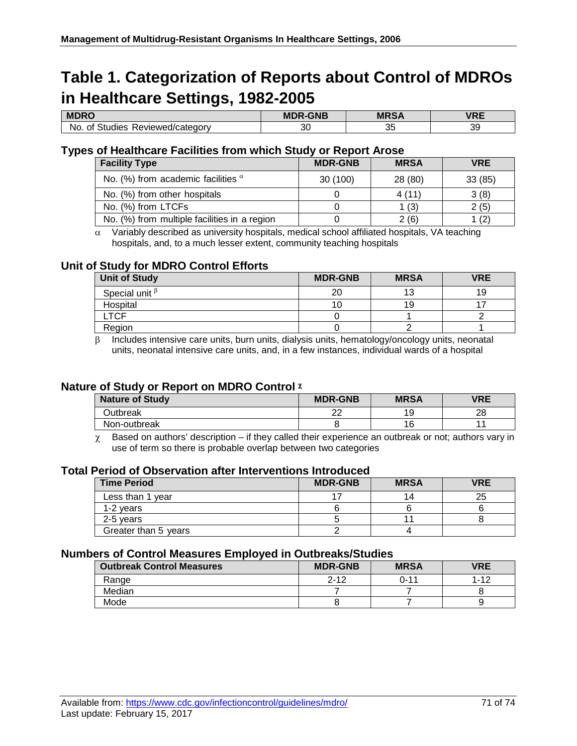# **Table 1. Categorization of Reports about Control of MDROs in Healthcare Settings, 1982-2005**

| <b>MDRC</b>                                                              | <b>MDR-GNB</b> | <b>MRSA</b> | $\cdots$<br>4 N H |
|--------------------------------------------------------------------------|----------------|-------------|-------------------|
| $\sim$<br><br>categorv<br><b>A RAVIAWADU</b><br><b>NO</b><br>ΩŤ<br>عمור. | ״<br>υc        | ~-<br>ັບ    | จด<br>ິ           |

#### **Types of Healthcare Facilities from which Study or Report Arose**

| <b>Facility Type</b>                         | <b>MDR-GNB</b> | <b>MRSA</b> | <b>VRE</b> |
|----------------------------------------------|----------------|-------------|------------|
| No. (%) from academic facilities $\alpha$    | 30(100)        | 28 (80)     | 33(85)     |
| No. (%) from other hospitals                 |                | 4(11)       | 3(8)       |
| No. (%) from LTCFs                           |                | 1(3)        | 2(5)       |
| No. (%) from multiple facilities in a region |                | 2 (6)       | 1 (2)      |

 $\alpha$  Variably described as university hospitals, medical school affiliated hospitals, VA teaching hospitals, and, to a much lesser extent, community teaching hospitals

#### **Unit of Study for MDRO Control Efforts**

| <b>Unit of Study</b> | <b>MDR-GNB</b> | <b>MRSA</b> | <b>VRE</b> |
|----------------------|----------------|-------------|------------|
| Special unit $\beta$ | 20             | 13          | 10         |
| Hospital             |                | 19          |            |
| <b>LTCF</b>          |                |             |            |
| Region               |                |             |            |

β Includes intensive care units, burn units, dialysis units, hematology/oncology units, neonatal units, neonatal intensive care units, and, in a few instances, individual wards of a hospital

#### **Nature of Study or Report on MDRO Control** χ

| <b>Nature of Study</b> | <b>MDR-GNB</b> | <b>MRSA</b> | VRE |
|------------------------|----------------|-------------|-----|
| <b>Outbreak</b>        | oc             | 19          | 28  |
| Non-outbreak           |                | 16          |     |

χ Based on authors' description – if they called their experience an outbreak or not; authors vary in use of term so there is probable overlap between two categories

#### **Total Period of Observation after Interventions Introduced**

| <b>Time Period</b>   | <b>MDR-GNB</b> | <b>MRSA</b> | <b>VRE</b> |
|----------------------|----------------|-------------|------------|
| Less than 1 year     |                | 14          | 25         |
| 1-2 years            |                |             |            |
| 2-5 years            |                |             |            |
| Greater than 5 years |                |             |            |

#### **Numbers of Control Measures Employed in Outbreaks/Studies**

| <b>Outbreak Control Measures</b> | <b>MDR-GNB</b> | <b>MRSA</b> | <b>VRE</b> |
|----------------------------------|----------------|-------------|------------|
| Range                            | $2 - 12$       | በ-11        | $1 - 12$   |
| Median                           |                |             |            |
| Mode                             |                |             |            |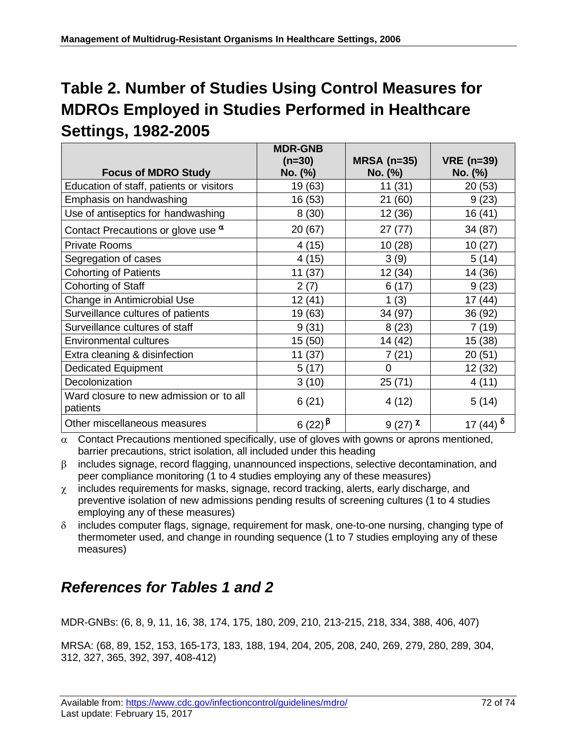# **Table 2. Number of Studies Using Control Measures for MDROs Employed in Studies Performed in Healthcare Settings, 1982-2005**

| <b>Focus of MDRO Study</b>                          | <b>MDR-GNB</b><br>$(n=30)$<br>No. (%) | $MRSA(n=35)$<br>No. (%) | <b>VRE (n=39)</b><br>No. (%) |
|-----------------------------------------------------|---------------------------------------|-------------------------|------------------------------|
| Education of staff, patients or visitors            | 19 (63)                               | 11 (31)                 | 20(53)                       |
| Emphasis on handwashing                             | 16 (53)                               | 21(60)                  | 9(23)                        |
| Use of antiseptics for handwashing                  | 8(30)                                 | 12 (36)                 | 16(41)                       |
| Contact Precautions or glove use $\alpha$           | 20 (67)                               | 27(77)                  | 34 (87)                      |
| <b>Private Rooms</b>                                | 4 (15)                                | 10(28)                  | 10(27)                       |
| Segregation of cases                                | 4(15)                                 | 3(9)                    | 5(14)                        |
| <b>Cohorting of Patients</b>                        | 11 (37)                               | 12 (34)                 | 14 (36)                      |
| <b>Cohorting of Staff</b>                           | 2(7)                                  | 6(17)                   | 9(23)                        |
| Change in Antimicrobial Use                         | 12(41)                                | 1(3)                    | 17 (44)                      |
| Surveillance cultures of patients                   | 19 (63)                               | 34 (97)                 | 36 (92)                      |
| Surveillance cultures of staff                      | 9(31)                                 | 8(23)                   | 7 (19)                       |
| <b>Environmental cultures</b>                       | 15 (50)                               | 14 (42)                 | 15 (38)                      |
| Extra cleaning & disinfection                       | 11 (37)                               | 7(21)                   | 20(51)                       |
| <b>Dedicated Equipment</b>                          | 5(17)                                 | 0                       | 12 (32)                      |
| Decolonization                                      | 3(10)                                 | 25(71)                  | 4(11)                        |
| Ward closure to new admission or to all<br>patients | 6(21)                                 | 4 (12)                  | 5(14)                        |
| Other miscellaneous measures                        | 6 $(22)^{p}$                          | 9 (27) $x$              | 17 (44) $\delta$             |

 $\alpha$  Contact Precautions mentioned specifically, use of gloves with gowns or aprons mentioned, barrier precautions, strict isolation, all included under this heading

β includes signage, record flagging, unannounced inspections, selective decontamination, and peer compliance monitoring (1 to 4 studies employing any of these measures)

- $\chi$  includes requirements for masks, signage, record tracking, alerts, early discharge, and preventive isolation of new admissions pending results of screening cultures (1 to 4 studies employing any of these measures)
- $\delta$  includes computer flags, signage, requirement for mask, one-to-one nursing, changing type of thermometer used, and change in rounding sequence (1 to 7 studies employing any of these measures)

## *References for Tables 1 and 2*

MDR-GNBs: (6, 8, 9, 11, 16, 38, 174, 175, 180, 209, 210, 213-215, 218, 334, 388, 406, 407)

MRSA: (68, 89, 152, 153, 165-173, 183, 188, 194, 204, 205, 208, 240, 269, 279, 280, 289, 304, 312, 327, 365, 392, 397, 408-412)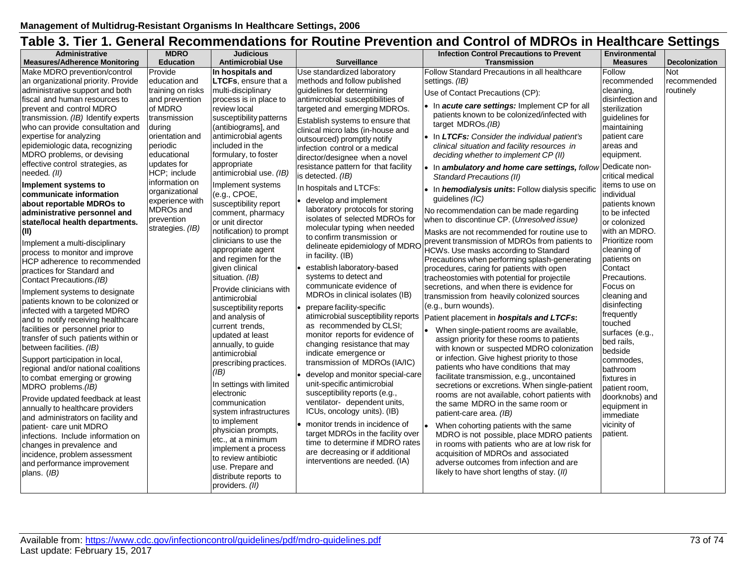### **Table 3. Tier 1. General Recommendations for Routine Prevention and Control of MDROs in Healthcare Settings**

| Administrative                       | <b>MDRO</b>                         | <b>Judicious</b>                            |                                                        | <b>Infection Control Precautions to Prevent</b>                                       | <b>Environmental</b>   |                |
|--------------------------------------|-------------------------------------|---------------------------------------------|--------------------------------------------------------|---------------------------------------------------------------------------------------|------------------------|----------------|
| <b>Measures/Adherence Monitoring</b> | <b>Education</b>                    | <b>Antimicrobial Use</b>                    | <b>Surveillance</b>                                    | <b>Transmission</b>                                                                   | <b>Measures</b>        | Decolonization |
| Make MDRO prevention/control         | Provide                             | In hospitals and                            | Use standardized laboratory                            | Follow Standard Precautions in all healthcare                                         | Follow                 | <b>Not</b>     |
| an organizational priority. Provide  | education and                       | <b>LTCFs, ensure that a</b>                 | methods and follow published                           | settings. (IB)                                                                        | recommended            | recommended    |
| administrative support and both      | training on risks                   | multi-disciplinary                          | guidelines for determining                             | Use of Contact Precautions (CP):                                                      | cleaning,              | routinely      |
| fiscal and human resources to        | and prevention                      | process is in place to                      | antimicrobial susceptibilities of                      |                                                                                       | disinfection and       |                |
| prevent and control MDRO             | of MDRO                             | review local                                | targeted and emerging MDROs.                           | • In acute care settings: Implement CP for all                                        | sterilization          |                |
| transmission. (IB) Identify experts  | transmission                        | susceptibility patterns                     | Establish systems to ensure that                       | patients known to be colonized/infected with<br>target MDROs.(IB)                     | guidelines for         |                |
| who can provide consultation and     | during                              | (antibiograms], and                         | clinical micro labs (in-house and                      |                                                                                       | maintaining            |                |
| expertise for analyzing              | orientation and                     | antimicrobial agents                        | outsourced) promptly notify                            | • In LTCFs: Consider the individual patient's                                         | patient care           |                |
| epidemiologic data, recognizing      | periodic                            | included in the                             | infection control or a medical                         | clinical situation and facility resources in                                          | areas and              |                |
| MDRO problems, or devising           | educational                         | formulary, to foster                        | director/designee when a novel                         | deciding whether to implement CP (II)                                                 | equipment.             |                |
| effective control strategies, as     | updates for                         | appropriate                                 | resistance pattern for that facility                   | In ambulatory and home care settings, follow                                          | Dedicate non-          |                |
| needed. (II)                         | HCP; include                        | antimicrobial use. (IB)                     | is detected. (IB)                                      | <b>Standard Precautions (II)</b>                                                      | critical medical       |                |
| Implement systems to                 | information on                      | Implement systems                           | In hospitals and LTCFs:                                | • In <i>hemodialysis units</i> : Follow dialysis specific                             | tems to use on         |                |
| communicate information              | organizational                      | (e.g., CPOE,                                | develop and implement                                  | guidelines (IC)                                                                       | individual             |                |
| about reportable MDROs to            | experience with<br><b>MDROs</b> and | susceptibility report                       | laboratory protocols for storing                       |                                                                                       | patients known         |                |
| administrative personnel and         | prevention                          | comment, pharmacy                           | isolates of selected MDROs for                         | No recommendation can be made regarding<br>when to discontinue CP. (Unresolved issue) | to be infected         |                |
| state/local health departments.      | strategies. (IB)                    | or unit director                            | molecular typing when needed                           |                                                                                       | or colonized           |                |
| (II)                                 |                                     | notification) to prompt                     | to confirm transmission or                             | Masks are not recommended for routine use to                                          | with an MDRO.          |                |
| Implement a multi-disciplinary       |                                     | clinicians to use the                       | delineate epidemiology of MDRO                         | prevent transmission of MDROs from patients to                                        | Prioritize room        |                |
| process to monitor and improve       |                                     | appropriate agent                           | in facility. (IB)                                      | HCWs. Use masks according to Standard                                                 | cleaning of            |                |
| HCP adherence to recommended         |                                     | and regimen for the                         | establish laboratory-based                             | Precautions when performing splash-generating                                         | patients on<br>Contact |                |
| practices for Standard and           |                                     | given clinical                              | systems to detect and                                  | procedures, caring for patients with open                                             | Precautions.           |                |
| Contact Precautions. (IB)            |                                     | situation. (IB)                             | communicate evidence of                                | tracheostomies with potential for projectile                                          | Focus on               |                |
| Implement systems to designate       |                                     | Provide clinicians with                     | MDROs in clinical isolates (IB)                        | secretions, and when there is evidence for                                            | cleaning and           |                |
| patients known to be colonized or    |                                     | antimicrobial                               |                                                        | transmission from heavily colonized sources<br>(e.g., burn wounds).                   | disinfecting           |                |
| infected with a targeted MDRO        |                                     | susceptibility reports                      | prepare facility-specific                              |                                                                                       | frequently             |                |
| and to notify receiving healthcare   |                                     | and analysis of                             |                                                        | atimicrobial susceptibility reports   Patient placement in hospitals and LTCFs:       | touched                |                |
| facilities or personnel prior to     |                                     | current trends,                             | as recommended by CLSI;                                | When single-patient rooms are available,                                              | surfaces (e.g.,        |                |
| transfer of such patients within or  |                                     | updated at least                            | monitor reports for evidence of                        | assign priority for these rooms to patients                                           | bed rails,             |                |
| between facilities. (IB)             |                                     | annually, to guide                          | changing resistance that may                           | with known or suspected MDRO colonization                                             | bedside                |                |
| Support participation in local,      |                                     | antimicrobial                               | indicate emergence or<br>transmission of MDROs (IA/IC) | or infection. Give highest priority to those                                          | commodes,              |                |
| regional and/or national coalitions  |                                     | prescribing practices.                      |                                                        | patients who have conditions that may                                                 | bathroom               |                |
| to combat emerging or growing        |                                     | (IB)                                        | develop and monitor special-care                       | facilitate transmission, e.g., uncontained                                            | fixtures in            |                |
| MDRO problems.(IB)                   |                                     | In settings with limited                    | unit-specific antimicrobial                            | secretions or excretions. When single-patient                                         | patient room,          |                |
| Provide updated feedback at least    |                                     | electronic                                  | susceptibility reports (e.g.,                          | rooms are not available, cohort patients with                                         | doorknobs) and         |                |
| annually to healthcare providers     |                                     | communication                               | ventilator- dependent units,                           | the same MDRO in the same room or                                                     | equipment in           |                |
| and administrators on facility and   |                                     | system infrastructures                      | ICUs, oncology units). (IB)                            | patient-care area. (IB)                                                               | immediate              |                |
| patient- care unit MDRO              |                                     | to implement                                | monitor trends in incidence of                         | When cohorting patients with the same                                                 | vicinity of            |                |
| infections. Include information on   |                                     | physician prompts,                          | target MDROs in the facility over                      | MDRO is not possible, place MDRO patients                                             | patient.               |                |
| changes in prevalence and            |                                     | etc., at a minimum                          | time to determine if MDRO rates                        | in rooms with patients who are at low risk for                                        |                        |                |
| incidence, problem assessment        |                                     | implement a process<br>to review antibiotic | are decreasing or if additional                        | acquisition of MDROs and associated                                                   |                        |                |
| and performance improvement          |                                     |                                             | interventions are needed. (IA)                         | adverse outcomes from infection and are                                               |                        |                |
| plans. (IB)                          |                                     | use. Prepare and<br>distribute reports to   |                                                        | likely to have short lengths of stay. (II)                                            |                        |                |
|                                      |                                     | providers. (II)                             |                                                        |                                                                                       |                        |                |
|                                      |                                     |                                             |                                                        |                                                                                       |                        |                |